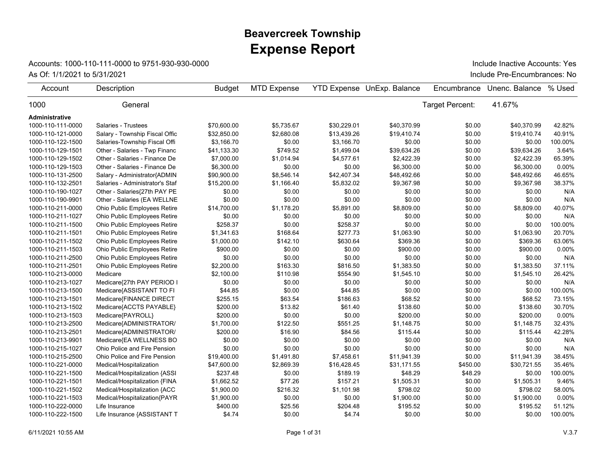## **Expense Report Beavercreek Township**

## Accounts: 1000-110-111-0000 to 9751-930-930-0000

As Of: 1/1/2021 to 5/31/2021 **Include Pre-Encumbrances: No** Include Inactive Accounts: Yes

| Account               | Description                     | <b>Budget</b> | <b>MTD Expense</b> |             | <b>YTD Expense UnExp. Balance</b> | Encumbrance     | Unenc. Balance | % Used  |
|-----------------------|---------------------------------|---------------|--------------------|-------------|-----------------------------------|-----------------|----------------|---------|
| 1000                  | General                         |               |                    |             |                                   | Target Percent: | 41.67%         |         |
| <b>Administrative</b> |                                 |               |                    |             |                                   |                 |                |         |
| 1000-110-111-0000     | Salaries - Trustees             | \$70,600.00   | \$5,735.67         | \$30,229.01 | \$40,370.99                       | \$0.00          | \$40,370.99    | 42.82%  |
| 1000-110-121-0000     | Salary - Township Fiscal Offic  | \$32,850.00   | \$2,680.08         | \$13,439.26 | \$19,410.74                       | \$0.00          | \$19,410.74    | 40.91%  |
| 1000-110-122-1500     | Salaries-Township Fiscal Offi   | \$3,166.70    | \$0.00             | \$3,166.70  | \$0.00                            | \$0.00          | \$0.00         | 100.00% |
| 1000-110-129-1501     | Other - Salaries - Twp Financ   | \$41,133.30   | \$749.52           | \$1,499.04  | \$39,634.26                       | \$0.00          | \$39,634.26    | 3.64%   |
| 1000-110-129-1502     | Other - Salaries - Finance De   | \$7,000.00    | \$1,014.94         | \$4,577.61  | \$2,422.39                        | \$0.00          | \$2,422.39     | 65.39%  |
| 1000-110-129-1503     | Other - Salaries - Finance De   | \$6,300.00    | \$0.00             | \$0.00      | \$6,300.00                        | \$0.00          | \$6,300.00     | 0.00%   |
| 1000-110-131-2500     | Salary - Administrator{ADMIN    | \$90,900.00   | \$8,546.14         | \$42,407.34 | \$48,492.66                       | \$0.00          | \$48,492.66    | 46.65%  |
| 1000-110-132-2501     | Salaries - Administrator's Staf | \$15,200.00   | \$1,166.40         | \$5,832.02  | \$9,367.98                        | \$0.00          | \$9,367.98     | 38.37%  |
| 1000-110-190-1027     | Other - Salaries{27th PAY PE    | \$0.00        | \$0.00             | \$0.00      | \$0.00                            | \$0.00          | \$0.00         | N/A     |
| 1000-110-190-9901     | Other - Salaries (EA WELLNE     | \$0.00        | \$0.00             | \$0.00      | \$0.00                            | \$0.00          | \$0.00         | N/A     |
| 1000-110-211-0000     | Ohio Public Employees Retire    | \$14,700.00   | \$1,178.20         | \$5,891.00  | \$8,809.00                        | \$0.00          | \$8,809.00     | 40.07%  |
| 1000-110-211-1027     | Ohio Public Employees Retire    | \$0.00        | \$0.00             | \$0.00      | \$0.00                            | \$0.00          | \$0.00         | N/A     |
| 1000-110-211-1500     | Ohio Public Employees Retire    | \$258.37      | \$0.00             | \$258.37    | \$0.00                            | \$0.00          | \$0.00         | 100.00% |
| 1000-110-211-1501     | Ohio Public Employees Retire    | \$1,341.63    | \$168.64           | \$277.73    | \$1,063.90                        | \$0.00          | \$1,063.90     | 20.70%  |
| 1000-110-211-1502     | Ohio Public Employees Retire    | \$1,000.00    | \$142.10           | \$630.64    | \$369.36                          | \$0.00          | \$369.36       | 63.06%  |
| 1000-110-211-1503     | Ohio Public Employees Retire    | \$900.00      | \$0.00             | \$0.00      | \$900.00                          | \$0.00          | \$900.00       | 0.00%   |
| 1000-110-211-2500     | Ohio Public Employees Retire    | \$0.00        | \$0.00             | \$0.00      | \$0.00                            | \$0.00          | \$0.00         | N/A     |
| 1000-110-211-2501     | Ohio Public Employees Retire    | \$2,200.00    | \$163.30           | \$816.50    | \$1,383.50                        | \$0.00          | \$1,383.50     | 37.11%  |
| 1000-110-213-0000     | Medicare                        | \$2,100.00    | \$110.98           | \$554.90    | \$1,545.10                        | \$0.00          | \$1,545.10     | 26.42%  |
| 1000-110-213-1027     | Medicare{27th PAY PERIOD I      | \$0.00        | \$0.00             | \$0.00      | \$0.00                            | \$0.00          | \$0.00         | N/A     |
| 1000-110-213-1500     | Medicare{ASSISTANT TO FI        | \$44.85       | \$0.00             | \$44.85     | \$0.00                            | \$0.00          | \$0.00         | 100.00% |
| 1000-110-213-1501     | Medicare{FINANCE DIRECT         | \$255.15      | \$63.54            | \$186.63    | \$68.52                           | \$0.00          | \$68.52        | 73.15%  |
| 1000-110-213-1502     | Medicare{ACCTS PAYABLE}         | \$200.00      | \$13.82            | \$61.40     | \$138.60                          | \$0.00          | \$138.60       | 30.70%  |
| 1000-110-213-1503     | Medicare{PAYROLL}               | \$200.00      | \$0.00             | \$0.00      | \$200.00                          | \$0.00          | \$200.00       | 0.00%   |
| 1000-110-213-2500     | Medicare{ADMINISTRATOR/         | \$1,700.00    | \$122.50           | \$551.25    | \$1,148.75                        | \$0.00          | \$1,148.75     | 32.43%  |
| 1000-110-213-2501     | Medicare{ADMINISTRATOR/         | \$200.00      | \$16.90            | \$84.56     | \$115.44                          | \$0.00          | \$115.44       | 42.28%  |
| 1000-110-213-9901     | Medicare{EA WELLNESS BO         | \$0.00        | \$0.00             | \$0.00      | \$0.00                            | \$0.00          | \$0.00         | N/A     |
| 1000-110-215-1027     | Ohio Police and Fire Pension    | \$0.00        | \$0.00             | \$0.00      | \$0.00                            | \$0.00          | \$0.00         | N/A     |
| 1000-110-215-2500     | Ohio Police and Fire Pension    | \$19,400.00   | \$1,491.80         | \$7,458.61  | \$11,941.39                       | \$0.00          | \$11,941.39    | 38.45%  |
| 1000-110-221-0000     | Medical/Hospitalization         | \$47,600.00   | \$2,869.39         | \$16,428.45 | \$31,171.55                       | \$450.00        | \$30,721.55    | 35.46%  |
| 1000-110-221-1500     | Medical/Hospitalization {ASSI   | \$237.48      | \$0.00             | \$189.19    | \$48.29                           | \$48.29         | \$0.00         | 100.00% |
| 1000-110-221-1501     | Medical/Hospitalization {FINA   | \$1,662.52    | \$77.26            | \$157.21    | \$1,505.31                        | \$0.00          | \$1,505.31     | 9.46%   |
| 1000-110-221-1502     | Medical/Hospitalization {ACC    | \$1,900.00    | \$216.32           | \$1,101.98  | \$798.02                          | \$0.00          | \$798.02       | 58.00%  |
| 1000-110-221-1503     | Medical/Hospitalization{PAYR    | \$1,900.00    | \$0.00             | \$0.00      | \$1,900.00                        | \$0.00          | \$1,900.00     | 0.00%   |
| 1000-110-222-0000     | Life Insurance                  | \$400.00      | \$25.56            | \$204.48    | \$195.52                          | \$0.00          | \$195.52       | 51.12%  |
| 1000-110-222-1500     | Life Insurance {ASSISTANT T     | \$4.74        | \$0.00             | \$4.74      | \$0.00                            | \$0.00          | \$0.00         | 100.00% |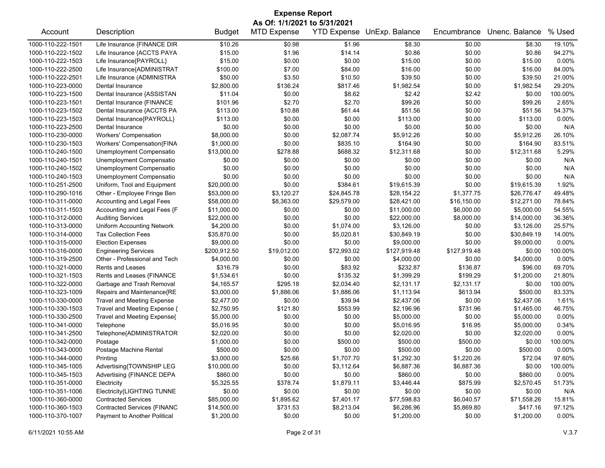| <b>Expense Report</b> |                                   |               |                    |             |                            |              |                |          |  |  |  |
|-----------------------|-----------------------------------|---------------|--------------------|-------------|----------------------------|--------------|----------------|----------|--|--|--|
|                       | As Of: 1/1/2021 to 5/31/2021      |               |                    |             |                            |              |                |          |  |  |  |
| Account               | Description                       | <b>Budget</b> | <b>MTD Expense</b> |             | YTD Expense UnExp. Balance | Encumbrance  | Unenc. Balance | % Used   |  |  |  |
| 1000-110-222-1501     | Life Insurance {FINANCE DIR       | \$10.26       | \$0.98             | \$1.96      | \$8.30                     | \$0.00       | \$8.30         | 19.10%   |  |  |  |
| 1000-110-222-1502     | Life Insurance {ACCTS PAYA        | \$15.00       | \$1.96             | \$14.14     | \$0.86                     | \$0.00       | \$0.86         | 94.27%   |  |  |  |
| 1000-110-222-1503     | Life Insurance{PAYROLL}           | \$15.00       | \$0.00             | \$0.00      | \$15.00                    | \$0.00       | \$15.00        | 0.00%    |  |  |  |
| 1000-110-222-2500     | Life Insurance{ADMINISTRAT        | \$100.00      | \$7.00             | \$84.00     | \$16.00                    | \$0.00       | \$16.00        | 84.00%   |  |  |  |
| 1000-110-222-2501     | Life Insurance (ADMINISTRA        | \$50.00       | \$3.50             | \$10.50     | \$39.50                    | \$0.00       | \$39.50        | 21.00%   |  |  |  |
| 1000-110-223-0000     | Dental Insurance                  | \$2,800.00    | \$136.24           | \$817.46    | \$1,982.54                 | \$0.00       | \$1,982.54     | 29.20%   |  |  |  |
| 1000-110-223-1500     | Dental Insurance {ASSISTAN        | \$11.04       | \$0.00             | \$8.62      | \$2.42                     | \$2.42       | \$0.00         | 100.00%  |  |  |  |
| 1000-110-223-1501     | Dental Insurance {FINANCE         | \$101.96      | \$2.70             | \$2.70      | \$99.26                    | \$0.00       | \$99.26        | 2.65%    |  |  |  |
| 1000-110-223-1502     | Dental Insurance {ACCTS PA        | \$113.00      | \$10.88            | \$61.44     | \$51.56                    | \$0.00       | \$51.56        | 54.37%   |  |  |  |
| 1000-110-223-1503     | Dental Insurance{PAYROLL}         | \$113.00      | \$0.00             | \$0.00      | \$113.00                   | \$0.00       | \$113.00       | 0.00%    |  |  |  |
| 1000-110-223-2500     | Dental Insurance                  | \$0.00        | \$0.00             | \$0.00      | \$0.00                     | \$0.00       | \$0.00         | N/A      |  |  |  |
| 1000-110-230-0000     | <b>Workers' Compensation</b>      | \$8,000.00    | \$0.00             | \$2,087.74  | \$5,912.26                 | \$0.00       | \$5,912.26     | 26.10%   |  |  |  |
| 1000-110-230-1503     | Workers' Compensation{FINA        | \$1,000.00    | \$0.00             | \$835.10    | \$164.90                   | \$0.00       | \$164.90       | 83.51%   |  |  |  |
| 1000-110-240-1500     | Unemployment Compensatio          | \$13,000.00   | \$278.88           | \$688.32    | \$12,311.68                | \$0.00       | \$12,311.68    | 5.29%    |  |  |  |
| 1000-110-240-1501     | Unemployment Compensatio          | \$0.00        | \$0.00             | \$0.00      | \$0.00                     | \$0.00       | \$0.00         | N/A      |  |  |  |
| 1000-110-240-1502     | Unemployment Compensatio          | \$0.00        | \$0.00             | \$0.00      | \$0.00                     | \$0.00       | \$0.00         | N/A      |  |  |  |
| 1000-110-240-1503     | Unemployment Compensatio          | \$0.00        | \$0.00             | \$0.00      | \$0.00                     | \$0.00       | \$0.00         | N/A      |  |  |  |
| 1000-110-251-2500     | Uniform, Tool and Equipment       | \$20,000.00   | \$0.00             | \$384.61    | \$19,615.39                | \$0.00       | \$19,615.39    | 1.92%    |  |  |  |
| 1000-110-290-1016     | Other - Employee Fringe Ben       | \$53,000.00   | \$3,120.27         | \$24,845.78 | \$28,154.22                | \$1,377.75   | \$26,776.47    | 49.48%   |  |  |  |
| 1000-110-311-0000     | <b>Accounting and Legal Fees</b>  | \$58,000.00   | \$8,363.00         | \$29,579.00 | \$28,421.00                | \$16,150.00  | \$12,271.00    | 78.84%   |  |  |  |
| 1000-110-311-1503     | Accounting and Legal Fees {F      | \$11,000.00   | \$0.00             | \$0.00      | \$11,000.00                | \$6,000.00   | \$5,000.00     | 54.55%   |  |  |  |
| 1000-110-312-0000     | <b>Auditing Services</b>          | \$22,000.00   | \$0.00             | \$0.00      | \$22,000.00                | \$8,000.00   | \$14,000.00    | 36.36%   |  |  |  |
| 1000-110-313-0000     | <b>Uniform Accounting Network</b> | \$4,200.00    | \$0.00             | \$1,074.00  | \$3,126.00                 | \$0.00       | \$3,126.00     | 25.57%   |  |  |  |
| 1000-110-314-0000     | <b>Tax Collection Fees</b>        | \$35,870.00   | \$0.00             | \$5,020.81  | \$30,849.19                | \$0.00       | \$30,849.19    | 14.00%   |  |  |  |
| 1000-110-315-0000     | <b>Election Expenses</b>          | \$9,000.00    | \$0.00             | \$0.00      | \$9,000.00                 | \$0.00       | \$9,000.00     | 0.00%    |  |  |  |
| 1000-110-316-0000     | <b>Engineering Services</b>       | \$200,912.50  | \$19,012.00        | \$72,993.02 | \$127,919.48               | \$127,919.48 | \$0.00         | 100.00%  |  |  |  |
| 1000-110-319-2500     | Other - Professional and Tech     | \$4,000.00    | \$0.00             | \$0.00      | \$4,000.00                 | \$0.00       | \$4,000.00     | 0.00%    |  |  |  |
| 1000-110-321-0000     | <b>Rents and Leases</b>           | \$316.79      | \$0.00             | \$83.92     | \$232.87                   | \$136.87     | \$96.00        | 69.70%   |  |  |  |
| 1000-110-321-1503     | Rents and Leases {FINANCE         | \$1,534.61    | \$0.00             | \$135.32    | \$1,399.29                 | \$199.29     | \$1,200.00     | 21.80%   |  |  |  |
| 1000-110-322-0000     | Garbage and Trash Removal         | \$4,165.57    | \$295.18           | \$2,034.40  | \$2,131.17                 | \$2,131.17   | \$0.00         | 100.00%  |  |  |  |
| 1000-110-323-1009     | Repairs and Maintenance{RE        | \$3,000.00    | \$1,886.06         | \$1,886.06  | \$1,113.94                 | \$613.94     | \$500.00       | 83.33%   |  |  |  |
| 1000-110-330-0000     | <b>Travel and Meeting Expense</b> | \$2,477.00    | \$0.00             | \$39.94     | \$2,437.06                 | \$0.00       | \$2,437.06     | 1.61%    |  |  |  |
| 1000-110-330-1503     | Travel and Meeting Expense {      | \$2,750.95    | \$121.80           | \$553.99    | \$2,196.96                 | \$731.96     | \$1,465.00     | 46.75%   |  |  |  |
| 1000-110-330-2500     | Travel and Meeting Expense{       | \$5,000.00    | \$0.00             | \$0.00      | \$5,000.00                 | \$0.00       | \$5,000.00     | 0.00%    |  |  |  |
| 1000-110-341-0000     | Telephone                         | \$5,016.95    | \$0.00             | \$0.00      | \$5,016.95                 | \$16.95      | \$5,000.00     | 0.34%    |  |  |  |
| 1000-110-341-2500     | Telephone{ADMINISTRATOR           | \$2,020.00    | \$0.00             | \$0.00      | \$2,020.00                 | \$0.00       | \$2,020.00     | 0.00%    |  |  |  |
| 1000-110-342-0000     | Postage                           | \$1,000.00    | \$0.00             | \$500.00    | \$500.00                   | \$500.00     | \$0.00         | 100.00%  |  |  |  |
| 1000-110-343-0000     | Postage Machine Rental            | \$500.00      | \$0.00             | \$0.00      | \$500.00                   | \$0.00       | \$500.00       | $0.00\%$ |  |  |  |
| 1000-110-344-0000     | Printing                          | \$3,000.00    | \$25.66            | \$1,707.70  | \$1,292.30                 | \$1,220.26   | \$72.04        | 97.60%   |  |  |  |
| 1000-110-345-1005     | Advertising{TOWNSHIP LEG          | \$10,000.00   | \$0.00             | \$3,112.64  | \$6,887.36                 | \$6,887.36   | \$0.00         | 100.00%  |  |  |  |
| 1000-110-345-1503     | Advertising {FINANCE DEPA         | \$860.00      | \$0.00             | \$0.00      | \$860.00                   | \$0.00       | \$860.00       | 0.00%    |  |  |  |
| 1000-110-351-0000     | Electricity                       | \$5,325.55    | \$378.74           | \$1,879.11  | \$3,446.44                 | \$875.99     | \$2,570.45     | 51.73%   |  |  |  |
| 1000-110-351-1006     | Electricity{LIGHTING TUNNE        | \$0.00        | \$0.00             | \$0.00      | \$0.00                     | \$0.00       | \$0.00         | N/A      |  |  |  |
| 1000-110-360-0000     | <b>Contracted Services</b>        | \$85,000.00   | \$1,895.62         | \$7,401.17  | \$77,598.83                | \$6,040.57   | \$71,558.26    | 15.81%   |  |  |  |
| 1000-110-360-1503     | Contracted Services {FINANC       | \$14,500.00   | \$731.53           | \$8,213.04  | \$6,286.96                 | \$5,869.80   | \$417.16       | 97.12%   |  |  |  |
| 1000-110-370-1007     | Payment to Another Political      | \$1,200.00    | \$0.00             | \$0.00      | \$1,200.00                 | \$0.00       | \$1,200.00     | 0.00%    |  |  |  |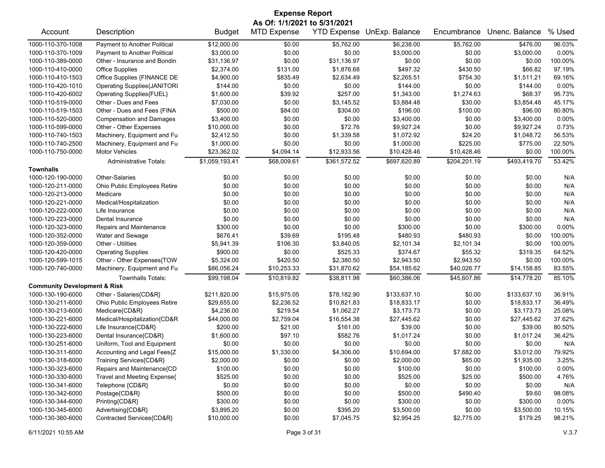| <b>Expense Report</b>                   |                                    |                |                              |              |                            |              |                |         |
|-----------------------------------------|------------------------------------|----------------|------------------------------|--------------|----------------------------|--------------|----------------|---------|
|                                         |                                    |                | As Of: 1/1/2021 to 5/31/2021 |              |                            |              |                |         |
| Account                                 | Description                        | <b>Budget</b>  | <b>MTD Expense</b>           |              | YTD Expense UnExp. Balance | Encumbrance  | Unenc. Balance | % Used  |
| 1000-110-370-1008                       | Payment to Another Political       | \$12,000.00    | \$0.00                       | \$5,762.00   | \$6,238.00                 | \$5,762.00   | \$476.00       | 96.03%  |
| 1000-110-370-1009                       | Payment to Another Political       | \$3,000.00     | \$0.00                       | \$0.00       | \$3,000.00                 | \$0.00       | \$3,000.00     | 0.00%   |
| 1000-110-389-0000                       | Other - Insurance and Bondin       | \$31,136.97    | \$0.00                       | \$31,136.97  | \$0.00                     | \$0.00       | \$0.00         | 100.00% |
| 1000-110-410-0000                       | <b>Office Supplies</b>             | \$2,374.00     | \$131.00                     | \$1,876.68   | \$497.32                   | \$430.50     | \$66.82        | 97.19%  |
| 1000-110-410-1503                       | Office Supplies {FINANCE DE        | \$4,900.00     | \$835.49                     | \$2,634.49   | \$2,265.51                 | \$754.30     | \$1,511.21     | 69.16%  |
| 1000-110-420-1010                       | <b>Operating Supplies{JANITORI</b> | \$144.00       | \$0.00                       | \$0.00       | \$144.00                   | \$0.00       | \$144.00       | 0.00%   |
| 1000-110-420-6002                       | Operating Supplies{FUEL}           | \$1,600.00     | \$39.92                      | \$257.00     | \$1,343.00                 | \$1,274.63   | \$68.37        | 95.73%  |
| 1000-110-519-0000                       | Other - Dues and Fees              | \$7,030.00     | \$0.00                       | \$3,145.52   | \$3,884.48                 | \$30.00      | \$3,854.48     | 45.17%  |
| 1000-110-519-1503                       | Other - Dues and Fees {FINA        | \$500.00       | \$84.00                      | \$304.00     | \$196.00                   | \$100.00     | \$96.00        | 80.80%  |
| 1000-110-520-0000                       | <b>Compensation and Damages</b>    | \$3,400.00     | \$0.00                       | \$0.00       | \$3,400.00                 | \$0.00       | \$3,400.00     | 0.00%   |
| 1000-110-599-0000                       | Other - Other Expenses             | \$10,000.00    | \$0.00                       | \$72.76      | \$9,927.24                 | \$0.00       | \$9,927.24     | 0.73%   |
| 1000-110-740-1503                       | Machinery, Equipment and Fu        | \$2,412.50     | \$0.00                       | \$1,339.58   | \$1,072.92                 | \$24.20      | \$1,048.72     | 56.53%  |
| 1000-110-740-2500                       | Machinery, Equipment and Fu        | \$1,000.00     | \$0.00                       | \$0.00       | \$1,000.00                 | \$225.00     | \$775.00       | 22.50%  |
| 1000-110-750-0000                       | <b>Motor Vehicles</b>              | \$23,362.02    | \$4,094.14                   | \$12,933.56  | \$10,428.46                | \$10,428.46  | \$0.00         | 100.00% |
|                                         | <b>Administrative Totals:</b>      | \$1,059,193.41 | \$68,009.61                  | \$361,572.52 | \$697,620.89               | \$204,201.19 | \$493,419.70   | 53.42%  |
| <b>Townhalls</b>                        |                                    |                |                              |              |                            |              |                |         |
| 1000-120-190-0000                       | <b>Other-Salaries</b>              | \$0.00         | \$0.00                       | \$0.00       | \$0.00                     | \$0.00       | \$0.00         | N/A     |
| 1000-120-211-0000                       | Ohio Public Employees Retire       | \$0.00         | \$0.00                       | \$0.00       | \$0.00                     | \$0.00       | \$0.00         | N/A     |
| 1000-120-213-0000                       | Medicare                           | \$0.00         | \$0.00                       | \$0.00       | \$0.00                     | \$0.00       | \$0.00         | N/A     |
| 1000-120-221-0000                       | Medical/Hospitalization            | \$0.00         | \$0.00                       | \$0.00       | \$0.00                     | \$0.00       | \$0.00         | N/A     |
| 1000-120-222-0000                       | Life Insurance                     | \$0.00         | \$0.00                       | \$0.00       | \$0.00                     | \$0.00       | \$0.00         | N/A     |
| 1000-120-223-0000                       | Dental Insurance                   | \$0.00         | \$0.00                       | \$0.00       | \$0.00                     | \$0.00       | \$0.00         | N/A     |
| 1000-120-323-0000                       | Repairs and Maintenance            | \$300.00       | \$0.00                       | \$0.00       | \$300.00                   | \$0.00       | \$300.00       | 0.00%   |
| 1000-120-352-0000                       | Water and Sewage                   | \$676.41       | \$39.69                      | \$195.48     | \$480.93                   | \$480.93     | \$0.00         | 100.00% |
| 1000-120-359-0000                       | Other - Utilities                  | \$5,941.39     | \$106.30                     | \$3,840.05   | \$2,101.34                 | \$2,101.34   | \$0.00         | 100.00% |
| 1000-120-420-0000                       | <b>Operating Supplies</b>          | \$900.00       | \$0.00                       | \$525.33     | \$374.67                   | \$55.32      | \$319.35       | 64.52%  |
| 1000-120-599-1015                       | Other - Other Expenses{TOW         | \$5,324.00     | \$420.50                     | \$2,380.50   | \$2,943.50                 | \$2,943.50   | \$0.00         | 100.00% |
| 1000-120-740-0000                       | Machinery, Equipment and Fu        | \$86,056.24    | \$10,253.33                  | \$31,870.62  | \$54,185.62                | \$40,026.77  | \$14,158.85    | 83.55%  |
|                                         | <b>Townhalls Totals:</b>           | \$99,198.04    | \$10,819.82                  | \$38,811.98  | \$60,386.06                | \$45,607.86  | \$14,778.20    | 85.10%  |
| <b>Community Development &amp; Risk</b> |                                    |                |                              |              |                            |              |                |         |
| 1000-130-190-6000                       | Other - Salaries{CD&R}             | \$211,820.00   | \$15,975.05                  | \$78,182.90  | \$133,637.10               | \$0.00       | \$133,637.10   | 36.91%  |
| 1000-130-211-6000                       | Ohio Public Employees Retire       | \$29,655.00    | \$2,236.52                   | \$10,821.83  | \$18,833.17                | \$0.00       | \$18,833.17    | 36.49%  |
| 1000-130-213-6000                       | Medicare{CD&R}                     | \$4,236.00     | \$219.54                     | \$1,062.27   | \$3,173.73                 | \$0.00       | \$3,173.73     | 25.08%  |
| 1000-130-221-6000                       | Medical/Hospitalization{CD&R       | \$44,000.00    | \$2,759.04                   | \$16,554.38  | \$27,445.62                | \$0.00       | \$27,445.62    | 37.62%  |
| 1000-130-222-6000                       | Life Insurance{CD&R}               | \$200.00       | \$21.00                      | \$161.00     | \$39.00                    | \$0.00       | \$39.00        | 80.50%  |
| 1000-130-223-6000                       | Dental Insurance{CD&R}             | \$1,600.00     | \$97.10                      | \$582.76     | \$1,017.24                 | \$0.00       | \$1,017.24     | 36.42%  |
| 1000-130-251-6000                       | Uniform, Tool and Equipment        | \$0.00         | \$0.00                       | \$0.00       | \$0.00                     | \$0.00       | \$0.00         | N/A     |
| 1000-130-311-6000                       | Accounting and Legal Fees{Z        | \$15,000.00    | \$1,330.00                   | \$4,306.00   | \$10,694.00                | \$7,682.00   | \$3,012.00     | 79.92%  |
| 1000-130-318-6000                       | Training Services{CD&R}            | \$2,000.00     | \$0.00                       | \$0.00       | \$2,000.00                 | \$65.00      | \$1,935.00     | 3.25%   |
| 1000-130-323-6000                       | Repairs and Maintenance{CD         | \$100.00       | \$0.00                       | \$0.00       | \$100.00                   | \$0.00       | \$100.00       | 0.00%   |
| 1000-130-330-6000                       | Travel and Meeting Expense{        | \$525.00       | \$0.00                       | \$0.00       | \$525.00                   | \$25.00      | \$500.00       | 4.76%   |
| 1000-130-341-6000                       | Telephone {CD&R}                   | \$0.00         | \$0.00                       | \$0.00       | \$0.00                     | \$0.00       | \$0.00         | N/A     |
| 1000-130-342-6000                       | Postage{CD&R}                      | \$500.00       | \$0.00                       | \$0.00       | \$500.00                   | \$490.40     | \$9.60         | 98.08%  |
| 1000-130-344-6000                       | Printing{CD&R}                     | \$300.00       | \$0.00                       | \$0.00       | \$300.00                   | \$0.00       | \$300.00       | 0.00%   |
| 1000-130-345-6000                       | Advertising{CD&R}                  | \$3,895.20     | \$0.00                       | \$395.20     | \$3,500.00                 | \$0.00       | \$3,500.00     | 10.15%  |
| 1000-130-360-6000                       | Contracted Services{CD&R}          | \$10,000.00    | \$0.00                       | \$7,045.75   | \$2,954.25                 | \$2,775.00   | \$179.25       | 98.21%  |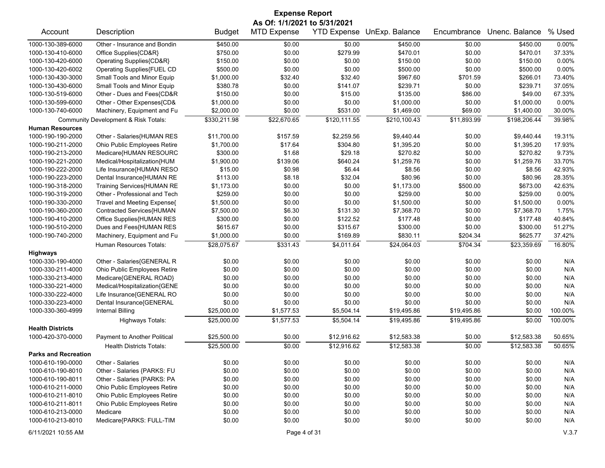| <b>Expense Report</b>       |                                      |               |                              |              |                            |             |                |         |  |
|-----------------------------|--------------------------------------|---------------|------------------------------|--------------|----------------------------|-------------|----------------|---------|--|
|                             |                                      |               | As Of: 1/1/2021 to 5/31/2021 |              |                            |             |                |         |  |
| Account                     | Description                          | <b>Budget</b> | <b>MTD Expense</b>           |              | YTD Expense UnExp. Balance | Encumbrance | Unenc. Balance | % Used  |  |
| 1000-130-389-6000           | Other - Insurance and Bondin         | \$450.00      | \$0.00                       | \$0.00       | \$450.00                   | \$0.00      | \$450.00       | 0.00%   |  |
| 1000-130-410-6000           | Office Supplies{CD&R}                | \$750.00      | \$0.00                       | \$279.99     | \$470.01                   | \$0.00      | \$470.01       | 37.33%  |  |
| 1000-130-420-6000           | Operating Supplies{CD&R}             | \$150.00      | \$0.00                       | \$0.00       | \$150.00                   | \$0.00      | \$150.00       | 0.00%   |  |
| 1000-130-420-6002           | Operating Supplies{FUEL CD           | \$500.00      | \$0.00                       | \$0.00       | \$500.00                   | \$0.00      | \$500.00       | 0.00%   |  |
| 1000-130-430-3000           | Small Tools and Minor Equip          | \$1,000.00    | \$32.40                      | \$32.40      | \$967.60                   | \$701.59    | \$266.01       | 73.40%  |  |
| 1000-130-430-6000           | Small Tools and Minor Equip          | \$380.78      | \$0.00                       | \$141.07     | \$239.71                   | \$0.00      | \$239.71       | 37.05%  |  |
| 1000-130-519-6000           | Other - Dues and Fees{CD&R           | \$150.00      | \$0.00                       | \$15.00      | \$135.00                   | \$86.00     | \$49.00        | 67.33%  |  |
| 1000-130-599-6000           | Other - Other Expenses{CD&           | \$1,000.00    | \$0.00                       | \$0.00       | \$1,000.00                 | \$0.00      | \$1,000.00     | 0.00%   |  |
| 1000-130-740-6000           | Machinery, Equipment and Fu          | \$2,000.00    | \$0.00                       | \$531.00     | \$1,469.00                 | \$69.00     | \$1,400.00     | 30.00%  |  |
|                             | Community Development & Risk Totals: | \$330,211.98  | \$22,670.65                  | \$120,111.55 | \$210,100.43               | \$11,893.99 | \$198,206.44   | 39.98%  |  |
| <b>Human Resources</b>      |                                      |               |                              |              |                            |             |                |         |  |
| 1000-190-190-2000           | Other - Salaries{HUMAN RES           | \$11,700.00   | \$157.59                     | \$2,259.56   | \$9,440.44                 | \$0.00      | \$9,440.44     | 19.31%  |  |
| 1000-190-211-2000           | Ohio Public Employees Retire         | \$1,700.00    | \$17.64                      | \$304.80     | \$1,395.20                 | \$0.00      | \$1,395.20     | 17.93%  |  |
| 1000-190-213-2000           | Medicare{HUMAN RESOURC               | \$300.00      | \$1.68                       | \$29.18      | \$270.82                   | \$0.00      | \$270.82       | 9.73%   |  |
| 1000-190-221-2000           | Medical/Hospitalization{HUM          | \$1,900.00    | \$139.06                     | \$640.24     | \$1,259.76                 | \$0.00      | \$1,259.76     | 33.70%  |  |
| 1000-190-222-2000           | Life Insurance{HUMAN RESO            | \$15.00       | \$0.98                       | \$6.44       | \$8.56                     | \$0.00      | \$8.56         | 42.93%  |  |
| 1000-190-223-2000           | Dental Insurance{HUMAN RE            | \$113.00      | \$8.18                       | \$32.04      | \$80.96                    | \$0.00      | \$80.96        | 28.35%  |  |
| 1000-190-318-2000           | Training Services{HUMAN RE           | \$1,173.00    | \$0.00                       | \$0.00       | \$1,173.00                 | \$500.00    | \$673.00       | 42.63%  |  |
| 1000-190-319-2000           | Other - Professional and Tech        | \$259.00      | \$0.00                       | \$0.00       | \$259.00                   | \$0.00      | \$259.00       | 0.00%   |  |
| 1000-190-330-2000           | Travel and Meeting Expense{          | \$1,500.00    | \$0.00                       | \$0.00       | \$1,500.00                 | \$0.00      | \$1,500.00     | 0.00%   |  |
| 1000-190-360-2000           | Contracted Services{HUMAN            | \$7,500.00    | \$6.30                       | \$131.30     | \$7,368.70                 | \$0.00      | \$7,368.70     | 1.75%   |  |
| 1000-190-410-2000           | Office Supplies{HUMAN RES            | \$300.00      | \$0.00                       | \$122.52     | \$177.48                   | \$0.00      | \$177.48       | 40.84%  |  |
| 1000-190-510-2000           | Dues and Fees{HUMAN RES              | \$615.67      | \$0.00                       | \$315.67     | \$300.00                   | \$0.00      | \$300.00       | 51.27%  |  |
| 1000-190-740-2000           | Machinery, Equipment and Fu          | \$1,000.00    | \$0.00                       | \$169.89     | \$830.11                   | \$204.34    | \$625.77       | 37.42%  |  |
|                             | <b>Human Resources Totals:</b>       | \$28,075.67   | \$331.43                     | \$4,011.64   | \$24,064.03                | \$704.34    | \$23,359.69    | 16.80%  |  |
| <b>Highways</b>             |                                      |               |                              |              |                            |             |                |         |  |
| 1000-330-190-4000           | Other - Salaries{GENERAL R           | \$0.00        | \$0.00                       | \$0.00       | \$0.00                     | \$0.00      | \$0.00         | N/A     |  |
| 1000-330-211-4000           | Ohio Public Employees Retire         | \$0.00        | \$0.00                       | \$0.00       | \$0.00                     | \$0.00      | \$0.00         | N/A     |  |
| 1000-330-213-4000           | Medicare{GENERAL ROAD}               | \$0.00        | \$0.00                       | \$0.00       | \$0.00                     | \$0.00      | \$0.00         | N/A     |  |
| 1000-330-221-4000           | Medical/Hospitalization{GENE         | \$0.00        | \$0.00                       | \$0.00       | \$0.00                     | \$0.00      | \$0.00         | N/A     |  |
| 1000-330-222-4000           | Life Insurance{GENERAL RO            | \$0.00        | \$0.00                       | \$0.00       | \$0.00                     | \$0.00      | \$0.00         | N/A     |  |
| 1000-330-223-4000           | Dental Insurance{GENERAL             | \$0.00        | \$0.00                       | \$0.00       | \$0.00                     | \$0.00      | \$0.00         | N/A     |  |
| 1000-330-360-4999           | Internal Billing                     | \$25,000.00   | \$1,577.53                   | \$5,504.14   | \$19,495.86                | \$19,495.86 | \$0.00         | 100.00% |  |
|                             | <b>Highways Totals:</b>              | \$25,000.00   | \$1,577.53                   | \$5,504.14   | \$19,495.86                | \$19,495.86 | \$0.00         | 100.00% |  |
| <b>Health Districts</b>     |                                      |               |                              |              |                            |             |                |         |  |
| 1000-420-370-0000           | Payment to Another Political         | \$25,500.00   | \$0.00                       | \$12,916.62  | \$12,583.38                | \$0.00      | \$12,583.38    | 50.65%  |  |
|                             | <b>Health Districts Totals:</b>      | \$25,500.00   | \$0.00                       | \$12,916.62  | \$12,583.38                | \$0.00      | \$12,583.38    | 50.65%  |  |
| <b>Parks and Recreation</b> |                                      |               |                              |              |                            |             |                |         |  |
| 1000-610-190-0000           | Other - Salaries                     | \$0.00        | \$0.00                       | \$0.00       | \$0.00                     | \$0.00      | \$0.00         | N/A     |  |
| 1000-610-190-8010           | Other - Salaries {PARKS: FU          | \$0.00        | \$0.00                       | \$0.00       | \$0.00                     | \$0.00      | \$0.00         | N/A     |  |
| 1000-610-190-8011           | Other - Salaries {PARKS: PA          | \$0.00        | \$0.00                       | \$0.00       | \$0.00                     | \$0.00      | \$0.00         | N/A     |  |
| 1000-610-211-0000           | Ohio Public Employees Retire         | \$0.00        | \$0.00                       | \$0.00       | \$0.00                     | \$0.00      | \$0.00         | N/A     |  |
| 1000-610-211-8010           | Ohio Public Employees Retire         | \$0.00        | \$0.00                       | \$0.00       | \$0.00                     | \$0.00      | \$0.00         | N/A     |  |
| 1000-610-211-8011           | Ohio Public Employees Retire         | \$0.00        | \$0.00                       | \$0.00       | \$0.00                     | \$0.00      | \$0.00         | N/A     |  |
| 1000-610-213-0000           | Medicare                             | \$0.00        | \$0.00                       | \$0.00       | \$0.00                     | \$0.00      | \$0.00         | N/A     |  |
| 1000-610-213-8010           | Medicare{PARKS: FULL-TIM             | \$0.00        | \$0.00                       | \$0.00       | \$0.00                     | \$0.00      | \$0.00         | N/A     |  |
| 6/11/2021 10:55 AM          |                                      |               | Page 4 of 31                 |              |                            |             |                | V.3.7   |  |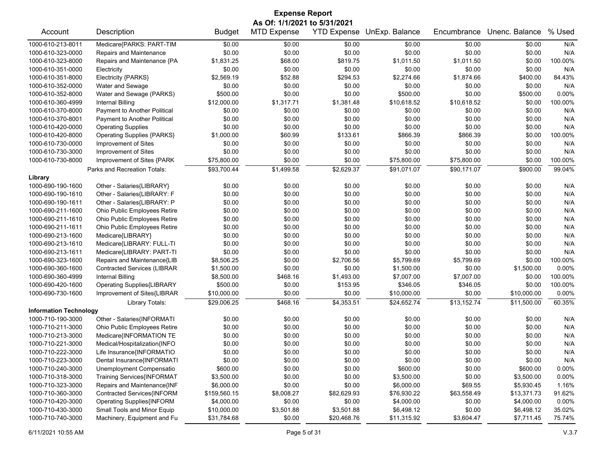| <b>Expense Report</b>         |                                    |               |                    |             |                            |             |                |         |  |  |
|-------------------------------|------------------------------------|---------------|--------------------|-------------|----------------------------|-------------|----------------|---------|--|--|
|                               | As Of: 1/1/2021 to 5/31/2021       |               |                    |             |                            |             |                |         |  |  |
| Account                       | Description                        | <b>Budget</b> | <b>MTD Expense</b> |             | YTD Expense UnExp. Balance | Encumbrance | Unenc. Balance | % Used  |  |  |
| 1000-610-213-8011             | Medicare{PARKS: PART-TIM           | \$0.00        | \$0.00             | \$0.00      | \$0.00                     | \$0.00      | \$0.00         | N/A     |  |  |
| 1000-610-323-0000             | Repairs and Maintenance            | \$0.00        | \$0.00             | \$0.00      | \$0.00                     | \$0.00      | \$0.00         | N/A     |  |  |
| 1000-610-323-8000             | Repairs and Maintenance {PA        | \$1,831.25    | \$68.00            | \$819.75    | \$1,011.50                 | \$1,011.50  | \$0.00         | 100.00% |  |  |
| 1000-610-351-0000             | Electricity                        | \$0.00        | \$0.00             | \$0.00      | \$0.00                     | \$0.00      | \$0.00         | N/A     |  |  |
| 1000-610-351-8000             | Electricity {PARKS}                | \$2,569.19    | \$52.88            | \$294.53    | \$2,274.66                 | \$1,874.66  | \$400.00       | 84.43%  |  |  |
| 1000-610-352-0000             | Water and Sewage                   | \$0.00        | \$0.00             | \$0.00      | \$0.00                     | \$0.00      | \$0.00         | N/A     |  |  |
| 1000-610-352-8000             | Water and Sewage (PARKS)           | \$500.00      | \$0.00             | \$0.00      | \$500.00                   | \$0.00      | \$500.00       | 0.00%   |  |  |
| 1000-610-360-4999             | Internal Billing                   | \$12,000.00   | \$1,317.71         | \$1,381.48  | \$10,618.52                | \$10,618.52 | \$0.00         | 100.00% |  |  |
| 1000-610-370-8000             | Payment to Another Political       | \$0.00        | \$0.00             | \$0.00      | \$0.00                     | \$0.00      | \$0.00         | N/A     |  |  |
| 1000-610-370-8001             | Payment to Another Political       | \$0.00        | \$0.00             | \$0.00      | \$0.00                     | \$0.00      | \$0.00         | N/A     |  |  |
| 1000-610-420-0000             | <b>Operating Supplies</b>          | \$0.00        | \$0.00             | \$0.00      | \$0.00                     | \$0.00      | \$0.00         | N/A     |  |  |
| 1000-610-420-8000             | <b>Operating Supplies {PARKS}</b>  | \$1,000.00    | \$60.99            | \$133.61    | \$866.39                   | \$866.39    | \$0.00         | 100.00% |  |  |
| 1000-610-730-0000             | Improvement of Sites               | \$0.00        | \$0.00             | \$0.00      | \$0.00                     | \$0.00      | \$0.00         | N/A     |  |  |
| 1000-610-730-3000             | Improvement of Sites               | \$0.00        | \$0.00             | \$0.00      | \$0.00                     | \$0.00      | \$0.00         | N/A     |  |  |
| 1000-610-730-8000             | Improvement of Sites {PARK         | \$75,800.00   | \$0.00             | \$0.00      | \$75,800.00                | \$75,800.00 | \$0.00         | 100.00% |  |  |
|                               | Parks and Recreation Totals:       | \$93,700.44   | \$1,499.58         | \$2,629.37  | \$91,071.07                | \$90,171.07 | \$900.00       | 99.04%  |  |  |
| Library                       |                                    |               |                    |             |                            |             |                |         |  |  |
| 1000-690-190-1600             | Other - Salaries{LIBRARY}          | \$0.00        | \$0.00             | \$0.00      | \$0.00                     | \$0.00      | \$0.00         | N/A     |  |  |
| 1000-690-190-1610             | Other - Salaries{LIBRARY: F        | \$0.00        | \$0.00             | \$0.00      | \$0.00                     | \$0.00      | \$0.00         | N/A     |  |  |
| 1000-690-190-1611             | Other - Salaries{LIBRARY: P        | \$0.00        | \$0.00             | \$0.00      | \$0.00                     | \$0.00      | \$0.00         | N/A     |  |  |
| 1000-690-211-1600             | Ohio Public Employees Retire       | \$0.00        | \$0.00             | \$0.00      | \$0.00                     | \$0.00      | \$0.00         | N/A     |  |  |
| 1000-690-211-1610             | Ohio Public Employees Retire       | \$0.00        | \$0.00             | \$0.00      | \$0.00                     | \$0.00      | \$0.00         | N/A     |  |  |
| 1000-690-211-1611             | Ohio Public Employees Retire       | \$0.00        | \$0.00             | \$0.00      | \$0.00                     | \$0.00      | \$0.00         | N/A     |  |  |
| 1000-690-213-1600             | Medicare{LIBRARY}                  | \$0.00        | \$0.00             | \$0.00      | \$0.00                     | \$0.00      | \$0.00         | N/A     |  |  |
| 1000-690-213-1610             | Medicare{LIBRARY: FULL-TI          | \$0.00        | \$0.00             | \$0.00      | \$0.00                     | \$0.00      | \$0.00         | N/A     |  |  |
| 1000-690-213-1611             | Medicare{LIBRARY: PART-TI          | \$0.00        | \$0.00             | \$0.00      | \$0.00                     | \$0.00      | \$0.00         | N/A     |  |  |
| 1000-690-323-1600             | Repairs and Maintenance{LIB        | \$8,506.25    | \$0.00             | \$2,706.56  | \$5,799.69                 | \$5,799.69  | \$0.00         | 100.00% |  |  |
| 1000-690-360-1600             | <b>Contracted Services (LIBRAR</b> | \$1,500.00    | \$0.00             | \$0.00      | \$1,500.00                 | \$0.00      | \$1,500.00     | 0.00%   |  |  |
| 1000-690-360-4999             | Internal Billing                   | \$8,500.00    | \$468.16           | \$1,493.00  | \$7,007.00                 | \$7,007.00  | \$0.00         | 100.00% |  |  |
| 1000-690-420-1600             | <b>Operating Supplies{LIBRARY</b>  | \$500.00      | \$0.00             | \$153.95    | \$346.05                   | \$346.05    | \$0.00         | 100.00% |  |  |
| 1000-690-730-1600             | Improvement of Sites{LIBRAR        | \$10,000.00   | \$0.00             | \$0.00      | \$10,000.00                | \$0.00      | \$10,000.00    | 0.00%   |  |  |
|                               | Library Totals:                    | \$29,006.25   | \$468.16           | \$4,353.51  | \$24,652.74                | \$13,152.74 | \$11,500.00    | 60.35%  |  |  |
| <b>Information Technology</b> |                                    |               |                    |             |                            |             |                |         |  |  |
| 1000-710-190-3000             | Other - Salaries{INFORMATI         | \$0.00        | \$0.00             | \$0.00      | \$0.00                     | \$0.00      | \$0.00         | N/A     |  |  |
| 1000-710-211-3000             | Ohio Public Employees Retire       | \$0.00        | \$0.00             | \$0.00      | \$0.00                     | \$0.00      | \$0.00         | N/A     |  |  |
| 1000-710-213-3000             | Medicare{INFORMATION TE            | \$0.00        | \$0.00             | \$0.00      | \$0.00                     | \$0.00      | \$0.00         | N/A     |  |  |
| 1000-710-221-3000             | Medical/Hospitalization{INFO       | \$0.00        | \$0.00             | \$0.00      | \$0.00                     | \$0.00      | \$0.00         | N/A     |  |  |
| 1000-710-222-3000             | Life Insurance{INFORMATIO          | \$0.00        | \$0.00             | \$0.00      | \$0.00                     | \$0.00      | \$0.00         | N/A     |  |  |
| 1000-710-223-3000             | Dental Insurance{INFORMATI         | \$0.00        | \$0.00             | \$0.00      | \$0.00                     | \$0.00      | \$0.00         | N/A     |  |  |
| 1000-710-240-3000             | Unemployment Compensatio           | \$600.00      | \$0.00             | \$0.00      | \$600.00                   | \$0.00      | \$600.00       | 0.00%   |  |  |
| 1000-710-318-3000             | Training Services{INFORMAT         | \$3,500.00    | \$0.00             | \$0.00      | \$3,500.00                 | \$0.00      | \$3,500.00     | 0.00%   |  |  |
| 1000-710-323-3000             | Repairs and Maintenance{INF        | \$6,000.00    | \$0.00             | \$0.00      | \$6,000.00                 | \$69.55     | \$5,930.45     | 1.16%   |  |  |
| 1000-710-360-3000             | Contracted Services{INFORM         | \$159,560.15  | \$8,008.27         | \$82,629.93 | \$76,930.22                | \$63,558.49 | \$13,371.73    | 91.62%  |  |  |
| 1000-710-420-3000             | <b>Operating Supplies{INFORM</b>   | \$4,000.00    | \$0.00             | \$0.00      | \$4,000.00                 | \$0.00      | \$4,000.00     | 0.00%   |  |  |
| 1000-710-430-3000             | Small Tools and Minor Equip        | \$10,000.00   | \$3,501.88         | \$3,501.88  | \$6,498.12                 | \$0.00      | \$6,498.12     | 35.02%  |  |  |
| 1000-710-740-3000             | Machinery, Equipment and Fu        | \$31,784.68   | \$0.00             | \$20,468.76 | \$11,315.92                | \$3,604.47  | \$7,711.45     | 75.74%  |  |  |
|                               |                                    |               |                    |             |                            |             |                |         |  |  |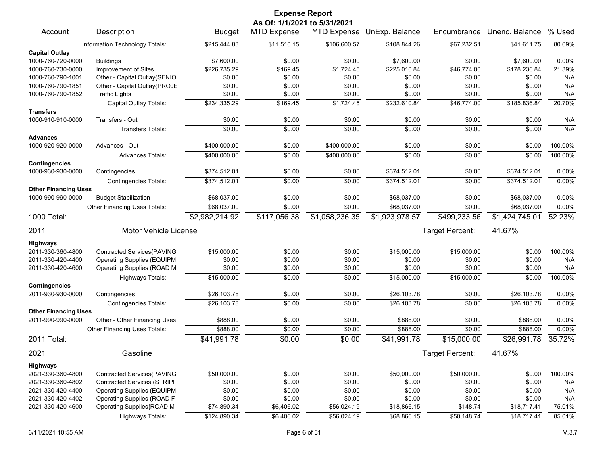|                                      |                                    |                | <b>Expense Report</b>        |                |                            |                 |                |         |
|--------------------------------------|------------------------------------|----------------|------------------------------|----------------|----------------------------|-----------------|----------------|---------|
|                                      |                                    |                | As Of: 1/1/2021 to 5/31/2021 |                |                            |                 |                |         |
| Account                              | Description                        | <b>Budget</b>  | <b>MTD Expense</b>           |                | YTD Expense UnExp. Balance | Encumbrance     | Unenc. Balance | % Used  |
|                                      | Information Technology Totals:     | \$215,444.83   | \$11,510.15                  | \$106,600.57   | \$108,844.26               | \$67,232.51     | \$41,611.75    | 80.69%  |
| <b>Capital Outlay</b>                |                                    |                |                              |                |                            |                 |                |         |
| 1000-760-720-0000                    | <b>Buildings</b>                   | \$7,600.00     | \$0.00                       | \$0.00         | \$7,600.00                 | \$0.00          | \$7,600.00     | 0.00%   |
| 1000-760-730-0000                    | Improvement of Sites               | \$226,735.29   | \$169.45                     | \$1,724.45     | \$225,010.84               | \$46,774.00     | \$178,236.84   | 21.39%  |
| 1000-760-790-1001                    | Other - Capital Outlay{SENIO       | \$0.00         | \$0.00                       | \$0.00         | \$0.00                     | \$0.00          | \$0.00         | N/A     |
| 1000-760-790-1851                    | Other - Capital Outlay{PROJE       | \$0.00         | \$0.00                       | \$0.00         | \$0.00                     | \$0.00          | \$0.00         | N/A     |
| 1000-760-790-1852                    | <b>Traffic Lights</b>              | \$0.00         | \$0.00                       | \$0.00         | \$0.00                     | \$0.00          | \$0.00         | N/A     |
|                                      | Capital Outlay Totals:             | \$234,335.29   | \$169.45                     | \$1,724.45     | \$232,610.84               | \$46,774.00     | \$185,836.84   | 20.70%  |
| <b>Transfers</b>                     |                                    |                |                              |                |                            |                 |                |         |
| 1000-910-910-0000                    | Transfers - Out                    | \$0.00         | \$0.00                       | \$0.00         | \$0.00                     | \$0.00          | \$0.00         | N/A     |
|                                      | <b>Transfers Totals:</b>           | \$0.00         | \$0.00                       | \$0.00         | \$0.00                     | \$0.00          | \$0.00         | N/A     |
| <b>Advances</b><br>1000-920-920-0000 | Advances - Out                     | \$400,000.00   | \$0.00                       | \$400,000.00   | \$0.00                     | \$0.00          | \$0.00         | 100.00% |
|                                      |                                    |                |                              |                |                            |                 |                |         |
| <b>Contingencies</b>                 | <b>Advances Totals:</b>            | \$400,000.00   | \$0.00                       | \$400,000.00   | \$0.00                     | \$0.00          | \$0.00         | 100.00% |
| 1000-930-930-0000                    | Contingencies                      | \$374,512.01   | \$0.00                       | \$0.00         | \$374,512.01               | \$0.00          | \$374,512.01   | 0.00%   |
|                                      | <b>Contingencies Totals:</b>       | \$374,512.01   | \$0.00                       | \$0.00         | \$374,512.01               | \$0.00          | \$374,512.01   | 0.00%   |
| <b>Other Financing Uses</b>          |                                    |                |                              |                |                            |                 |                |         |
| 1000-990-990-0000                    | <b>Budget Stabilization</b>        | \$68,037.00    | \$0.00                       | \$0.00         | \$68,037.00                | \$0.00          | \$68,037.00    | 0.00%   |
|                                      | Other Financing Uses Totals:       | \$68,037.00    | \$0.00                       | \$0.00         | \$68,037.00                | \$0.00          | \$68,037.00    | 0.00%   |
| 1000 Total:                          |                                    | \$2,982,214.92 | \$117,056.38                 | \$1,058,236.35 | \$1,923,978.57             | \$499,233.56    | \$1,424,745.01 | 52.23%  |
| 2011                                 | <b>Motor Vehicle License</b>       |                |                              |                |                            | Target Percent: | 41.67%         |         |
| <b>Highways</b>                      |                                    |                |                              |                |                            |                 |                |         |
| 2011-330-360-4800                    | Contracted Services{PAVING         | \$15,000.00    | \$0.00                       | \$0.00         | \$15,000.00                | \$15,000.00     | \$0.00         | 100.00% |
| 2011-330-420-4400                    | <b>Operating Supplies (EQUIPM</b>  | \$0.00         | \$0.00                       | \$0.00         | \$0.00                     | \$0.00          | \$0.00         | N/A     |
| 2011-330-420-4600                    | Operating Supplies (ROAD M         | \$0.00         | \$0.00                       | \$0.00         | \$0.00                     | \$0.00          | \$0.00         | N/A     |
|                                      | <b>Highways Totals:</b>            | \$15,000.00    | \$0.00                       | \$0.00         | \$15,000.00                | \$15,000.00     | \$0.00         | 100.00% |
| <b>Contingencies</b>                 |                                    |                |                              |                |                            |                 |                |         |
| 2011-930-930-0000                    | Contingencies                      | \$26,103.78    | \$0.00                       | \$0.00         | \$26,103.78                | \$0.00          | \$26,103.78    | 0.00%   |
|                                      | <b>Contingencies Totals:</b>       | \$26,103.78    | \$0.00                       | \$0.00         | \$26,103.78                | \$0.00          | \$26,103.78    | 0.00%   |
| <b>Other Financing Uses</b>          |                                    |                |                              |                |                            |                 |                |         |
| 2011-990-990-0000                    | Other - Other Financing Uses       | \$888.00       | \$0.00                       | \$0.00         | \$888.00                   | \$0.00          | \$888.00       | 0.00%   |
|                                      | Other Financing Uses Totals:       | \$888.00       | \$0.00                       | \$0.00         | \$888.00                   | \$0.00          | \$888.00       | 0.00%   |
| 2011 Total:                          |                                    | \$41,991.78    | \$0.00                       | \$0.00         | \$41,991.78                | \$15,000.00     | \$26,991.78    | 35.72%  |
| 2021                                 | Gasoline                           |                |                              |                |                            | Target Percent: | 41.67%         |         |
| <b>Highways</b>                      |                                    |                |                              |                |                            |                 |                |         |
| 2021-330-360-4800                    | Contracted Services{PAVING         | \$50,000.00    | \$0.00                       | \$0.00         | \$50,000.00                | \$50,000.00     | \$0.00         | 100.00% |
| 2021-330-360-4802                    | <b>Contracted Services (STRIPI</b> | \$0.00         | \$0.00                       | \$0.00         | \$0.00                     | \$0.00          | \$0.00         | N/A     |
| 2021-330-420-4400                    | <b>Operating Supplies (EQUIPM</b>  | \$0.00         | \$0.00                       | \$0.00         | \$0.00                     | \$0.00          | \$0.00         | N/A     |
| 2021-330-420-4402                    | Operating Supplies (ROAD F         | \$0.00         | \$0.00                       | \$0.00         | \$0.00                     | \$0.00          | \$0.00         | N/A     |
| 2021-330-420-4600                    | Operating Supplies{ROAD M          | \$74,890.34    | \$6,406.02                   | \$56,024.19    | \$18,866.15                | \$148.74        | \$18,717.41    | 75.01%  |
|                                      | <b>Highways Totals:</b>            | \$124,890.34   | \$6,406.02                   | \$56,024.19    | \$68,866.15                | \$50,148.74     | \$18,717.41    | 85.01%  |
|                                      |                                    |                |                              |                |                            |                 |                |         |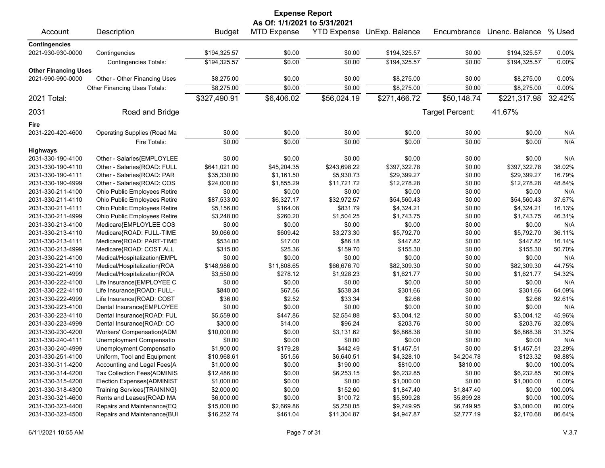| <b>Expense Report</b>       |                                                      |               |                              |              |                            |                 |                |         |  |
|-----------------------------|------------------------------------------------------|---------------|------------------------------|--------------|----------------------------|-----------------|----------------|---------|--|
|                             |                                                      |               | As Of: 1/1/2021 to 5/31/2021 |              |                            |                 |                |         |  |
| Account                     | Description                                          | <b>Budget</b> | <b>MTD Expense</b>           |              | YTD Expense UnExp. Balance | Encumbrance     | Unenc. Balance | % Used  |  |
| <b>Contingencies</b>        |                                                      |               |                              |              |                            |                 |                |         |  |
| 2021-930-930-0000           | Contingencies                                        | \$194,325.57  | \$0.00                       | \$0.00       | \$194,325.57               | \$0.00          | \$194,325.57   | 0.00%   |  |
|                             | <b>Contingencies Totals:</b>                         | \$194,325.57  | \$0.00                       | \$0.00       | \$194,325.57               | \$0.00          | \$194,325.57   | 0.00%   |  |
| <b>Other Financing Uses</b> |                                                      |               |                              |              |                            |                 |                |         |  |
| 2021-990-990-0000           | Other - Other Financing Uses                         | \$8,275.00    | \$0.00                       | \$0.00       | \$8,275.00                 | \$0.00          | \$8,275.00     | 0.00%   |  |
|                             | Other Financing Uses Totals:                         | \$8,275.00    | \$0.00                       | \$0.00       | \$8,275.00                 | \$0.00          | \$8,275.00     | 0.00%   |  |
| 2021 Total:                 |                                                      | \$327,490.91  | \$6,406.02                   | \$56,024.19  | \$271,466.72               | \$50,148.74     | \$221,317.98   | 32.42%  |  |
| 2031                        | Road and Bridge                                      |               |                              |              |                            | Target Percent: | 41.67%         |         |  |
| Fire                        |                                                      |               |                              |              |                            |                 |                |         |  |
| 2031-220-420-4600           | Operating Supplies (Road Ma                          | \$0.00        | \$0.00                       | \$0.00       | \$0.00                     | \$0.00          | \$0.00         | N/A     |  |
|                             | Fire Totals:                                         | \$0.00        | \$0.00                       | \$0.00       | \$0.00                     | \$0.00          | \$0.00         | N/A     |  |
| <b>Highways</b>             |                                                      |               |                              |              |                            |                 |                |         |  |
| 2031-330-190-4100           | Other - Salaries{EMPLOYLEE                           | \$0.00        | \$0.00                       | \$0.00       | \$0.00                     | \$0.00          | \$0.00         | N/A     |  |
| 2031-330-190-4110           | Other - Salaries{ROAD: FULL                          | \$641,021.00  | \$45,204.35                  | \$243,698.22 | \$397,322.78               | \$0.00          | \$397,322.78   | 38.02%  |  |
| 2031-330-190-4111           | Other - Salaries{ROAD: PAR                           | \$35,330.00   | \$1,161.50                   | \$5,930.73   | \$29,399.27                | \$0.00          | \$29,399.27    | 16.79%  |  |
| 2031-330-190-4999           | Other - Salaries{ROAD: COS                           | \$24,000.00   | \$1,855.29                   | \$11,721.72  | \$12,278.28                | \$0.00          | \$12,278.28    | 48.84%  |  |
| 2031-330-211-4100           | Ohio Public Employees Retire                         | \$0.00        | \$0.00                       | \$0.00       | \$0.00                     | \$0.00          | \$0.00         | N/A     |  |
| 2031-330-211-4110           | Ohio Public Employees Retire                         | \$87,533.00   | \$6,327.17                   | \$32,972.57  | \$54,560.43                | \$0.00          | \$54,560.43    | 37.67%  |  |
| 2031-330-211-4111           | Ohio Public Employees Retire                         | \$5,156.00    | \$164.08                     | \$831.79     | \$4,324.21                 | \$0.00          | \$4,324.21     | 16.13%  |  |
| 2031-330-211-4999           | Ohio Public Employees Retire                         | \$3,248.00    | \$260.20                     | \$1,504.25   | \$1,743.75                 | \$0.00          | \$1,743.75     | 46.31%  |  |
| 2031-330-213-4100           | Medicare{EMPLOYLEE COS                               | \$0.00        | \$0.00                       | \$0.00       | \$0.00                     | \$0.00          | \$0.00         | N/A     |  |
| 2031-330-213-4110           |                                                      | \$9,066.00    | \$609.42                     | \$3,273.30   | \$5,792.70                 | \$0.00          | \$5,792.70     | 36.11%  |  |
| 2031-330-213-4111           | Medicare{ROAD: FULL-TIME<br>Medicare{ROAD: PART-TIME | \$534.00      | \$17.00                      | \$86.18      | \$447.82                   | \$0.00          | \$447.82       | 16.14%  |  |
| 2031-330-213-4999           | Medicare{ROAD: COST ALL                              | \$315.00      | \$25.36                      | \$159.70     | \$155.30                   |                 | \$155.30       | 50.70%  |  |
|                             |                                                      |               |                              |              |                            | \$0.00          |                | N/A     |  |
| 2031-330-221-4100           | Medical/Hospitalization{EMPL                         | \$0.00        | \$0.00                       | \$0.00       | \$0.00                     | \$0.00          | \$0.00         | 44.75%  |  |
| 2031-330-221-4110           | Medical/Hospitalization{ROA                          | \$148,986.00  | \$11,808.65                  | \$66,676.70  | \$82,309.30                | \$0.00          | \$82,309.30    |         |  |
| 2031-330-221-4999           | Medical/Hospitalization{ROA                          | \$3,550.00    | \$278.12                     | \$1,928.23   | \$1,621.77                 | \$0.00          | \$1,621.77     | 54.32%  |  |
| 2031-330-222-4100           | Life Insurance{EMPLOYEE C                            | \$0.00        | \$0.00                       | \$0.00       | \$0.00                     | \$0.00          | \$0.00         | N/A     |  |
| 2031-330-222-4110           | Life Insurance{ROAD: FULL-                           | \$840.00      | \$67.56                      | \$538.34     | \$301.66                   | \$0.00          | \$301.66       | 64.09%  |  |
| 2031-330-222-4999           | Life Insurance{ROAD: COST                            | \$36.00       | \$2.52                       | \$33.34      | \$2.66                     | \$0.00          | \$2.66         | 92.61%  |  |
| 2031-330-223-4100           | Dental Insurance{EMPLOYEE                            | \$0.00        | \$0.00                       | \$0.00       | \$0.00                     | \$0.00          | \$0.00         | N/A     |  |
| 2031-330-223-4110           | Dental Insurance{ROAD: FUL                           | \$5,559.00    | \$447.86                     | \$2,554.88   | \$3,004.12                 | \$0.00          | \$3,004.12     | 45.96%  |  |
| 2031-330-223-4999           | Dental Insurance{ROAD: CO                            | \$300.00      | \$14.00                      | \$96.24      | \$203.76                   | \$0.00          | \$203.76       | 32.08%  |  |
| 2031-330-230-4200           | Workers' Compensation{ADM                            | \$10,000.00   | \$0.00                       | \$3,131.62   | \$6,868.38                 | \$0.00          | \$6,868.38     | 31.32%  |  |
| 2031-330-240-4111           | Unemployment Compensatio                             | \$0.00        | \$0.00                       | \$0.00       | \$0.00                     | \$0.00          | \$0.00         | N/A     |  |
| 2031-330-240-4999           | Unemployment Compensatio                             | \$1,900.00    | \$179.28                     | \$442.49     | \$1,457.51                 | \$0.00          | \$1,457.51     | 23.29%  |  |
| 2031-330-251-4100           | Uniform, Tool and Equipment                          | \$10,968.61   | \$51.56                      | \$6,640.51   | \$4,328.10                 | \$4,204.78      | \$123.32       | 98.88%  |  |
| 2031-330-311-4200           | Accounting and Legal Fees{A                          | \$1,000.00    | \$0.00                       | \$190.00     | \$810.00                   | \$810.00        | \$0.00         | 100.00% |  |
| 2031-330-314-4200           | Tax Collection Fees{ADMINIS                          | \$12,486.00   | \$0.00                       | \$6,253.15   | \$6,232.85                 | \$0.00          | \$6,232.85     | 50.08%  |  |
| 2031-330-315-4200           | Election Expenses{ADMINIST                           | \$1,000.00    | \$0.00                       | \$0.00       | \$1,000.00                 | \$0.00          | \$1,000.00     | 0.00%   |  |
| 2031-330-318-4300           | Training Services{TRAINING}                          | \$2,000.00    | \$0.00                       | \$152.60     | \$1,847.40                 | \$1,847.40      | \$0.00         | 100.00% |  |
| 2031-330-321-4600           | Rents and Leases{ROAD MA                             | \$6,000.00    | \$0.00                       | \$100.72     | \$5,899.28                 | \$5,899.28      | \$0.00         | 100.00% |  |
| 2031-330-323-4400           | Repairs and Maintenance{EQ                           | \$15,000.00   | \$2,669.86                   | \$5,250.05   | \$9,749.95                 | \$6,749.95      | \$3,000.00     | 80.00%  |  |
| 2031-330-323-4500           | Repairs and Maintenance{BUI                          | \$16,252.74   | \$461.04                     | \$11,304.87  | \$4,947.87                 | \$2,777.19      | \$2,170.68     | 86.64%  |  |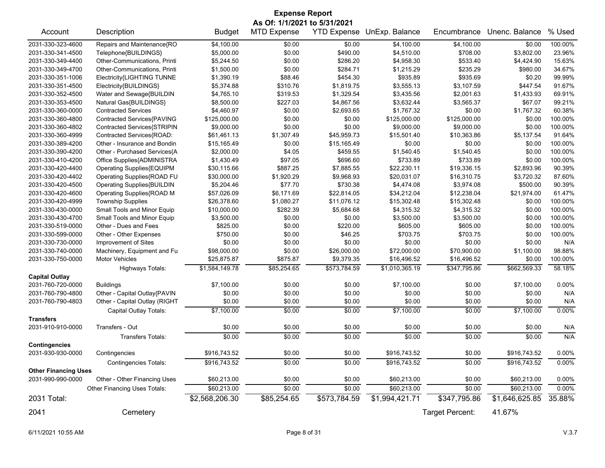|                             | <b>Expense Report</b>             |                |                              |              |                            |                 |                |          |  |  |
|-----------------------------|-----------------------------------|----------------|------------------------------|--------------|----------------------------|-----------------|----------------|----------|--|--|
|                             |                                   |                | As Of: 1/1/2021 to 5/31/2021 |              |                            |                 |                |          |  |  |
| Account                     | Description                       | <b>Budget</b>  | <b>MTD Expense</b>           |              | YTD Expense UnExp. Balance | Encumbrance     | Unenc. Balance | % Used   |  |  |
| 2031-330-323-4600           | Repairs and Maintenance{RO        | \$4,100.00     | \$0.00                       | \$0.00       | \$4,100.00                 | \$4,100.00      | \$0.00         | 100.00%  |  |  |
| 2031-330-341-4500           | Telephone{BUILDINGS}              | \$5,000.00     | \$0.00                       | \$490.00     | \$4,510.00                 | \$708.00        | \$3,802.00     | 23.96%   |  |  |
| 2031-330-349-4400           | Other-Communications, Printi      | \$5,244.50     | \$0.00                       | \$286.20     | \$4,958.30                 | \$533.40        | \$4,424.90     | 15.63%   |  |  |
| 2031-330-349-4700           | Other-Communications, Printi      | \$1,500.00     | \$0.00                       | \$284.71     | \$1,215.29                 | \$235.29        | \$980.00       | 34.67%   |  |  |
| 2031-330-351-1006           | Electricity{LIGHTING TUNNE        | \$1,390.19     | \$88.46                      | \$454.30     | \$935.89                   | \$935.69        | \$0.20         | 99.99%   |  |  |
| 2031-330-351-4500           | Electricity{BUILDINGS}            | \$5,374.88     | \$310.76                     | \$1,819.75   | \$3,555.13                 | \$3,107.59      | \$447.54       | 91.67%   |  |  |
| 2031-330-352-4500           | Water and Sewage{BUILDIN          | \$4,765.10     | \$319.53                     | \$1,329.54   | \$3,435.56                 | \$2,001.63      | \$1,433.93     | 69.91%   |  |  |
| 2031-330-353-4500           | Natural Gas{BUILDINGS}            | \$8,500.00     | \$227.03                     | \$4,867.56   | \$3,632.44                 | \$3,565.37      | \$67.07        | 99.21%   |  |  |
| 2031-330-360-0000           | <b>Contracted Services</b>        | \$4,460.97     | \$0.00                       | \$2,693.65   | \$1,767.32                 | \$0.00          | \$1,767.32     | 60.38%   |  |  |
| 2031-330-360-4800           | Contracted Services{PAVING        | \$125,000.00   | \$0.00                       | \$0.00       | \$125,000.00               | \$125,000.00    | \$0.00         | 100.00%  |  |  |
| 2031-330-360-4802           | Contracted Services{STRIPIN       | \$9,000.00     | \$0.00                       | \$0.00       | \$9,000.00                 | \$9,000.00      | \$0.00         | 100.00%  |  |  |
| 2031-330-360-4999           | Contracted Services{ROAD:         | \$61,461.13    | \$1,307.49                   | \$45,959.73  | \$15,501.40                | \$10,363.86     | \$5,137.54     | 91.64%   |  |  |
| 2031-330-389-4200           | Other - Insurance and Bondin      | \$15,165.49    | \$0.00                       | \$15,165.49  | \$0.00                     | \$0.00          | \$0.00         | 100.00%  |  |  |
| 2031-330-390-4200           | Other - Purchased Services{A      | \$2,000.00     | \$4.05                       | \$459.55     | \$1,540.45                 | \$1,540.45      | \$0.00         | 100.00%  |  |  |
| 2031-330-410-4200           | Office Supplies{ADMINISTRA        | \$1,430.49     | \$97.05                      | \$696.60     | \$733.89                   | \$733.89        | \$0.00         | 100.00%  |  |  |
| 2031-330-420-4400           | Operating Supplies{EQUIPM         | \$30,115.66    | \$887.25                     | \$7,885.55   | \$22,230.11                | \$19,336.15     | \$2,893.96     | 90.39%   |  |  |
| 2031-330-420-4402           | Operating Supplies{ROAD FU        | \$30,000.00    | \$1,920.29                   | \$9,968.93   | \$20,031.07                | \$16,310.75     | \$3,720.32     | 87.60%   |  |  |
| 2031-330-420-4500           | <b>Operating Supplies{BUILDIN</b> | \$5,204.46     | \$77.70                      | \$730.38     | \$4,474.08                 | \$3,974.08      | \$500.00       | 90.39%   |  |  |
| 2031-330-420-4600           | Operating Supplies{ROAD M         | \$57,026.09    | \$6,171.69                   | \$22,814.05  | \$34,212.04                | \$12,238.04     | \$21,974.00    | 61.47%   |  |  |
| 2031-330-420-4999           | <b>Township Supplies</b>          | \$26,378.60    | \$1,080.27                   | \$11,076.12  | \$15,302.48                | \$15,302.48     | \$0.00         | 100.00%  |  |  |
| 2031-330-430-0000           | Small Tools and Minor Equip       | \$10,000.00    | \$282.39                     | \$5,684.68   | \$4,315.32                 | \$4,315.32      | \$0.00         | 100.00%  |  |  |
| 2031-330-430-4700           | Small Tools and Minor Equip       | \$3,500.00     | \$0.00                       | \$0.00       | \$3,500.00                 | \$3,500.00      | \$0.00         | 100.00%  |  |  |
| 2031-330-519-0000           | Other - Dues and Fees             | \$825.00       | \$0.00                       | \$220.00     | \$605.00                   | \$605.00        | \$0.00         | 100.00%  |  |  |
| 2031-330-599-0000           | Other - Other Expenses            | \$750.00       | \$0.00                       | \$46.25      | \$703.75                   | \$703.75        | \$0.00         | 100.00%  |  |  |
| 2031-330-730-0000           | Improvement of Sites              | \$0.00         | \$0.00                       | \$0.00       | \$0.00                     | \$0.00          | \$0.00         | N/A      |  |  |
| 2031-330-740-0000           | Machinery, Equipment and Fu       | \$98,000.00    | \$0.00                       | \$26,000.00  | \$72,000.00                | \$70,900.00     | \$1,100.00     | 98.88%   |  |  |
| 2031-330-750-0000           | <b>Motor Vehicles</b>             | \$25,875.87    | \$875.87                     | \$9,379.35   | \$16,496.52                | \$16,496.52     | \$0.00         | 100.00%  |  |  |
|                             | <b>Highways Totals:</b>           | \$1,584,149.78 | \$85,254.65                  | \$573,784.59 | \$1,010,365.19             | \$347,795.86    | \$662,569.33   | 58.18%   |  |  |
| <b>Capital Outlay</b>       |                                   |                |                              |              |                            |                 |                |          |  |  |
| 2031-760-720-0000           | <b>Buildings</b>                  | \$7,100.00     | \$0.00                       | \$0.00       | \$7,100.00                 | \$0.00          | \$7,100.00     | 0.00%    |  |  |
| 2031-760-790-4800           | Other - Capital Outlay{PAVIN      | \$0.00         | \$0.00                       | \$0.00       | \$0.00                     | \$0.00          | \$0.00         | N/A      |  |  |
| 2031-760-790-4803           | Other - Capital Outlay (RIGHT     | \$0.00         | \$0.00                       | \$0.00       | \$0.00                     | \$0.00          | \$0.00         | N/A      |  |  |
|                             | Capital Outlay Totals:            | \$7,100.00     | \$0.00                       | \$0.00       | \$7,100.00                 | \$0.00          | \$7,100.00     | 0.00%    |  |  |
| <b>Transfers</b>            |                                   |                |                              |              |                            |                 |                |          |  |  |
| 2031-910-910-0000           | Transfers - Out                   | \$0.00         | \$0.00                       | \$0.00       | \$0.00                     | \$0.00          | \$0.00         | N/A      |  |  |
|                             | <b>Transfers Totals:</b>          | \$0.00         | \$0.00                       | \$0.00       | \$0.00                     | \$0.00          | \$0.00         | N/A      |  |  |
| <b>Contingencies</b>        |                                   |                |                              |              |                            |                 |                |          |  |  |
| 2031-930-930-0000           | Contingencies                     | \$916,743.52   | \$0.00                       | \$0.00       | \$916,743.52               | \$0.00          | \$916,743.52   | 0.00%    |  |  |
|                             | <b>Contingencies Totals:</b>      | \$916,743.52   | \$0.00                       | \$0.00       | \$916,743.52               | \$0.00          | \$916,743.52   | 0.00%    |  |  |
| <b>Other Financing Uses</b> |                                   |                |                              |              |                            |                 |                |          |  |  |
| 2031-990-990-0000           | Other - Other Financing Uses      | \$60,213.00    | \$0.00                       | \$0.00       | \$60,213.00                | \$0.00          | \$60,213.00    | 0.00%    |  |  |
|                             | Other Financing Uses Totals:      | \$60,213.00    | \$0.00                       | \$0.00       | \$60,213.00                | \$0.00          | \$60,213.00    | $0.00\%$ |  |  |
| 2031 Total:                 |                                   | \$2,568,206.30 | \$85,254.65                  | \$573,784.59 | \$1,994,421.71             | \$347,795.86    | \$1,646,625.85 | 35.88%   |  |  |
| 2041                        | Cemetery                          |                |                              |              |                            | Target Percent: | 41.67%         |          |  |  |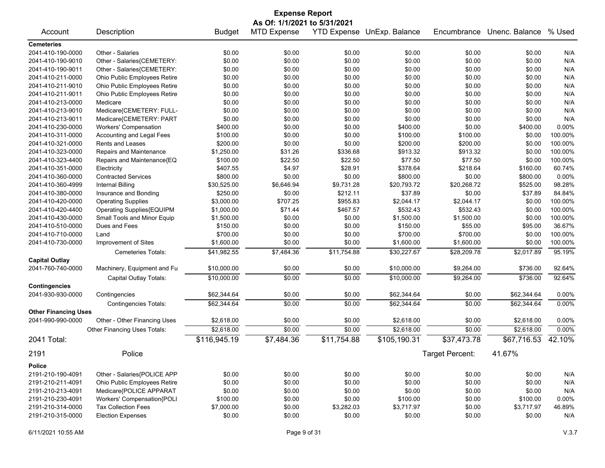|                             |                              |               | <b>Expense Report</b> |             |                            |                 |                |         |  |
|-----------------------------|------------------------------|---------------|-----------------------|-------------|----------------------------|-----------------|----------------|---------|--|
|                             | As Of: 1/1/2021 to 5/31/2021 |               |                       |             |                            |                 |                |         |  |
| Account                     | Description                  | <b>Budget</b> | <b>MTD Expense</b>    |             | YTD Expense UnExp. Balance | Encumbrance     | Unenc. Balance | % Used  |  |
| <b>Cemeteries</b>           |                              |               |                       |             |                            |                 |                |         |  |
| 2041-410-190-0000           | <b>Other - Salaries</b>      | \$0.00        | \$0.00                | \$0.00      | \$0.00                     | \$0.00          | \$0.00         | N/A     |  |
| 2041-410-190-9010           | Other - Salaries{CEMETERY:   | \$0.00        | \$0.00                | \$0.00      | \$0.00                     | \$0.00          | \$0.00         | N/A     |  |
| 2041-410-190-9011           | Other - Salaries{CEMETERY:   | \$0.00        | \$0.00                | \$0.00      | \$0.00                     | \$0.00          | \$0.00         | N/A     |  |
| 2041-410-211-0000           | Ohio Public Employees Retire | \$0.00        | \$0.00                | \$0.00      | \$0.00                     | \$0.00          | \$0.00         | N/A     |  |
| 2041-410-211-9010           | Ohio Public Employees Retire | \$0.00        | \$0.00                | \$0.00      | \$0.00                     | \$0.00          | \$0.00         | N/A     |  |
| 2041-410-211-9011           | Ohio Public Employees Retire | \$0.00        | \$0.00                | \$0.00      | \$0.00                     | \$0.00          | \$0.00         | N/A     |  |
| 2041-410-213-0000           | Medicare                     | \$0.00        | \$0.00                | \$0.00      | \$0.00                     | \$0.00          | \$0.00         | N/A     |  |
| 2041-410-213-9010           | Medicare{CEMETERY: FULL-     | \$0.00        | \$0.00                | \$0.00      | \$0.00                     | \$0.00          | \$0.00         | N/A     |  |
| 2041-410-213-9011           | Medicare{CEMETERY: PART      | \$0.00        | \$0.00                | \$0.00      | \$0.00                     | \$0.00          | \$0.00         | N/A     |  |
| 2041-410-230-0000           | <b>Workers' Compensation</b> | \$400.00      | \$0.00                | \$0.00      | \$400.00                   | \$0.00          | \$400.00       | 0.00%   |  |
| 2041-410-311-0000           | Accounting and Legal Fees    | \$100.00      | \$0.00                | \$0.00      | \$100.00                   | \$100.00        | \$0.00         | 100.00% |  |
| 2041-410-321-0000           | Rents and Leases             | \$200.00      | \$0.00                | \$0.00      | \$200.00                   | \$200.00        | \$0.00         | 100.00% |  |
| 2041-410-323-0000           | Repairs and Maintenance      | \$1,250.00    | \$31.26               | \$336.68    | \$913.32                   | \$913.32        | \$0.00         | 100.00% |  |
| 2041-410-323-4400           | Repairs and Maintenance{EQ   | \$100.00      | \$22.50               | \$22.50     | \$77.50                    | \$77.50         | \$0.00         | 100.00% |  |
| 2041-410-351-0000           | Electricity                  | \$407.55      | \$4.97                | \$28.91     | \$378.64                   | \$218.64        | \$160.00       | 60.74%  |  |
| 2041-410-360-0000           | <b>Contracted Services</b>   | \$800.00      | \$0.00                | \$0.00      | \$800.00                   | \$0.00          | \$800.00       | 0.00%   |  |
| 2041-410-360-4999           | <b>Internal Billing</b>      | \$30,525.00   | \$6,646.94            | \$9,731.28  | \$20,793.72                | \$20,268.72     | \$525.00       | 98.28%  |  |
| 2041-410-380-0000           | Insurance and Bonding        | \$250.00      | \$0.00                | \$212.11    | \$37.89                    | \$0.00          | \$37.89        | 84.84%  |  |
| 2041-410-420-0000           | <b>Operating Supplies</b>    | \$3,000.00    | \$707.25              | \$955.83    | \$2,044.17                 | \$2,044.17      | \$0.00         | 100.00% |  |
| 2041-410-420-4400           | Operating Supplies{EQUIPM    | \$1,000.00    | \$71.44               | \$467.57    | \$532.43                   | \$532.43        | \$0.00         | 100.00% |  |
| 2041-410-430-0000           | Small Tools and Minor Equip  | \$1,500.00    | \$0.00                | \$0.00      | \$1,500.00                 | \$1,500.00      | \$0.00         | 100.00% |  |
| 2041-410-510-0000           | Dues and Fees                | \$150.00      | \$0.00                | \$0.00      | \$150.00                   | \$55.00         | \$95.00        | 36.67%  |  |
| 2041-410-710-0000           | Land                         | \$700.00      | \$0.00                | \$0.00      | \$700.00                   | \$700.00        | \$0.00         | 100.00% |  |
| 2041-410-730-0000           | Improvement of Sites         | \$1,600.00    | \$0.00                | \$0.00      | \$1,600.00                 | \$1,600.00      | \$0.00         | 100.00% |  |
|                             |                              |               |                       |             | \$30,227.67                |                 |                |         |  |
|                             | Cemeteries Totals:           | \$41,982.55   | \$7,484.36            | \$11,754.88 |                            | \$28,209.78     | \$2,017.89     | 95.19%  |  |
| <b>Capital Outlay</b>       |                              |               |                       |             |                            |                 |                |         |  |
| 2041-760-740-0000           | Machinery, Equipment and Fu  | \$10,000.00   | \$0.00                | \$0.00      | \$10,000.00                | \$9,264.00      | \$736.00       | 92.64%  |  |
|                             | Capital Outlay Totals:       | \$10,000.00   | \$0.00                | \$0.00      | \$10,000.00                | \$9,264.00      | \$736.00       | 92.64%  |  |
| <b>Contingencies</b>        |                              |               |                       |             |                            |                 |                |         |  |
| 2041-930-930-0000           | Contingencies                | \$62,344.64   | \$0.00                | \$0.00      | \$62,344.64                | \$0.00          | \$62,344.64    | 0.00%   |  |
|                             | <b>Contingencies Totals:</b> | \$62,344.64   | \$0.00                | \$0.00      | \$62,344.64                | \$0.00          | \$62,344.64    | 0.00%   |  |
| <b>Other Financing Uses</b> |                              |               |                       |             |                            |                 |                |         |  |
| 2041-990-990-0000           | Other - Other Financing Uses | \$2,618.00    | \$0.00                | \$0.00      | \$2,618.00                 | \$0.00          | \$2,618.00     | 0.00%   |  |
|                             | Other Financing Uses Totals: | \$2,618.00    | \$0.00                | \$0.00      | \$2,618.00                 | \$0.00          | \$2,618.00     | 0.00%   |  |
| 2041 Total:                 |                              | \$116,945.19  | \$7,484.36            | \$11,754.88 | \$105,190.31               | \$37,473.78     | \$67,716.53    | 42.10%  |  |
| 2191                        | Police                       |               |                       |             |                            | Target Percent: | 41.67%         |         |  |
| Police                      |                              |               |                       |             |                            |                 |                |         |  |
| 2191-210-190-4091           | Other - Salaries{POLICE APP  | \$0.00        | \$0.00                | \$0.00      | \$0.00                     | \$0.00          | \$0.00         | N/A     |  |
| 2191-210-211-4091           | Ohio Public Employees Retire | \$0.00        | \$0.00                | \$0.00      | \$0.00                     | \$0.00          | \$0.00         | N/A     |  |
| 2191-210-213-4091           | Medicare{POLICE APPARAT      | \$0.00        | \$0.00                | \$0.00      | \$0.00                     | \$0.00          | \$0.00         | N/A     |  |
| 2191-210-230-4091           | Workers' Compensation{POLI   | \$100.00      | \$0.00                | \$0.00      | \$100.00                   | \$0.00          | \$100.00       | 0.00%   |  |
| 2191-210-314-0000           | <b>Tax Collection Fees</b>   | \$7,000.00    | \$0.00                | \$3,282.03  | \$3,717.97                 | \$0.00          | \$3,717.97     | 46.89%  |  |
| 2191-210-315-0000           | <b>Election Expenses</b>     | \$0.00        | \$0.00                | \$0.00      | \$0.00                     | \$0.00          | \$0.00         | N/A     |  |
|                             |                              |               |                       |             |                            |                 |                |         |  |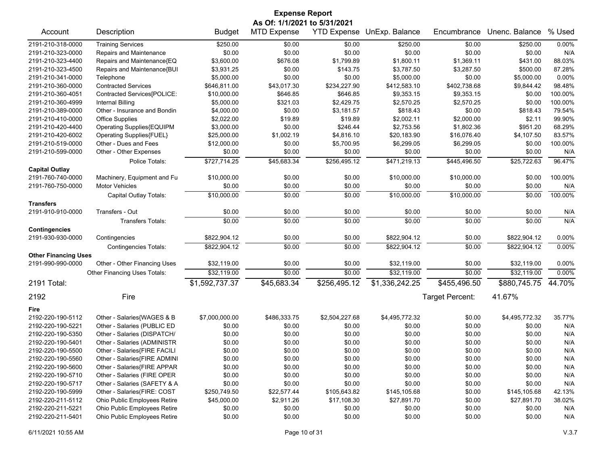| <b>Expense Report</b>       |                              |                |                              |                    |                |                 |                |         |
|-----------------------------|------------------------------|----------------|------------------------------|--------------------|----------------|-----------------|----------------|---------|
|                             |                              |                | As Of: 1/1/2021 to 5/31/2021 |                    |                |                 |                |         |
| Account                     | Description                  | <b>Budget</b>  | <b>MTD Expense</b>           | <b>YTD Expense</b> | UnExp. Balance | Encumbrance     | Unenc. Balance | % Used  |
| 2191-210-318-0000           | <b>Training Services</b>     | \$250.00       | \$0.00                       | \$0.00             | \$250.00       | \$0.00          | \$250.00       | 0.00%   |
| 2191-210-323-0000           | Repairs and Maintenance      | \$0.00         | \$0.00                       | \$0.00             | \$0.00         | \$0.00          | \$0.00         | N/A     |
| 2191-210-323-4400           | Repairs and Maintenance{EQ   | \$3,600.00     | \$676.08                     | \$1,799.89         | \$1,800.11     | \$1,369.11      | \$431.00       | 88.03%  |
| 2191-210-323-4500           | Repairs and Maintenance{BUI  | \$3,931.25     | \$0.00                       | \$143.75           | \$3,787.50     | \$3,287.50      | \$500.00       | 87.28%  |
| 2191-210-341-0000           | Telephone                    | \$5,000.00     | \$0.00                       | \$0.00             | \$5,000.00     | \$0.00          | \$5,000.00     | 0.00%   |
| 2191-210-360-0000           | <b>Contracted Services</b>   | \$646,811.00   | \$43,017.30                  | \$234,227.90       | \$412,583.10   | \$402,738.68    | \$9,844.42     | 98.48%  |
| 2191-210-360-4051           | Contracted Services[POLICE:  | \$10,000.00    | \$646.85                     | \$646.85           | \$9,353.15     | \$9,353.15      | \$0.00         | 100.00% |
| 2191-210-360-4999           | Internal Billing             | \$5,000.00     | \$321.03                     | \$2,429.75         | \$2,570.25     | \$2,570.25      | \$0.00         | 100.00% |
| 2191-210-389-0000           | Other - Insurance and Bondin | \$4,000.00     | \$0.00                       | \$3,181.57         | \$818.43       | \$0.00          | \$818.43       | 79.54%  |
| 2191-210-410-0000           | <b>Office Supplies</b>       | \$2,022.00     | \$19.89                      | \$19.89            | \$2,002.11     | \$2,000.00      | \$2.11         | 99.90%  |
| 2191-210-420-4400           | Operating Supplies{EQUIPM    | \$3,000.00     | \$0.00                       | \$246.44           | \$2,753.56     | \$1,802.36      | \$951.20       | 68.29%  |
| 2191-210-420-6002           | Operating Supplies{FUEL}     | \$25,000.00    | \$1,002.19                   | \$4,816.10         | \$20,183.90    | \$16,076.40     | \$4,107.50     | 83.57%  |
| 2191-210-519-0000           | Other - Dues and Fees        | \$12,000.00    | \$0.00                       | \$5,700.95         | \$6,299.05     | \$6,299.05      | \$0.00         | 100.00% |
| 2191-210-599-0000           | Other - Other Expenses       | \$0.00         | \$0.00                       | \$0.00             | \$0.00         | \$0.00          | \$0.00         | N/A     |
|                             | Police Totals:               | \$727,714.25   | \$45,683.34                  | \$256,495.12       | \$471,219.13   | \$445,496.50    | \$25,722.63    | 96.47%  |
| <b>Capital Outlay</b>       |                              |                |                              |                    |                |                 |                |         |
| 2191-760-740-0000           | Machinery, Equipment and Fu  | \$10,000.00    | \$0.00                       | \$0.00             | \$10,000.00    | \$10,000.00     | \$0.00         | 100.00% |
| 2191-760-750-0000           | <b>Motor Vehicles</b>        | \$0.00         | \$0.00                       | \$0.00             | \$0.00         | \$0.00          | \$0.00         | N/A     |
|                             | Capital Outlay Totals:       | \$10,000.00    | \$0.00                       | \$0.00             | \$10,000.00    | \$10,000.00     | \$0.00         | 100.00% |
| <b>Transfers</b>            |                              |                |                              |                    |                |                 |                |         |
| 2191-910-910-0000           | Transfers - Out              | \$0.00         | \$0.00                       | \$0.00             | \$0.00         | \$0.00          | \$0.00         | N/A     |
|                             | <b>Transfers Totals:</b>     | \$0.00         | \$0.00                       | \$0.00             | \$0.00         | \$0.00          | \$0.00         | N/A     |
| <b>Contingencies</b>        |                              |                |                              |                    |                |                 |                |         |
| 2191-930-930-0000           | Contingencies                | \$822,904.12   | \$0.00                       | \$0.00             | \$822,904.12   | \$0.00          | \$822,904.12   | 0.00%   |
|                             | <b>Contingencies Totals:</b> | \$822,904.12   | $\frac{1}{00}$               | \$0.00             | \$822,904.12   | \$0.00          | \$822,904.12   | 0.00%   |
| <b>Other Financing Uses</b> |                              |                |                              |                    |                |                 |                |         |
| 2191-990-990-0000           | Other - Other Financing Uses | \$32,119.00    | \$0.00                       | \$0.00             | \$32,119.00    | \$0.00          | \$32,119.00    | 0.00%   |
|                             | Other Financing Uses Totals: | \$32,119.00    | \$0.00                       | \$0.00             | \$32,119.00    | \$0.00          | \$32,119.00    | 0.00%   |
| 2191 Total:                 |                              | \$1,592,737.37 | \$45,683.34                  | \$256,495.12       | \$1,336,242.25 | \$455,496.50    | \$880,745.75   | 44.70%  |
| 2192                        | Fire                         |                |                              |                    |                | Target Percent: | 41.67%         |         |
| Fire                        |                              |                |                              |                    |                |                 |                |         |
| 2192-220-190-5112           | Other - Salaries{WAGES & B   | \$7,000,000.00 | \$486,333.75                 | \$2,504,227.68     | \$4,495,772.32 | \$0.00          | \$4,495,772.32 | 35.77%  |
| 2192-220-190-5221           | Other - Salaries (PUBLIC ED  | \$0.00         | \$0.00                       | \$0.00             | \$0.00         | \$0.00          | \$0.00         | N/A     |
| 2192-220-190-5350           | Other - Salaries (DISPATCH/  | \$0.00         | \$0.00                       | \$0.00             | \$0.00         | \$0.00          | \$0.00         | N/A     |
| 2192-220-190-5401           | Other - Salaries (ADMINISTR  | \$0.00         | \$0.00                       | \$0.00             | \$0.00         | \$0.00          | \$0.00         | N/A     |
| 2192-220-190-5500           | Other - Salaries{FIRE FACILI | \$0.00         | \$0.00                       | \$0.00             | \$0.00         | \$0.00          | \$0.00         | N/A     |
| 2192-220-190-5560           | Other - Salaries{FIRE ADMINI | \$0.00         | \$0.00                       | \$0.00             | \$0.00         | \$0.00          | \$0.00         | N/A     |
| 2192-220-190-5600           | Other - Salaries{FIRE APPAR  | \$0.00         | \$0.00                       | \$0.00             | \$0.00         | \$0.00          | \$0.00         | N/A     |
| 2192-220-190-5710           | Other - Salaries (FIRE OPER  | \$0.00         | \$0.00                       | \$0.00             | \$0.00         | \$0.00          | \$0.00         | N/A     |
| 2192-220-190-5717           | Other - Salaries (SAFETY & A | \$0.00         | \$0.00                       | \$0.00             | \$0.00         | \$0.00          | \$0.00         | N/A     |
| 2192-220-190-5999           | Other - Salaries(FIRE: COST  | \$250,749.50   | \$22,577.44                  | \$105,643.82       | \$145,105.68   | \$0.00          | \$145,105.68   | 42.13%  |
| 2192-220-211-5112           | Ohio Public Employees Retire | \$45,000.00    | \$2,911.26                   | \$17,108.30        | \$27,891.70    | \$0.00          | \$27,891.70    | 38.02%  |
| 2192-220-211-5221           | Ohio Public Employees Retire | \$0.00         | \$0.00                       | \$0.00             | \$0.00         | \$0.00          | \$0.00         | N/A     |
| 2192-220-211-5401           | Ohio Public Employees Retire | \$0.00         | \$0.00                       | \$0.00             | \$0.00         | \$0.00          | \$0.00         | N/A     |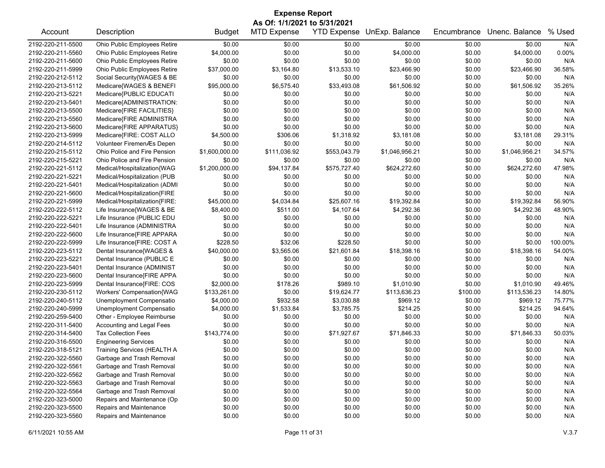| <b>Expense Report</b> |                               |                |                              |              |                            |             |                |          |  |
|-----------------------|-------------------------------|----------------|------------------------------|--------------|----------------------------|-------------|----------------|----------|--|
|                       |                               |                | As Of: 1/1/2021 to 5/31/2021 |              |                            |             |                |          |  |
| Account               | Description                   | <b>Budget</b>  | <b>MTD Expense</b>           |              | YTD Expense UnExp. Balance | Encumbrance | Unenc. Balance | % Used   |  |
| 2192-220-211-5500     | Ohio Public Employees Retire  | \$0.00         | \$0.00                       | \$0.00       | \$0.00                     | \$0.00      | \$0.00         | N/A      |  |
| 2192-220-211-5560     | Ohio Public Employees Retire  | \$4,000.00     | \$0.00                       | \$0.00       | \$4,000.00                 | \$0.00      | \$4,000.00     | $0.00\%$ |  |
| 2192-220-211-5600     | Ohio Public Employees Retire  | \$0.00         | \$0.00                       | \$0.00       | \$0.00                     | \$0.00      | \$0.00         | N/A      |  |
| 2192-220-211-5999     | Ohio Public Employees Retire  | \$37,000.00    | \$3,164.80                   | \$13,533.10  | \$23,466.90                | \$0.00      | \$23,466.90    | 36.58%   |  |
| 2192-220-212-5112     | Social Security{WAGES & BE    | \$0.00         | \$0.00                       | \$0.00       | \$0.00                     | \$0.00      | \$0.00         | N/A      |  |
| 2192-220-213-5112     | Medicare{WAGES & BENEFI       | \$95,000.00    | \$6,575.40                   | \$33,493.08  | \$61,506.92                | \$0.00      | \$61,506.92    | 35.26%   |  |
| 2192-220-213-5221     | Medicare{PUBLIC EDUCATI       | \$0.00         | \$0.00                       | \$0.00       | \$0.00                     | \$0.00      | \$0.00         | N/A      |  |
| 2192-220-213-5401     | Medicare{ADMINISTRATION:      | \$0.00         | \$0.00                       | \$0.00       | \$0.00                     | \$0.00      | \$0.00         | N/A      |  |
| 2192-220-213-5500     | Medicare{FIRE FACILITIES}     | \$0.00         | \$0.00                       | \$0.00       | \$0.00                     | \$0.00      | \$0.00         | N/A      |  |
| 2192-220-213-5560     | Medicare{FIRE ADMINISTRA      | \$0.00         | \$0.00                       | \$0.00       | \$0.00                     | \$0.00      | \$0.00         | N/A      |  |
| 2192-220-213-5600     | Medicare{FIRE APPARATUS}      | \$0.00         | \$0.00                       | \$0.00       | \$0.00                     | \$0.00      | \$0.00         | N/A      |  |
| 2192-220-213-5999     | Medicare{FIRE: COST ALLO      | \$4,500.00     | \$306.06                     | \$1,318.92   | \$3,181.08                 | \$0.00      | \$3,181.08     | 29.31%   |  |
| 2192-220-214-5112     | Volunteer FiremenÆs Depen     | \$0.00         | \$0.00                       | \$0.00       | \$0.00                     | \$0.00      | \$0.00         | N/A      |  |
| 2192-220-215-5112     | Ohio Police and Fire Pension  | \$1,600,000.00 | \$111,036.92                 | \$553,043.79 | \$1,046,956.21             | \$0.00      | \$1,046,956.21 | 34.57%   |  |
| 2192-220-215-5221     | Ohio Police and Fire Pension  | \$0.00         | \$0.00                       | \$0.00       | \$0.00                     | \$0.00      | \$0.00         | N/A      |  |
| 2192-220-221-5112     | Medical/Hospitalization{WAG   | \$1,200,000.00 | \$94,137.84                  | \$575,727.40 | \$624,272.60               | \$0.00      | \$624,272.60   | 47.98%   |  |
| 2192-220-221-5221     | Medical/Hospitalization (PUB  | \$0.00         | \$0.00                       | \$0.00       | \$0.00                     | \$0.00      | \$0.00         | N/A      |  |
| 2192-220-221-5401     | Medical/Hospitalization (ADMI | \$0.00         | \$0.00                       | \$0.00       | \$0.00                     | \$0.00      | \$0.00         | N/A      |  |
| 2192-220-221-5600     | Medical/Hospitalization{FIRE  | \$0.00         | \$0.00                       | \$0.00       | \$0.00                     | \$0.00      | \$0.00         | N/A      |  |
| 2192-220-221-5999     | Medical/Hospitalization{FIRE: | \$45,000.00    | \$4,034.84                   | \$25,607.16  | \$19,392.84                | \$0.00      | \$19,392.84    | 56.90%   |  |
| 2192-220-222-5112     | Life Insurance{WAGES & BE     | \$8,400.00     | \$511.00                     | \$4,107.64   | \$4,292.36                 | \$0.00      | \$4,292.36     | 48.90%   |  |
| 2192-220-222-5221     | Life Insurance (PUBLIC EDU    | \$0.00         | \$0.00                       | \$0.00       | \$0.00                     | \$0.00      | \$0.00         | N/A      |  |
| 2192-220-222-5401     | Life Insurance (ADMINISTRA    | \$0.00         | \$0.00                       | \$0.00       | \$0.00                     | \$0.00      | \$0.00         | N/A      |  |
| 2192-220-222-5600     | Life Insurance{FIRE APPARA    | \$0.00         | \$0.00                       | \$0.00       | \$0.00                     | \$0.00      | \$0.00         | N/A      |  |
| 2192-220-222-5999     | Life Insurance{FIRE: COST A   | \$228.50       | \$32.06                      | \$228.50     | \$0.00                     | \$0.00      | \$0.00         | 100.00%  |  |
| 2192-220-223-5112     | Dental Insurance{WAGES &      | \$40,000.00    | \$3,565.06                   | \$21,601.84  | \$18,398.16                | \$0.00      | \$18,398.16    | 54.00%   |  |
| 2192-220-223-5221     | Dental Insurance (PUBLIC E    | \$0.00         | \$0.00                       | \$0.00       | \$0.00                     | \$0.00      | \$0.00         | N/A      |  |
| 2192-220-223-5401     | Dental Insurance (ADMINIST    | \$0.00         | \$0.00                       | \$0.00       | \$0.00                     | \$0.00      | \$0.00         | N/A      |  |
| 2192-220-223-5600     | Dental Insurance{FIRE APPA    | \$0.00         | \$0.00                       | \$0.00       | \$0.00                     | \$0.00      | \$0.00         | N/A      |  |
| 2192-220-223-5999     | Dental Insurance{FIRE: COS    | \$2,000.00     | \$178.26                     | \$989.10     | \$1,010.90                 | \$0.00      | \$1,010.90     | 49.46%   |  |
| 2192-220-230-5112     | Workers' Compensation{WAG     | \$133,261.00   | \$0.00                       | \$19,624.77  | \$113,636.23               | \$100.00    | \$113,536.23   | 14.80%   |  |
| 2192-220-240-5112     | Unemployment Compensatio      | \$4,000.00     | \$932.58                     | \$3,030.88   | \$969.12                   | \$0.00      | \$969.12       | 75.77%   |  |
| 2192-220-240-5999     | Unemployment Compensatio      | \$4,000.00     | \$1,533.84                   | \$3,785.75   | \$214.25                   | \$0.00      | \$214.25       | 94.64%   |  |
| 2192-220-259-5400     | Other - Employee Reimburse    | \$0.00         | \$0.00                       | \$0.00       | \$0.00                     | \$0.00      | \$0.00         | N/A      |  |
| 2192-220-311-5400     | Accounting and Legal Fees     | \$0.00         | \$0.00                       | \$0.00       | \$0.00                     | \$0.00      | \$0.00         | N/A      |  |
| 2192-220-314-5400     | <b>Tax Collection Fees</b>    | \$143,774.00   | \$0.00                       | \$71,927.67  | \$71,846.33                | \$0.00      | \$71,846.33    | 50.03%   |  |
| 2192-220-316-5500     | <b>Engineering Services</b>   | \$0.00         | \$0.00                       | \$0.00       | \$0.00                     | \$0.00      | \$0.00         | N/A      |  |
| 2192-220-318-5121     | Training Services (HEALTH A   | \$0.00         | \$0.00                       | \$0.00       | \$0.00                     | \$0.00      | \$0.00         | N/A      |  |
| 2192-220-322-5560     | Garbage and Trash Removal     | \$0.00         | \$0.00                       | \$0.00       | \$0.00                     | \$0.00      | \$0.00         | N/A      |  |
| 2192-220-322-5561     | Garbage and Trash Removal     | \$0.00         | \$0.00                       | \$0.00       | \$0.00                     | \$0.00      | \$0.00         | N/A      |  |
| 2192-220-322-5562     | Garbage and Trash Removal     | \$0.00         | \$0.00                       | \$0.00       | \$0.00                     | \$0.00      | \$0.00         | N/A      |  |
| 2192-220-322-5563     | Garbage and Trash Removal     | \$0.00         | \$0.00                       | \$0.00       | \$0.00                     | \$0.00      | \$0.00         | N/A      |  |
| 2192-220-322-5564     | Garbage and Trash Removal     | \$0.00         | \$0.00                       | \$0.00       | \$0.00                     | \$0.00      | \$0.00         | N/A      |  |
| 2192-220-323-5000     | Repairs and Maintenance (Op   | \$0.00         | \$0.00                       | \$0.00       | \$0.00                     | \$0.00      | \$0.00         | N/A      |  |
| 2192-220-323-5500     | Repairs and Maintenance       | \$0.00         | \$0.00                       | \$0.00       | \$0.00                     | \$0.00      | \$0.00         | N/A      |  |
| 2192-220-323-5560     | Repairs and Maintenance       | \$0.00         | \$0.00                       | \$0.00       | \$0.00                     | \$0.00      | \$0.00         | N/A      |  |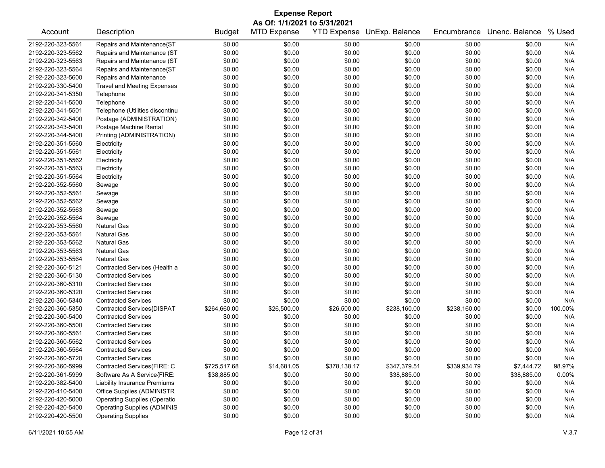| <b>Expense Report</b><br>As Of: 1/1/2021 to 5/31/2021 |                                     |               |                    |              |                            |              |                |         |
|-------------------------------------------------------|-------------------------------------|---------------|--------------------|--------------|----------------------------|--------------|----------------|---------|
| Account                                               | Description                         | <b>Budget</b> | <b>MTD Expense</b> |              | YTD Expense UnExp. Balance | Encumbrance  | Unenc. Balance | % Used  |
| 2192-220-323-5561                                     | Repairs and Maintenance{ST          | \$0.00        | \$0.00             | \$0.00       | \$0.00                     | \$0.00       | \$0.00         | N/A     |
| 2192-220-323-5562                                     | Repairs and Maintenance (ST         | \$0.00        | \$0.00             | \$0.00       | \$0.00                     | \$0.00       | \$0.00         | N/A     |
| 2192-220-323-5563                                     | Repairs and Maintenance (ST         | \$0.00        | \$0.00             | \$0.00       | \$0.00                     | \$0.00       | \$0.00         | N/A     |
| 2192-220-323-5564                                     | Repairs and Maintenance{ST          | \$0.00        | \$0.00             | \$0.00       | \$0.00                     | \$0.00       | \$0.00         | N/A     |
| 2192-220-323-5600                                     | Repairs and Maintenance             | \$0.00        | \$0.00             | \$0.00       | \$0.00                     | \$0.00       | \$0.00         | N/A     |
| 2192-220-330-5400                                     | <b>Travel and Meeting Expenses</b>  | \$0.00        | \$0.00             | \$0.00       | \$0.00                     | \$0.00       | \$0.00         | N/A     |
| 2192-220-341-5350                                     | Telephone                           | \$0.00        | \$0.00             | \$0.00       | \$0.00                     | \$0.00       | \$0.00         | N/A     |
| 2192-220-341-5500                                     | Telephone                           | \$0.00        | \$0.00             | \$0.00       | \$0.00                     | \$0.00       | \$0.00         | N/A     |
| 2192-220-341-5501                                     | Telephone (Utilities discontinu     | \$0.00        | \$0.00             | \$0.00       | \$0.00                     | \$0.00       | \$0.00         | N/A     |
| 2192-220-342-5400                                     | Postage (ADMINISTRATION)            | \$0.00        | \$0.00             | \$0.00       | \$0.00                     | \$0.00       | \$0.00         | N/A     |
| 2192-220-343-5400                                     | Postage Machine Rental              | \$0.00        | \$0.00             | \$0.00       | \$0.00                     | \$0.00       | \$0.00         | N/A     |
| 2192-220-344-5400                                     | Printing (ADMINISTRATION)           | \$0.00        | \$0.00             | \$0.00       | \$0.00                     | \$0.00       | \$0.00         | N/A     |
| 2192-220-351-5560                                     | Electricity                         | \$0.00        | \$0.00             | \$0.00       | \$0.00                     | \$0.00       | \$0.00         | N/A     |
| 2192-220-351-5561                                     | Electricity                         | \$0.00        | \$0.00             | \$0.00       | \$0.00                     | \$0.00       | \$0.00         | N/A     |
| 2192-220-351-5562                                     | Electricity                         | \$0.00        | \$0.00             | \$0.00       | \$0.00                     | \$0.00       | \$0.00         | N/A     |
| 2192-220-351-5563                                     | Electricity                         | \$0.00        | \$0.00             | \$0.00       | \$0.00                     | \$0.00       | \$0.00         | N/A     |
| 2192-220-351-5564                                     | Electricity                         | \$0.00        | \$0.00             | \$0.00       | \$0.00                     | \$0.00       | \$0.00         | N/A     |
| 2192-220-352-5560                                     | Sewage                              | \$0.00        | \$0.00             | \$0.00       | \$0.00                     | \$0.00       | \$0.00         | N/A     |
| 2192-220-352-5561                                     | Sewage                              | \$0.00        | \$0.00             | \$0.00       | \$0.00                     | \$0.00       | \$0.00         | N/A     |
| 2192-220-352-5562                                     | Sewage                              | \$0.00        | \$0.00             | \$0.00       | \$0.00                     | \$0.00       | \$0.00         | N/A     |
| 2192-220-352-5563                                     | Sewage                              | \$0.00        | \$0.00             | \$0.00       | \$0.00                     | \$0.00       | \$0.00         | N/A     |
| 2192-220-352-5564                                     | Sewage                              | \$0.00        | \$0.00             | \$0.00       | \$0.00                     | \$0.00       | \$0.00         | N/A     |
| 2192-220-353-5560                                     | <b>Natural Gas</b>                  | \$0.00        | \$0.00             | \$0.00       | \$0.00                     | \$0.00       | \$0.00         | N/A     |
| 2192-220-353-5561                                     | <b>Natural Gas</b>                  | \$0.00        | \$0.00             | \$0.00       | \$0.00                     | \$0.00       | \$0.00         | N/A     |
| 2192-220-353-5562                                     | <b>Natural Gas</b>                  | \$0.00        | \$0.00             | \$0.00       | \$0.00                     | \$0.00       | \$0.00         | N/A     |
| 2192-220-353-5563                                     | <b>Natural Gas</b>                  | \$0.00        | \$0.00             | \$0.00       | \$0.00                     | \$0.00       | \$0.00         | N/A     |
| 2192-220-353-5564                                     | <b>Natural Gas</b>                  | \$0.00        | \$0.00             | \$0.00       | \$0.00                     | \$0.00       | \$0.00         | N/A     |
| 2192-220-360-5121                                     | Contracted Services (Health a       | \$0.00        | \$0.00             | \$0.00       | \$0.00                     | \$0.00       | \$0.00         | N/A     |
| 2192-220-360-5130                                     | <b>Contracted Services</b>          | \$0.00        | \$0.00             | \$0.00       | \$0.00                     | \$0.00       | \$0.00         | N/A     |
| 2192-220-360-5310                                     | <b>Contracted Services</b>          | \$0.00        | \$0.00             | \$0.00       | \$0.00                     | \$0.00       | \$0.00         | N/A     |
| 2192-220-360-5320                                     | <b>Contracted Services</b>          | \$0.00        | \$0.00             | \$0.00       | \$0.00                     | \$0.00       | \$0.00         | N/A     |
| 2192-220-360-5340                                     | <b>Contracted Services</b>          | \$0.00        | \$0.00             | \$0.00       | \$0.00                     | \$0.00       | \$0.00         | N/A     |
| 2192-220-360-5350                                     | Contracted Services{DISPAT          | \$264,660.00  | \$26,500.00        | \$26,500.00  | \$238,160.00               | \$238,160.00 | \$0.00         | 100.00% |
| 2192-220-360-5400                                     | <b>Contracted Services</b>          | \$0.00        | \$0.00             | \$0.00       | \$0.00                     | \$0.00       | \$0.00         | N/A     |
| 2192-220-360-5500                                     | <b>Contracted Services</b>          | \$0.00        | \$0.00             | \$0.00       | \$0.00                     | \$0.00       | \$0.00         | N/A     |
| 2192-220-360-5561                                     | <b>Contracted Services</b>          | \$0.00        | \$0.00             | \$0.00       | \$0.00                     | \$0.00       | \$0.00         | N/A     |
| 2192-220-360-5562                                     | <b>Contracted Services</b>          | \$0.00        | \$0.00             | \$0.00       | \$0.00                     | \$0.00       | \$0.00         | N/A     |
| 2192-220-360-5564                                     | <b>Contracted Services</b>          | \$0.00        | \$0.00             | \$0.00       | \$0.00                     | \$0.00       | \$0.00         | N/A     |
| 2192-220-360-5720                                     | <b>Contracted Services</b>          | \$0.00        | \$0.00             | \$0.00       | \$0.00                     | \$0.00       | \$0.00         | N/A     |
| 2192-220-360-5999                                     | Contracted Services(FIRE: C         | \$725,517.68  | \$14,681.05        | \$378,138.17 | \$347,379.51               | \$339,934.79 | \$7,444.72     | 98.97%  |
| 2192-220-361-5999                                     | Software As A Service{FIRE:         | \$38,885.00   | \$0.00             | \$0.00       | \$38,885.00                | \$0.00       | \$38,885.00    | 0.00%   |
| 2192-220-382-5400                                     | <b>Liability Insurance Premiums</b> | \$0.00        | \$0.00             | \$0.00       | \$0.00                     | \$0.00       | \$0.00         | N/A     |
| 2192-220-410-5400                                     | Office Supplies (ADMINISTR          | \$0.00        | \$0.00             | \$0.00       | \$0.00                     | \$0.00       | \$0.00         | N/A     |
| 2192-220-420-5000                                     | <b>Operating Supplies (Operatio</b> | \$0.00        | \$0.00             | \$0.00       | \$0.00                     | \$0.00       | \$0.00         | N/A     |
| 2192-220-420-5400                                     | <b>Operating Supplies (ADMINIS</b>  | \$0.00        | \$0.00             | \$0.00       | \$0.00                     | \$0.00       | \$0.00         | N/A     |
| 2192-220-420-5500                                     | <b>Operating Supplies</b>           | \$0.00        | \$0.00             | \$0.00       | \$0.00                     | \$0.00       | \$0.00         | N/A     |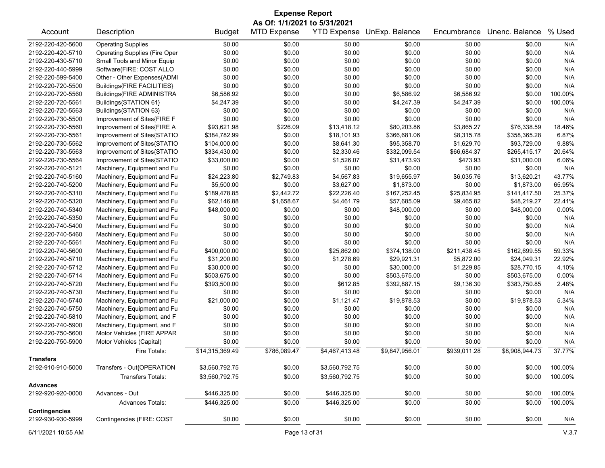|                      |                                                            |                 | <b>Expense Report</b> |                |                |              |                |         |  |  |
|----------------------|------------------------------------------------------------|-----------------|-----------------------|----------------|----------------|--------------|----------------|---------|--|--|
|                      | As Of: 1/1/2021 to 5/31/2021<br>YTD Expense UnExp. Balance |                 |                       |                |                |              |                |         |  |  |
| Account              | Description                                                | <b>Budget</b>   | <b>MTD Expense</b>    |                |                | Encumbrance  | Unenc. Balance | % Used  |  |  |
| 2192-220-420-5600    | <b>Operating Supplies</b>                                  | \$0.00          | \$0.00                | \$0.00         | \$0.00         | \$0.00       | \$0.00         | N/A     |  |  |
| 2192-220-420-5710    | <b>Operating Supplies (Fire Oper</b>                       | \$0.00          | \$0.00                | \$0.00         | \$0.00         | \$0.00       | \$0.00         | N/A     |  |  |
| 2192-220-430-5710    | Small Tools and Minor Equip                                | \$0.00          | \$0.00                | \$0.00         | \$0.00         | \$0.00       | \$0.00         | N/A     |  |  |
| 2192-220-440-5999    | Software(FIRE: COST ALLO                                   | \$0.00          | \$0.00                | \$0.00         | \$0.00         | \$0.00       | \$0.00         | N/A     |  |  |
| 2192-220-599-5400    | Other - Other Expenses{ADMI                                | \$0.00          | \$0.00                | \$0.00         | \$0.00         | \$0.00       | \$0.00         | N/A     |  |  |
| 2192-220-720-5500    | Buildings{FIRE FACILITIES}                                 | \$0.00          | \$0.00                | \$0.00         | \$0.00         | \$0.00       | \$0.00         | N/A     |  |  |
| 2192-220-720-5560    | Buildings{FIRE ADMINISTRA                                  | \$6,586.92      | \$0.00                | \$0.00         | \$6,586.92     | \$6,586.92   | \$0.00         | 100.00% |  |  |
| 2192-220-720-5561    | Buildings{STATION 61}                                      | \$4,247.39      | \$0.00                | \$0.00         | \$4,247.39     | \$4,247.39   | \$0.00         | 100.00% |  |  |
| 2192-220-720-5563    | Buildings{STATION 63}                                      | \$0.00          | \$0.00                | \$0.00         | \$0.00         | \$0.00       | \$0.00         | N/A     |  |  |
| 2192-220-730-5500    | Improvement of Sites{FIRE F                                | \$0.00          | \$0.00                | \$0.00         | \$0.00         | \$0.00       | \$0.00         | N/A     |  |  |
| 2192-220-730-5560    | Improvement of Sites{FIRE A                                | \$93,621.98     | \$226.09              | \$13,418.12    | \$80,203.86    | \$3,865.27   | \$76,338.59    | 18.46%  |  |  |
| 2192-220-730-5561    | Improvement of Sites{STATIO                                | \$384,782.99    | \$0.00                | \$18,101.93    | \$366,681.06   | \$8,315.78   | \$358,365.28   | 6.87%   |  |  |
| 2192-220-730-5562    | Improvement of Sites{STATIO                                | \$104,000.00    | \$0.00                | \$8,641.30     | \$95,358.70    | \$1,629.70   | \$93,729.00    | 9.88%   |  |  |
| 2192-220-730-5563    | Improvement of Sites{STATIO                                | \$334,430.00    | \$0.00                | \$2,330.46     | \$332,099.54   | \$66,684.37  | \$265,415.17   | 20.64%  |  |  |
| 2192-220-730-5564    | Improvement of Sites{STATIO                                | \$33,000.00     | \$0.00                | \$1,526.07     | \$31,473.93    | \$473.93     | \$31,000.00    | 6.06%   |  |  |
| 2192-220-740-5121    | Machinery, Equipment and Fu                                | \$0.00          | \$0.00                | \$0.00         | \$0.00         | \$0.00       | \$0.00         | N/A     |  |  |
| 2192-220-740-5160    | Machinery, Equipment and Fu                                | \$24,223.80     | \$2,749.83            | \$4,567.83     | \$19,655.97    | \$6,035.76   | \$13,620.21    | 43.77%  |  |  |
| 2192-220-740-5200    | Machinery, Equipment and Fu                                | \$5,500.00      | \$0.00                | \$3,627.00     | \$1,873.00     | \$0.00       | \$1,873.00     | 65.95%  |  |  |
| 2192-220-740-5310    | Machinery, Equipment and Fu                                | \$189,478.85    | \$2,442.72            | \$22,226.40    | \$167,252.45   | \$25,834.95  | \$141,417.50   | 25.37%  |  |  |
| 2192-220-740-5320    | Machinery, Equipment and Fu                                | \$62,146.88     | \$1,658.67            | \$4,461.79     | \$57,685.09    | \$9,465.82   | \$48,219.27    | 22.41%  |  |  |
| 2192-220-740-5340    | Machinery, Equipment and Fu                                | \$48,000.00     | \$0.00                | \$0.00         | \$48,000.00    | \$0.00       | \$48,000.00    | 0.00%   |  |  |
| 2192-220-740-5350    | Machinery, Equipment and Fu                                | \$0.00          | \$0.00                | \$0.00         | \$0.00         | \$0.00       | \$0.00         | N/A     |  |  |
| 2192-220-740-5400    | Machinery, Equipment and Fu                                | \$0.00          | \$0.00                | \$0.00         | \$0.00         | \$0.00       | \$0.00         | N/A     |  |  |
| 2192-220-740-5460    | Machinery, Equipment and Fu                                | \$0.00          | \$0.00                | \$0.00         | \$0.00         | \$0.00       | \$0.00         | N/A     |  |  |
| 2192-220-740-5561    | Machinery, Equipment and Fu                                | \$0.00          | \$0.00                | \$0.00         | \$0.00         | \$0.00       | \$0.00         | N/A     |  |  |
| 2192-220-740-5600    | Machinery, Equipment and Fu                                | \$400,000.00    | \$0.00                | \$25,862.00    | \$374,138.00   | \$211,438.45 | \$162,699.55   | 59.33%  |  |  |
| 2192-220-740-5710    |                                                            | \$31,200.00     | \$0.00                | \$1,278.69     | \$29,921.31    | \$5,872.00   | \$24,049.31    | 22.92%  |  |  |
|                      | Machinery, Equipment and Fu                                |                 |                       |                |                |              |                |         |  |  |
| 2192-220-740-5712    | Machinery, Equipment and Fu                                | \$30,000.00     | \$0.00                | \$0.00         | \$30,000.00    | \$1,229.85   | \$28,770.15    | 4.10%   |  |  |
| 2192-220-740-5714    | Machinery, Equipment and Fu                                | \$503,675.00    | \$0.00                | \$0.00         | \$503,675.00   | \$0.00       | \$503,675.00   | 0.00%   |  |  |
| 2192-220-740-5720    | Machinery, Equipment and Fu                                | \$393,500.00    | \$0.00                | \$612.85       | \$392,887.15   | \$9,136.30   | \$383,750.85   | 2.48%   |  |  |
| 2192-220-740-5730    | Machinery, Equipment and Fu                                | \$0.00          | \$0.00                | \$0.00         | \$0.00         | \$0.00       | \$0.00         | N/A     |  |  |
| 2192-220-740-5740    | Machinery, Equipment and Fu                                | \$21,000.00     | \$0.00                | \$1,121.47     | \$19,878.53    | \$0.00       | \$19,878.53    | 5.34%   |  |  |
| 2192-220-740-5750    | Machinery, Equipment and Fu                                | \$0.00          | \$0.00                | \$0.00         | \$0.00         | \$0.00       | \$0.00         | N/A     |  |  |
| 2192-220-740-5810    | Machinery, Equipment, and F                                | \$0.00          | \$0.00                | \$0.00         | \$0.00         | \$0.00       | \$0.00         | N/A     |  |  |
| 2192-220-740-5900    | Machinery, Equipment, and F                                | \$0.00          | \$0.00                | \$0.00         | \$0.00         | \$0.00       | \$0.00         | N/A     |  |  |
| 2192-220-750-5600    | Motor Vehicles (FIRE APPAR                                 | \$0.00          | \$0.00                | \$0.00         | \$0.00         | \$0.00       | \$0.00         | N/A     |  |  |
| 2192-220-750-5900    | Motor Vehicles (Capital)                                   | \$0.00          | \$0.00                | \$0.00         | \$0.00         | \$0.00       | \$0.00         | N/A     |  |  |
| <b>Transfers</b>     | Fire Totals:                                               | \$14,315,369.49 | \$786,089.47          | \$4,467,413.48 | \$9,847,956.01 | \$939,011.28 | \$8,908,944.73 | 37.77%  |  |  |
| 2192-910-910-5000    | Transfers - Out{OPERATION                                  | \$3,560,792.75  | \$0.00                | \$3,560,792.75 | \$0.00         | \$0.00       | \$0.00         | 100.00% |  |  |
|                      | <b>Transfers Totals:</b>                                   | \$3,560,792.75  | \$0.00                | \$3,560,792.75 | \$0.00         | \$0.00       | \$0.00         | 100.00% |  |  |
| <b>Advances</b>      |                                                            |                 |                       |                |                |              |                |         |  |  |
| 2192-920-920-0000    | Advances - Out                                             | \$446,325.00    | \$0.00                | \$446,325.00   | \$0.00         | \$0.00       | \$0.00         | 100.00% |  |  |
|                      | Advances Totals:                                           | \$446,325.00    | \$0.00                | \$446,325.00   | \$0.00         | \$0.00       | \$0.00         | 100.00% |  |  |
| <b>Contingencies</b> |                                                            |                 |                       |                |                |              |                |         |  |  |
| 2192-930-930-5999    | Contingencies (FIRE: COST                                  | \$0.00          | \$0.00                | \$0.00         | \$0.00         | \$0.00       | \$0.00         | N/A     |  |  |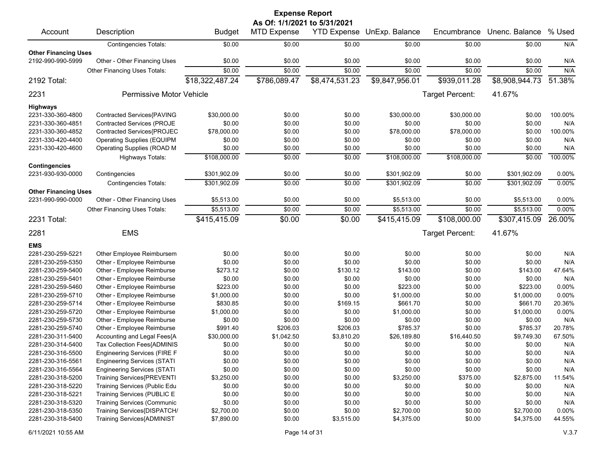|                                                  |                                     |                 | <b>Expense Report</b>        |                |                            |                 |                |          |
|--------------------------------------------------|-------------------------------------|-----------------|------------------------------|----------------|----------------------------|-----------------|----------------|----------|
|                                                  |                                     |                 | As Of: 1/1/2021 to 5/31/2021 |                |                            |                 |                |          |
| Account                                          | Description                         | <b>Budget</b>   | <b>MTD Expense</b>           |                | YTD Expense UnExp. Balance | Encumbrance     | Unenc. Balance | % Used   |
|                                                  | <b>Contingencies Totals:</b>        | \$0.00          | \$0.00                       | \$0.00         | \$0.00                     | \$0.00          | \$0.00         | N/A      |
| <b>Other Financing Uses</b><br>2192-990-990-5999 | Other - Other Financing Uses        | \$0.00          | \$0.00                       | \$0.00         | \$0.00                     | \$0.00          | \$0.00         | N/A      |
|                                                  | Other Financing Uses Totals:        | \$0.00          | \$0.00                       | \$0.00         | \$0.00                     | \$0.00          | \$0.00         | N/A      |
| 2192 Total:                                      |                                     | \$18,322,487.24 | \$786,089.47                 | \$8,474,531.23 | \$9,847,956.01             | \$939,011.28    | \$8,908,944.73 | 51.38%   |
| 2231                                             | Permissive Motor Vehicle            |                 |                              |                |                            | Target Percent: | 41.67%         |          |
| <b>Highways</b>                                  |                                     |                 |                              |                |                            |                 |                |          |
| 2231-330-360-4800                                | Contracted Services{PAVING          | \$30,000.00     | \$0.00                       | \$0.00         | \$30,000.00                | \$30,000.00     | \$0.00         | 100.00%  |
| 2231-330-360-4851                                | <b>Contracted Services (PROJE</b>   | \$0.00          | \$0.00                       | \$0.00         | \$0.00                     | \$0.00          | \$0.00         | N/A      |
| 2231-330-360-4852                                | Contracted Services{PROJEC          | \$78,000.00     | \$0.00                       | \$0.00         | \$78,000.00                | \$78,000.00     | \$0.00         | 100.00%  |
| 2231-330-420-4400                                | <b>Operating Supplies (EQUIPM</b>   | \$0.00          | \$0.00                       | \$0.00         | \$0.00                     | \$0.00          | \$0.00         | N/A      |
| 2231-330-420-4600                                | Operating Supplies (ROAD M          | \$0.00          | \$0.00                       | \$0.00         | \$0.00                     | \$0.00          | \$0.00         | N/A      |
|                                                  | Highways Totals:                    | \$108,000.00    | \$0.00                       | \$0.00         | \$108,000.00               | \$108,000.00    | \$0.00         | 100.00%  |
| <b>Contingencies</b><br>2231-930-930-0000        | Contingencies                       | \$301,902.09    | \$0.00                       | \$0.00         | \$301,902.09               | \$0.00          | \$301,902.09   | 0.00%    |
|                                                  |                                     | \$301,902.09    | \$0.00                       | \$0.00         | \$301,902.09               | \$0.00          | \$301,902.09   | 0.00%    |
|                                                  | <b>Contingencies Totals:</b>        |                 |                              |                |                            |                 |                |          |
| <b>Other Financing Uses</b><br>2231-990-990-0000 | Other - Other Financing Uses        | \$5,513.00      | \$0.00                       | \$0.00         | \$5,513.00                 | \$0.00          | \$5,513.00     | 0.00%    |
|                                                  | Other Financing Uses Totals:        | \$5,513.00      | \$0.00                       | \$0.00         | \$5,513.00                 | \$0.00          | \$5,513.00     | 0.00%    |
| 2231 Total:                                      |                                     | \$415,415.09    | \$0.00                       | \$0.00         | \$415,415.09               | \$108,000.00    | \$307,415.09   | 26.00%   |
| 2281                                             | <b>EMS</b>                          |                 |                              |                |                            | Target Percent: | 41.67%         |          |
| <b>EMS</b>                                       |                                     |                 |                              |                |                            |                 |                |          |
| 2281-230-259-5221                                | Other Employee Reimbursem           | \$0.00          | \$0.00                       | \$0.00         | \$0.00                     | \$0.00          | \$0.00         | N/A      |
| 2281-230-259-5350                                | Other - Employee Reimburse          | \$0.00          | \$0.00                       | \$0.00         | \$0.00                     | \$0.00          | \$0.00         | N/A      |
| 2281-230-259-5400                                | Other - Employee Reimburse          | \$273.12        | \$0.00                       | \$130.12       | \$143.00                   | \$0.00          | \$143.00       | 47.64%   |
| 2281-230-259-5401                                | Other - Employee Reimburse          | \$0.00          | \$0.00                       | \$0.00         | \$0.00                     | \$0.00          | \$0.00         | N/A      |
| 2281-230-259-5460                                | Other - Employee Reimburse          | \$223.00        | \$0.00                       | \$0.00         | \$223.00                   | \$0.00          | \$223.00       | 0.00%    |
| 2281-230-259-5710                                | Other - Employee Reimburse          | \$1,000.00      | \$0.00                       | \$0.00         | \$1,000.00                 | \$0.00          | \$1,000.00     | 0.00%    |
| 2281-230-259-5714                                | Other - Employee Reimburse          | \$830.85        | \$0.00                       | \$169.15       | \$661.70                   | \$0.00          | \$661.70       | 20.36%   |
| 2281-230-259-5720                                | Other - Employee Reimburse          | \$1,000.00      | \$0.00                       | \$0.00         | \$1,000.00                 | \$0.00          | \$1,000.00     | 0.00%    |
| 2281-230-259-5730                                | Other - Employee Reimburse          | \$0.00          | \$0.00                       | \$0.00         | \$0.00                     | \$0.00          | \$0.00         | N/A      |
| 2281-230-259-5740                                | Other - Employee Reimburse          | \$991.40        | \$206.03                     | \$206.03       | \$785.37                   | \$0.00          | \$785.37       | 20.78%   |
| 2281-230-311-5400                                | Accounting and Legal Fees{A         | \$30,000.00     | \$1,042.50                   | \$3,810.20     | \$26,189.80                | \$16,440.50     | \$9,749.30     | 67.50%   |
| 2281-230-314-5400                                | Tax Collection Fees{ADMINIS         | \$0.00          | \$0.00                       | \$0.00         | \$0.00                     | \$0.00          | \$0.00         | N/A      |
| 2281-230-316-5500                                | <b>Engineering Services (FIRE F</b> | \$0.00          | \$0.00                       | \$0.00         | \$0.00                     | \$0.00          | \$0.00         | N/A      |
| 2281-230-316-5561                                | <b>Engineering Services (STATI</b>  | \$0.00          | \$0.00                       | \$0.00         | \$0.00                     | \$0.00          | \$0.00         | N/A      |
| 2281-230-316-5564                                | <b>Engineering Services (STATI</b>  | \$0.00          | \$0.00                       | \$0.00         | \$0.00                     | \$0.00          | \$0.00         | N/A      |
| 2281-230-318-5200                                | Training Services{PREVENTI          | \$3,250.00      | \$0.00                       | \$0.00         | \$3,250.00                 | \$375.00        | \$2,875.00     | 11.54%   |
| 2281-230-318-5220                                | Training Services (Public Edu       | \$0.00          | \$0.00                       | \$0.00         | \$0.00                     | \$0.00          | \$0.00         | N/A      |
| 2281-230-318-5221                                | Training Services (PUBLIC E         | \$0.00          | \$0.00                       | \$0.00         | \$0.00                     | \$0.00          | \$0.00         | N/A      |
| 2281-230-318-5320                                | <b>Training Services (Communic</b>  | \$0.00          | \$0.00                       | \$0.00         | \$0.00                     | \$0.00          | \$0.00         | N/A      |
| 2281-230-318-5350                                | Training Services{DISPATCH/         | \$2,700.00      | \$0.00                       | \$0.00         | \$2,700.00                 | \$0.00          | \$2,700.00     | $0.00\%$ |
| 2281-230-318-5400                                | <b>Training Services{ADMINIST</b>   | \$7,890.00      | \$0.00                       | \$3,515.00     | \$4,375.00                 | \$0.00          | \$4,375.00     | 44.55%   |
|                                                  |                                     |                 |                              |                |                            |                 |                |          |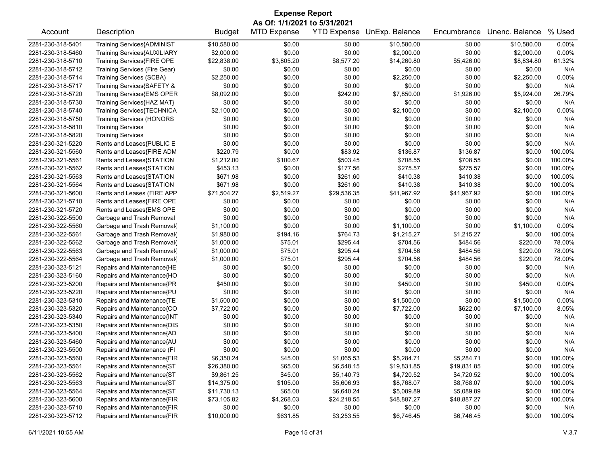| <b>Expense Report</b> |                                   |               |                              |             |                            |             |                |         |
|-----------------------|-----------------------------------|---------------|------------------------------|-------------|----------------------------|-------------|----------------|---------|
|                       |                                   |               | As Of: 1/1/2021 to 5/31/2021 |             |                            |             |                |         |
| Account               | Description                       | <b>Budget</b> | <b>MTD Expense</b>           |             | YTD Expense UnExp. Balance | Encumbrance | Unenc. Balance | % Used  |
| 2281-230-318-5401     | <b>Training Services{ADMINIST</b> | \$10,580.00   | \$0.00                       | \$0.00      | \$10,580.00                | \$0.00      | \$10,580.00    | 0.00%   |
| 2281-230-318-5460     | Training Services{AUXILIARY       | \$2,000.00    | \$0.00                       | \$0.00      | \$2,000.00                 | \$0.00      | \$2,000.00     | 0.00%   |
| 2281-230-318-5710     | Training Services{FIRE OPE        | \$22,838.00   | \$3,805.20                   | \$8,577.20  | \$14,260.80                | \$5,426.00  | \$8,834.80     | 61.32%  |
| 2281-230-318-5712     | Training Services (Fire Gear)     | \$0.00        | \$0.00                       | \$0.00      | \$0.00                     | \$0.00      | \$0.00         | N/A     |
| 2281-230-318-5714     | <b>Training Services (SCBA)</b>   | \$2,250.00    | \$0.00                       | \$0.00      | \$2,250.00                 | \$0.00      | \$2,250.00     | 0.00%   |
| 2281-230-318-5717     | Training Services{SAFETY &        | \$0.00        | \$0.00                       | \$0.00      | \$0.00                     | \$0.00      | \$0.00         | N/A     |
| 2281-230-318-5720     | Training Services{EMS OPER        | \$8,092.00    | \$0.00                       | \$242.00    | \$7,850.00                 | \$1,926.00  | \$5,924.00     | 26.79%  |
| 2281-230-318-5730     | Training Services{HAZ MAT}        | \$0.00        | \$0.00                       | \$0.00      | \$0.00                     | \$0.00      | \$0.00         | N/A     |
| 2281-230-318-5740     | Training Services{TECHNICA        | \$2,100.00    | \$0.00                       | \$0.00      | \$2,100.00                 | \$0.00      | \$2,100.00     | 0.00%   |
| 2281-230-318-5750     | <b>Training Services (HONORS</b>  | \$0.00        | \$0.00                       | \$0.00      | \$0.00                     | \$0.00      | \$0.00         | N/A     |
| 2281-230-318-5810     | <b>Training Services</b>          | \$0.00        | \$0.00                       | \$0.00      | \$0.00                     | \$0.00      | \$0.00         | N/A     |
| 2281-230-318-5820     | <b>Training Services</b>          | \$0.00        | \$0.00                       | \$0.00      | \$0.00                     | \$0.00      | \$0.00         | N/A     |
| 2281-230-321-5220     | Rents and Leases{PUBLIC E         | \$0.00        | \$0.00                       | \$0.00      | \$0.00                     | \$0.00      | \$0.00         | N/A     |
| 2281-230-321-5560     | Rents and Leases{FIRE ADM         | \$220.79      | \$0.00                       | \$83.92     | \$136.87                   | \$136.87    | \$0.00         | 100.00% |
| 2281-230-321-5561     | Rents and Leases{STATION          | \$1,212.00    | \$100.67                     | \$503.45    | \$708.55                   | \$708.55    | \$0.00         | 100.00% |
| 2281-230-321-5562     | Rents and Leases{STATION          | \$453.13      | \$0.00                       | \$177.56    | \$275.57                   | \$275.57    | \$0.00         | 100.00% |
| 2281-230-321-5563     | Rents and Leases{STATION          | \$671.98      | \$0.00                       | \$261.60    | \$410.38                   | \$410.38    | \$0.00         | 100.00% |
| 2281-230-321-5564     | Rents and Leases{STATION          | \$671.98      | \$0.00                       | \$261.60    | \$410.38                   | \$410.38    | \$0.00         | 100.00% |
| 2281-230-321-5600     | Rents and Leases (FIRE APP        | \$71,504.27   | \$2,519.27                   | \$29,536.35 | \$41,967.92                | \$41,967.92 | \$0.00         | 100.00% |
| 2281-230-321-5710     | Rents and Leases{FIRE OPE         | \$0.00        | \$0.00                       | \$0.00      | \$0.00                     | \$0.00      | \$0.00         | N/A     |
| 2281-230-321-5720     | Rents and Leases{EMS OPE          | \$0.00        | \$0.00                       | \$0.00      | \$0.00                     | \$0.00      | \$0.00         | N/A     |
| 2281-230-322-5500     | Garbage and Trash Removal         | \$0.00        | \$0.00                       | \$0.00      | \$0.00                     | \$0.00      | \$0.00         | N/A     |
| 2281-230-322-5560     | Garbage and Trash Removal{        | \$1,100.00    | \$0.00                       | \$0.00      | \$1,100.00                 | \$0.00      | \$1,100.00     | 0.00%   |
| 2281-230-322-5561     | Garbage and Trash Removal{        | \$1,980.00    | \$194.16                     | \$764.73    | \$1,215.27                 | \$1,215.27  | \$0.00         | 100.00% |
| 2281-230-322-5562     | Garbage and Trash Removal{        | \$1,000.00    | \$75.01                      | \$295.44    | \$704.56                   | \$484.56    | \$220.00       | 78.00%  |
| 2281-230-322-5563     | Garbage and Trash Removal{        | \$1,000.00    | \$75.01                      | \$295.44    | \$704.56                   | \$484.56    | \$220.00       | 78.00%  |
| 2281-230-322-5564     | Garbage and Trash Removal{        | \$1,000.00    | \$75.01                      | \$295.44    | \$704.56                   | \$484.56    | \$220.00       | 78.00%  |
| 2281-230-323-5121     | Repairs and Maintenance{HE        | \$0.00        | \$0.00                       | \$0.00      | \$0.00                     | \$0.00      | \$0.00         | N/A     |
| 2281-230-323-5160     | Repairs and Maintenance{HO        | \$0.00        | \$0.00                       | \$0.00      | \$0.00                     | \$0.00      | \$0.00         | N/A     |
| 2281-230-323-5200     | Repairs and Maintenance{PR        | \$450.00      | \$0.00                       | \$0.00      | \$450.00                   | \$0.00      | \$450.00       | 0.00%   |
| 2281-230-323-5220     | Repairs and Maintenance{PU        | \$0.00        | \$0.00                       | \$0.00      | \$0.00                     | \$0.00      | \$0.00         | N/A     |
| 2281-230-323-5310     | Repairs and Maintenance{TE        | \$1,500.00    | \$0.00                       | \$0.00      | \$1,500.00                 | \$0.00      | \$1,500.00     | 0.00%   |
| 2281-230-323-5320     | Repairs and Maintenance{CO        | \$7,722.00    | \$0.00                       | \$0.00      | \$7,722.00                 | \$622.00    | \$7,100.00     | 8.05%   |
| 2281-230-323-5340     | Repairs and Maintenance{INT       | \$0.00        | \$0.00                       | \$0.00      | \$0.00                     | \$0.00      | \$0.00         | N/A     |
| 2281-230-323-5350     | Repairs and Maintenance{DIS       | \$0.00        | \$0.00                       | \$0.00      | \$0.00                     | \$0.00      | \$0.00         | N/A     |
| 2281-230-323-5400     | Repairs and Maintenance{AD        | \$0.00        | \$0.00                       | \$0.00      | \$0.00                     | \$0.00      | \$0.00         | N/A     |
| 2281-230-323-5460     | Repairs and Maintenance{AU        | \$0.00        | \$0.00                       | \$0.00      | \$0.00                     | \$0.00      | \$0.00         | N/A     |
| 2281-230-323-5500     | Repairs and Maintenance (FI       | \$0.00        | \$0.00                       | \$0.00      | \$0.00                     | \$0.00      | \$0.00         | N/A     |
| 2281-230-323-5560     | Repairs and Maintenance{FIR       | \$6,350.24    | \$45.00                      | \$1,065.53  | \$5,284.71                 | \$5,284.71  | \$0.00         | 100.00% |
| 2281-230-323-5561     | Repairs and Maintenance{ST        | \$26,380.00   | \$65.00                      | \$6,548.15  | \$19,831.85                | \$19,831.85 | \$0.00         | 100.00% |
| 2281-230-323-5562     | Repairs and Maintenance{ST        | \$9,861.25    | \$45.00                      | \$5,140.73  | \$4,720.52                 | \$4,720.52  | \$0.00         | 100.00% |
| 2281-230-323-5563     | Repairs and Maintenance{ST        | \$14,375.00   | \$105.00                     | \$5,606.93  | \$8,768.07                 | \$8,768.07  | \$0.00         | 100.00% |
| 2281-230-323-5564     | Repairs and Maintenance{ST        | \$11,730.13   | \$65.00                      | \$6,640.24  | \$5,089.89                 | \$5,089.89  | \$0.00         | 100.00% |
| 2281-230-323-5600     | Repairs and Maintenance{FIR       | \$73,105.82   | \$4,268.03                   | \$24,218.55 | \$48,887.27                | \$48,887.27 | \$0.00         | 100.00% |
| 2281-230-323-5710     | Repairs and Maintenance{FIR       | \$0.00        | \$0.00                       | \$0.00      | \$0.00                     | \$0.00      | \$0.00         | N/A     |
| 2281-230-323-5712     | Repairs and Maintenance{FIR       | \$10,000.00   | \$631.85                     | \$3,253.55  | \$6,746.45                 | \$6,746.45  | \$0.00         | 100.00% |
|                       |                                   |               |                              |             |                            |             |                |         |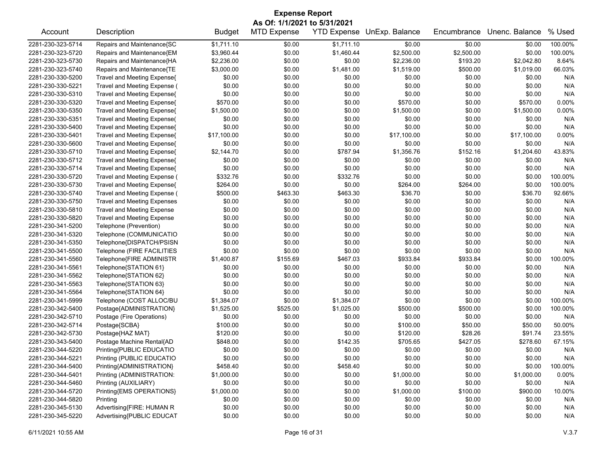| <b>Expense Report</b><br>As Of: 1/1/2021 to 5/31/2021 |                                    |               |                    |            |                            |             |                |         |
|-------------------------------------------------------|------------------------------------|---------------|--------------------|------------|----------------------------|-------------|----------------|---------|
| Account                                               | Description                        | <b>Budget</b> | <b>MTD Expense</b> |            | YTD Expense UnExp. Balance | Encumbrance | Unenc. Balance | % Used  |
| 2281-230-323-5714                                     | Repairs and Maintenance{SC         | \$1,711.10    | \$0.00             | \$1,711.10 | \$0.00                     | \$0.00      | \$0.00         | 100.00% |
| 2281-230-323-5720                                     | Repairs and Maintenance{EM         | \$3,960.44    | \$0.00             | \$1,460.44 | \$2,500.00                 | \$2,500.00  | \$0.00         | 100.00% |
| 2281-230-323-5730                                     | Repairs and Maintenance{HA         | \$2,236.00    | \$0.00             | \$0.00     | \$2,236.00                 | \$193.20    | \$2,042.80     | 8.64%   |
| 2281-230-323-5740                                     | Repairs and Maintenance{TE         | \$3,000.00    | \$0.00             | \$1,481.00 | \$1,519.00                 | \$500.00    | \$1,019.00     | 66.03%  |
| 2281-230-330-5200                                     | Travel and Meeting Expense{        | \$0.00        | \$0.00             | \$0.00     | \$0.00                     | \$0.00      | \$0.00         | N/A     |
| 2281-230-330-5221                                     | Travel and Meeting Expense (       | \$0.00        | \$0.00             | \$0.00     | \$0.00                     | \$0.00      | \$0.00         | N/A     |
| 2281-230-330-5310                                     | Travel and Meeting Expense{        | \$0.00        | \$0.00             | \$0.00     | \$0.00                     | \$0.00      | \$0.00         | N/A     |
| 2281-230-330-5320                                     | Travel and Meeting Expense{        | \$570.00      | \$0.00             | \$0.00     | \$570.00                   | \$0.00      | \$570.00       | 0.00%   |
| 2281-230-330-5350                                     | Travel and Meeting Expense{        | \$1,500.00    | \$0.00             | \$0.00     | \$1,500.00                 | \$0.00      | \$1,500.00     | 0.00%   |
| 2281-230-330-5351                                     | <b>Travel and Meeting Expense(</b> | \$0.00        | \$0.00             | \$0.00     | \$0.00                     | \$0.00      | \$0.00         | N/A     |
| 2281-230-330-5400                                     | Travel and Meeting Expense{        | \$0.00        | \$0.00             | \$0.00     | \$0.00                     | \$0.00      | \$0.00         | N/A     |
| 2281-230-330-5401                                     | Travel and Meeting Expense{        | \$17,100.00   | \$0.00             | \$0.00     | \$17,100.00                | \$0.00      | \$17,100.00    | 0.00%   |
| 2281-230-330-5600                                     | Travel and Meeting Expense{        | \$0.00        | \$0.00             | \$0.00     | \$0.00                     | \$0.00      | \$0.00         | N/A     |
| 2281-230-330-5710                                     | Travel and Meeting Expense{        | \$2,144.70    | \$0.00             | \$787.94   | \$1,356.76                 | \$152.16    | \$1,204.60     | 43.83%  |
| 2281-230-330-5712                                     | Travel and Meeting Expense{        | \$0.00        | \$0.00             | \$0.00     | \$0.00                     | \$0.00      | \$0.00         | N/A     |
| 2281-230-330-5714                                     | Travel and Meeting Expense{        | \$0.00        | \$0.00             | \$0.00     | \$0.00                     | \$0.00      | \$0.00         | N/A     |
| 2281-230-330-5720                                     | Travel and Meeting Expense (       | \$332.76      | \$0.00             | \$332.76   | \$0.00                     | \$0.00      | \$0.00         | 100.00% |
| 2281-230-330-5730                                     | Travel and Meeting Expense{        | \$264.00      | \$0.00             | \$0.00     | \$264.00                   | \$264.00    | \$0.00         | 100.00% |
| 2281-230-330-5740                                     | Travel and Meeting Expense (       | \$500.00      | \$463.30           | \$463.30   | \$36.70                    | \$0.00      | \$36.70        | 92.66%  |
| 2281-230-330-5750                                     | <b>Travel and Meeting Expenses</b> | \$0.00        | \$0.00             | \$0.00     | \$0.00                     | \$0.00      | \$0.00         | N/A     |
| 2281-230-330-5810                                     | <b>Travel and Meeting Expense</b>  | \$0.00        | \$0.00             | \$0.00     | \$0.00                     | \$0.00      | \$0.00         | N/A     |
| 2281-230-330-5820                                     | <b>Travel and Meeting Expense</b>  | \$0.00        | \$0.00             | \$0.00     | \$0.00                     | \$0.00      | \$0.00         | N/A     |
| 2281-230-341-5200                                     | Telephone (Prevention)             | \$0.00        | \$0.00             | \$0.00     | \$0.00                     | \$0.00      | \$0.00         | N/A     |
| 2281-230-341-5320                                     | Telephone (COMMUNICATIO            | \$0.00        | \$0.00             | \$0.00     | \$0.00                     | \$0.00      | \$0.00         | N/A     |
| 2281-230-341-5350                                     | Telephone{DISPATCH/PSISN           | \$0.00        | \$0.00             | \$0.00     | \$0.00                     | \$0.00      | \$0.00         | N/A     |
| 2281-230-341-5500                                     | Telephone (FIRE FACILITIES         | \$0.00        | \$0.00             | \$0.00     | \$0.00                     | \$0.00      | \$0.00         | N/A     |
| 2281-230-341-5560                                     | Telephone{FIRE ADMINISTR           | \$1,400.87    | \$155.69           | \$467.03   | \$933.84                   | \$933.84    | \$0.00         | 100.00% |
| 2281-230-341-5561                                     | Telephone{STATION 61}              | \$0.00        | \$0.00             | \$0.00     | \$0.00                     | \$0.00      | \$0.00         | N/A     |
| 2281-230-341-5562                                     | Telephone{STATION 62}              | \$0.00        | \$0.00             | \$0.00     | \$0.00                     | \$0.00      | \$0.00         | N/A     |
| 2281-230-341-5563                                     | Telephone{STATION 63}              | \$0.00        | \$0.00             | \$0.00     | \$0.00                     | \$0.00      | \$0.00         | N/A     |
| 2281-230-341-5564                                     | Telephone{STATION 64}              | \$0.00        | \$0.00             | \$0.00     | \$0.00                     | \$0.00      | \$0.00         | N/A     |
| 2281-230-341-5999                                     | Telephone (COST ALLOC/BU           | \$1,384.07    | \$0.00             | \$1,384.07 | \$0.00                     | \$0.00      | \$0.00         | 100.00% |
| 2281-230-342-5400                                     | Postage{ADMINISTRATION}            | \$1,525.00    | \$525.00           | \$1,025.00 | \$500.00                   | \$500.00    | \$0.00         | 100.00% |
| 2281-230-342-5710                                     | Postage (Fire Operations)          | \$0.00        | \$0.00             | \$0.00     | \$0.00                     | \$0.00      | \$0.00         | N/A     |
| 2281-230-342-5714                                     | Postage{SCBA}                      | \$100.00      | \$0.00             | \$0.00     | \$100.00                   | \$50.00     | \$50.00        | 50.00%  |
| 2281-230-342-5730                                     | Postage{HAZ MAT}                   | \$120.00      | \$0.00             | \$0.00     | \$120.00                   | \$28.26     | \$91.74        | 23.55%  |
| 2281-230-343-5400                                     | Postage Machine Rental{AD          | \$848.00      | \$0.00             | \$142.35   | \$705.65                   | \$427.05    | \$278.60       | 67.15%  |
| 2281-230-344-5220                                     | Printing{PUBLIC EDUCATIO           | \$0.00        | \$0.00             | \$0.00     | \$0.00                     | \$0.00      | \$0.00         | N/A     |
| 2281-230-344-5221                                     | Printing (PUBLIC EDUCATIO          | \$0.00        | \$0.00             | \$0.00     | \$0.00                     | \$0.00      | \$0.00         | N/A     |
| 2281-230-344-5400                                     | Printing{ADMINISTRATION}           | \$458.40      | \$0.00             | \$458.40   | \$0.00                     | \$0.00      | \$0.00         | 100.00% |
| 2281-230-344-5401                                     | Printing (ADMINISTRATION:          | \$1,000.00    | \$0.00             | \$0.00     | \$1,000.00                 | \$0.00      | \$1,000.00     | 0.00%   |
| 2281-230-344-5460                                     | Printing (AUXILIARY)               | \$0.00        | \$0.00             | \$0.00     | \$0.00                     | \$0.00      | \$0.00         | N/A     |
| 2281-230-344-5720                                     | Printing{EMS OPERATIONS}           | \$1,000.00    | \$0.00             | \$0.00     | \$1,000.00                 | \$100.00    | \$900.00       | 10.00%  |
| 2281-230-344-5820                                     | Printing                           | \$0.00        | \$0.00             | \$0.00     | \$0.00                     | \$0.00      | \$0.00         | N/A     |
| 2281-230-345-5130                                     | Advertising{FIRE: HUMAN R          | \$0.00        | \$0.00             | \$0.00     | \$0.00                     | \$0.00      | \$0.00         | N/A     |
| 2281-230-345-5220                                     | Advertising{PUBLIC EDUCAT          | \$0.00        | \$0.00             | \$0.00     | \$0.00                     | \$0.00      | \$0.00         | N/A     |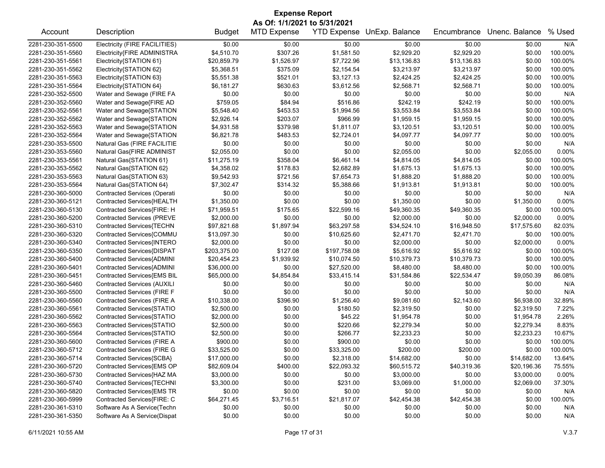|                   |                                     |               | <b>Expense Report</b>        |              |                            |             |                |         |
|-------------------|-------------------------------------|---------------|------------------------------|--------------|----------------------------|-------------|----------------|---------|
|                   |                                     |               | As Of: 1/1/2021 to 5/31/2021 |              |                            |             |                |         |
| Account           | Description                         | <b>Budget</b> | <b>MTD Expense</b>           |              | YTD Expense UnExp. Balance | Encumbrance | Unenc. Balance | % Used  |
| 2281-230-351-5500 | Electricity (FIRE FACILITIES)       | \$0.00        | \$0.00                       | \$0.00       | \$0.00                     | \$0.00      | \$0.00         | N/A     |
| 2281-230-351-5560 | Electricity{FIRE ADMINISTRA         | \$4,510.70    | \$307.26                     | \$1,581.50   | \$2,929.20                 | \$2,929.20  | \$0.00         | 100.00% |
| 2281-230-351-5561 | Electricity{STATION 61}             | \$20,859.79   | \$1,526.97                   | \$7,722.96   | \$13,136.83                | \$13,136.83 | \$0.00         | 100.00% |
| 2281-230-351-5562 | Electricity{STATION 62}             | \$5,368.51    | \$375.09                     | \$2,154.54   | \$3,213.97                 | \$3,213.97  | \$0.00         | 100.00% |
| 2281-230-351-5563 | Electricity{STATION 63}             | \$5,551.38    | \$521.01                     | \$3,127.13   | \$2,424.25                 | \$2,424.25  | \$0.00         | 100.00% |
| 2281-230-351-5564 | Electricity{STATION 64}             | \$6,181.27    | \$630.63                     | \$3,612.56   | \$2,568.71                 | \$2,568.71  | \$0.00         | 100.00% |
| 2281-230-352-5500 | Water and Sewage (FIRE FA           | \$0.00        | \$0.00                       | \$0.00       | \$0.00                     | \$0.00      | \$0.00         | N/A     |
| 2281-230-352-5560 | Water and Sewage{FIRE AD            | \$759.05      | \$84.94                      | \$516.86     | \$242.19                   | \$242.19    | \$0.00         | 100.00% |
| 2281-230-352-5561 | Water and Sewage{STATION            | \$5,548.40    | \$453.53                     | \$1,994.56   | \$3,553.84                 | \$3,553.84  | \$0.00         | 100.00% |
| 2281-230-352-5562 | Water and Sewage{STATION            | \$2,926.14    | \$203.07                     | \$966.99     | \$1,959.15                 | \$1,959.15  | \$0.00         | 100.00% |
| 2281-230-352-5563 | Water and Sewage{STATION            | \$4,931.58    | \$379.98                     | \$1,811.07   | \$3,120.51                 | \$3,120.51  | \$0.00         | 100.00% |
| 2281-230-352-5564 | Water and Sewage{STATION            | \$6,821.78    | \$483.53                     | \$2,724.01   | \$4,097.77                 | \$4,097.77  | \$0.00         | 100.00% |
| 2281-230-353-5500 | Natural Gas (FIRE FACILITIE         | \$0.00        | \$0.00                       | \$0.00       | \$0.00                     | \$0.00      | \$0.00         | N/A     |
| 2281-230-353-5560 | Natural Gas{FIRE ADMINIST           | \$2,055.00    | \$0.00                       | \$0.00       | \$2,055.00                 | \$0.00      | \$2,055.00     | 0.00%   |
| 2281-230-353-5561 | Natural Gas{STATION 61}             | \$11,275.19   | \$358.04                     | \$6,461.14   | \$4,814.05                 | \$4,814.05  | \$0.00         | 100.00% |
| 2281-230-353-5562 | Natural Gas{STATION 62}             | \$4,358.02    | \$178.83                     | \$2,682.89   | \$1,675.13                 | \$1,675.13  | \$0.00         | 100.00% |
| 2281-230-353-5563 | Natural Gas{STATION 63}             | \$9,542.93    | \$721.56                     | \$7,654.73   | \$1,888.20                 | \$1,888.20  | \$0.00         | 100.00% |
| 2281-230-353-5564 | Natural Gas{STATION 64}             | \$7,302.47    | \$314.32                     | \$5,388.66   | \$1,913.81                 | \$1,913.81  | \$0.00         | 100.00% |
| 2281-230-360-5000 | <b>Contracted Services (Operati</b> | \$0.00        | \$0.00                       | \$0.00       | \$0.00                     | \$0.00      | \$0.00         | N/A     |
| 2281-230-360-5121 | Contracted Services{HEALTH          | \$1,350.00    | \$0.00                       | \$0.00       | \$1,350.00                 | \$0.00      | \$1,350.00     | 0.00%   |
| 2281-230-360-5130 | Contracted Services{FIRE: H         | \$71,959.51   | \$175.65                     | \$22,599.16  | \$49,360.35                | \$49,360.35 | \$0.00         | 100.00% |
| 2281-230-360-5200 | <b>Contracted Services (PREVE</b>   | \$2,000.00    | \$0.00                       | \$0.00       | \$2,000.00                 | \$0.00      | \$2,000.00     | 0.00%   |
| 2281-230-360-5310 | Contracted Services{TECHN           | \$97,821.68   | \$1,897.94                   | \$63,297.58  | \$34,524.10                | \$16,948.50 | \$17,575.60    | 82.03%  |
| 2281-230-360-5320 | Contracted Services{COMMU           | \$13,097.30   | \$0.00                       | \$10,625.60  | \$2,471.70                 | \$2,471.70  | \$0.00         | 100.00% |
| 2281-230-360-5340 | Contracted Services{INTERO          | \$2,000.00    | \$0.00                       | \$0.00       | \$2,000.00                 | \$0.00      | \$2,000.00     | 0.00%   |
| 2281-230-360-5350 | Contracted Services{DISPAT          | \$203,375.00  | \$127.08                     | \$197,758.08 | \$5,616.92                 | \$5,616.92  | \$0.00         | 100.00% |
| 2281-230-360-5400 | Contracted Services{ADMINI          | \$20,454.23   | \$1,939.92                   | \$10,074.50  | \$10,379.73                | \$10,379.73 | \$0.00         | 100.00% |
| 2281-230-360-5401 | Contracted Services{ADMINI          | \$36,000.00   | \$0.00                       | \$27,520.00  | \$8,480.00                 | \$8,480.00  | \$0.00         | 100.00% |
| 2281-230-360-5451 | Contracted Services{EMS BIL         | \$65,000.00   | \$4,854.84                   | \$33,415.14  | \$31,584.86                | \$22,534.47 | \$9,050.39     | 86.08%  |
| 2281-230-360-5460 | Contracted Services (AUXILI         | \$0.00        | \$0.00                       | \$0.00       | \$0.00                     | \$0.00      | \$0.00         | N/A     |
| 2281-230-360-5500 | Contracted Services (FIRE F         | \$0.00        | \$0.00                       | \$0.00       | \$0.00                     | \$0.00      | \$0.00         | N/A     |
| 2281-230-360-5560 | <b>Contracted Services (FIRE A</b>  | \$10,338.00   | \$396.90                     | \$1,256.40   | \$9,081.60                 | \$2,143.60  | \$6,938.00     | 32.89%  |
| 2281-230-360-5561 | Contracted Services{STATIO          | \$2,500.00    | \$0.00                       | \$180.50     | \$2,319.50                 | \$0.00      | \$2,319.50     | 7.22%   |
| 2281-230-360-5562 | Contracted Services{STATIO          | \$2,000.00    | \$0.00                       | \$45.22      | \$1,954.78                 | \$0.00      | \$1,954.78     | 2.26%   |
| 2281-230-360-5563 | Contracted Services{STATIO          | \$2,500.00    | \$0.00                       | \$220.66     | \$2,279.34                 | \$0.00      | \$2,279.34     | 8.83%   |
| 2281-230-360-5564 | Contracted Services{STATIO          | \$2,500.00    | \$0.00                       | \$266.77     | \$2,233.23                 | \$0.00      | \$2,233.23     | 10.67%  |
| 2281-230-360-5600 | <b>Contracted Services (FIRE A</b>  | \$900.00      | \$0.00                       | \$900.00     | \$0.00                     | \$0.00      | \$0.00         | 100.00% |
| 2281-230-360-5712 | <b>Contracted Services (FIRE G</b>  | \$33,525.00   | \$0.00                       | \$33,325.00  | \$200.00                   | \$200.00    | \$0.00         | 100.00% |
| 2281-230-360-5714 | Contracted Services{SCBA}           | \$17,000.00   | \$0.00                       | \$2,318.00   | \$14,682.00                | \$0.00      | \$14,682.00    | 13.64%  |
| 2281-230-360-5720 | Contracted Services{EMS OP          | \$82,609.04   | \$400.00                     | \$22,093.32  | \$60,515.72                | \$40,319.36 | \$20,196.36    | 75.55%  |
| 2281-230-360-5730 | Contracted Services{HAZ MA          | \$3,000.00    | \$0.00                       | \$0.00       | \$3,000.00                 | \$0.00      | \$3,000.00     | 0.00%   |
| 2281-230-360-5740 | Contracted Services{TECHNI          | \$3,300.00    | \$0.00                       | \$231.00     | \$3,069.00                 | \$1,000.00  | \$2,069.00     | 37.30%  |
| 2281-230-360-5820 | Contracted Services{EMS TR          | \$0.00        | \$0.00                       | \$0.00       | \$0.00                     | \$0.00      | \$0.00         | N/A     |
| 2281-230-360-5999 | Contracted Services{FIRE: C         | \$64,271.45   | \$3,716.51                   | \$21,817.07  | \$42,454.38                | \$42,454.38 | \$0.00         | 100.00% |
| 2281-230-361-5310 | Software As A Service(Techn         | \$0.00        | \$0.00                       | \$0.00       | \$0.00                     | \$0.00      | \$0.00         | N/A     |
| 2281-230-361-5350 | Software As A Service(Dispat        | \$0.00        | \$0.00                       | \$0.00       | \$0.00                     | \$0.00      | \$0.00         | N/A     |
|                   |                                     |               |                              |              |                            |             |                |         |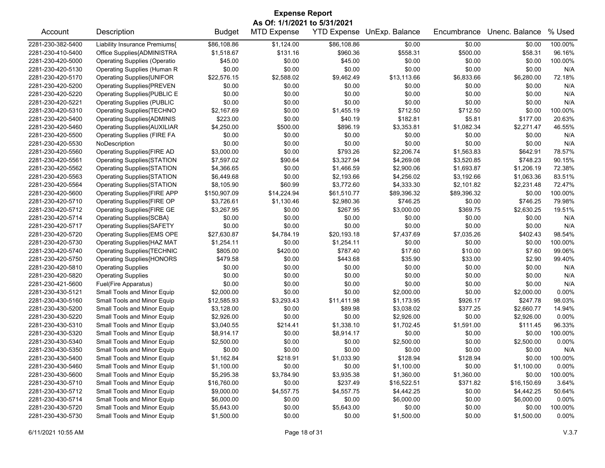| As Of: 1/1/2021 to 5/31/2021<br>Description<br><b>Budget</b><br><b>MTD Expense</b><br><b>YTD Expense</b><br>UnExp. Balance<br>Encumbrance<br>Unenc. Balance<br>% Used<br>Account<br>2281-230-382-5400<br>Liability Insurance Premiums{<br>\$86,108.86<br>\$1,124.00<br>\$86,108.86<br>\$0.00<br>100.00%<br>\$0.00<br>\$0.00<br>\$558.31<br>\$500.00<br>96.16%<br>2281-230-410-5400<br>Office Supplies{ADMINISTRA<br>\$1,518.67<br>\$131.16<br>\$960.36<br>\$58.31<br><b>Operating Supplies (Operatio</b><br>\$0.00<br>\$45.00<br>\$0.00<br>\$0.00<br>100.00%<br>2281-230-420-5000<br>\$45.00<br>\$0.00<br>2281-230-420-5130<br>Operating Supplies (Human R<br>\$0.00<br>\$0.00<br>\$0.00<br>\$0.00<br>\$0.00<br>\$0.00<br>N/A<br>Operating Supplies{UNIFOR<br>\$22,576.15<br>\$2,588.02<br>\$9,462.49<br>\$13,113.66<br>\$6,833.66<br>\$6,280.00<br>72.18%<br>2281-230-420-5170<br>\$0.00<br>\$0.00<br>\$0.00<br>\$0.00<br>\$0.00<br>N/A<br>2281-230-420-5200<br><b>Operating Supplies{PREVEN</b><br>\$0.00<br>\$0.00<br>\$0.00<br>N/A<br>2281-230-420-5220<br>Operating Supplies{PUBLIC E<br>\$0.00<br>\$0.00<br>\$0.00<br>\$0.00<br><b>Operating Supplies (PUBLIC</b><br>\$0.00<br>\$0.00<br>\$0.00<br>\$0.00<br>\$0.00<br>N/A<br>2281-230-420-5221<br>\$0.00<br>2281-230-420-5310<br>\$2,167.69<br>\$0.00<br>\$1,455.19<br>\$712.50<br>\$712.50<br>\$0.00<br>100.00%<br>Operating Supplies{TECHNO<br>\$223.00<br>\$0.00<br>\$40.19<br>\$182.81<br>\$5.81<br>\$177.00<br>2281-230-420-5400<br><b>Operating Supplies{ADMINIS</b><br>20.63%<br>\$4,250.00<br>\$1,082.34<br>2281-230-420-5460<br><b>Operating Supplies{AUXILIAR</b><br>\$500.00<br>\$896.19<br>\$3,353.81<br>\$2,271.47<br>46.55%<br>2281-230-420-5500<br><b>Operating Supplies (FIRE FA</b><br>\$0.00<br>\$0.00<br>\$0.00<br>\$0.00<br>\$0.00<br>\$0.00<br>N/A<br>\$0.00<br>\$0.00<br>\$0.00<br>\$0.00<br>\$0.00<br>2281-230-420-5530<br>NoDescription<br>\$0.00<br>N/A<br>2281-230-420-5560<br>Operating Supplies{FIRE AD<br>\$3,000.00<br>\$0.00<br>\$793.26<br>\$2,206.74<br>\$1,563.83<br>\$642.91<br>78.57%<br>\$7,597.02<br>\$90.64<br>\$3,327.94<br>\$4,269.08<br>\$3,520.85<br>\$748.23<br>90.15%<br>2281-230-420-5561<br><b>Operating Supplies{STATION</b><br>\$0.00<br>\$1,466.59<br>\$2,900.06<br>\$1,693.87<br>\$1,206.19<br>72.38%<br>2281-230-420-5562<br><b>Operating Supplies{STATION</b><br>\$4,366.65<br>2281-230-420-5563<br><b>Operating Supplies{STATION</b><br>\$6,449.68<br>\$0.00<br>\$2,193.66<br>\$4,256.02<br>\$3,192.66<br>\$1,063.36<br>83.51%<br>Operating Supplies{STATION<br>\$60.99<br>\$2,101.82<br>\$2,231.48<br>72.47%<br>2281-230-420-5564<br>\$8,105.90<br>\$3,772.60<br>\$4,333.30<br>2281-230-420-5600<br><b>Operating Supplies{FIRE APP</b><br>\$150,907.09<br>\$14,224.94<br>\$61,510.77<br>\$89,396.32<br>\$89,396.32<br>\$0.00<br>100.00%<br>\$1,130.46<br>\$2,980.36<br>\$0.00<br>\$746.25<br>79.98%<br>2281-230-420-5710<br>Operating Supplies{FIRE OP<br>\$3,726.61<br>\$746.25<br>\$0.00<br>\$267.95<br>\$369.75<br>2281-230-420-5712<br>Operating Supplies{FIRE GE<br>\$3,267.95<br>\$3,000.00<br>\$2,630.25<br>19.51%<br>2281-230-420-5714<br>Operating Supplies{SCBA}<br>\$0.00<br>\$0.00<br>\$0.00<br>\$0.00<br>\$0.00<br>\$0.00<br>N/A<br><b>Operating Supplies{SAFETY</b><br>\$0.00<br>\$0.00<br>\$0.00<br>\$0.00<br>2281-230-420-5717<br>\$0.00<br>\$0.00<br>N/A<br>2281-230-420-5720<br>Operating Supplies{EMS OPE<br>\$27,630.87<br>\$4,784.19<br>\$20,193.18<br>\$7,437.69<br>\$7,035.26<br>\$402.43<br>98.54%<br>\$1,254.11<br>\$0.00<br>\$1,254.11<br>\$0.00<br>\$0.00<br>2281-230-420-5730<br>Operating Supplies{HAZ MAT<br>\$0.00<br>100.00%<br>\$420.00<br>\$787.40<br>\$17.60<br>\$10.00<br>99.06%<br>2281-230-420-5740<br><b>Operating Supplies{TECHNIC</b><br>\$805.00<br>\$7.60<br>\$479.58<br>\$33.00<br>2281-230-420-5750<br><b>Operating Supplies{HONORS</b><br>\$0.00<br>\$443.68<br>\$35.90<br>\$2.90<br>99.40%<br>\$0.00<br>\$0.00<br>\$0.00<br>\$0.00<br>2281-230-420-5810<br><b>Operating Supplies</b><br>\$0.00<br>\$0.00<br>N/A<br>2281-230-420-5820<br>\$0.00<br>\$0.00<br>\$0.00<br>\$0.00<br>\$0.00<br>\$0.00<br>N/A<br><b>Operating Supplies</b><br>\$0.00<br>\$0.00<br>\$0.00<br>\$0.00<br>N/A<br>2281-230-421-5600<br>Fuel(Fire Apparatus)<br>\$0.00<br>\$0.00<br>\$0.00<br>\$0.00<br>0.00%<br>2281-230-430-5121<br>Small Tools and Minor Equip<br>\$2,000.00<br>\$2,000.00<br>\$0.00<br>\$2,000.00<br>2281-230-430-5160<br>Small Tools and Minor Equip<br>\$12,585.93<br>\$3,293.43<br>\$11,411.98<br>\$1,173.95<br>\$926.17<br>\$247.78<br>98.03%<br>Small Tools and Minor Equip<br>\$2,660.77<br>2281-230-430-5200<br>\$3,128.00<br>\$0.00<br>\$89.98<br>\$3,038.02<br>\$377.25<br>14.94%<br>2281-230-430-5220<br>Small Tools and Minor Equip<br>\$2,926.00<br>\$0.00<br>\$0.00<br>\$2,926.00<br>\$0.00<br>\$2,926.00<br>0.00%<br>Small Tools and Minor Equip<br>\$1,338.10<br>\$1,591.00<br>96.33%<br>2281-230-430-5310<br>\$3,040.55<br>\$214.41<br>\$1,702.45<br>\$111.45<br>\$0.00<br>\$0.00<br>100.00%<br>2281-230-430-5320<br>Small Tools and Minor Equip<br>\$8,914.17<br>\$0.00<br>\$8,914.17<br>\$0.00<br>\$2,500.00<br>2281-230-430-5340<br>Small Tools and Minor Equip<br>\$2,500.00<br>\$0.00<br>\$0.00<br>\$2,500.00<br>\$0.00<br>$0.00\%$<br>2281-230-430-5350<br>\$0.00<br>\$0.00<br>\$0.00<br>\$0.00<br>\$0.00<br>\$0.00<br>Small Tools and Minor Equip<br>N/A<br>\$128.94<br>2281-230-430-5400<br>Small Tools and Minor Equip<br>\$1,162.84<br>\$218.91<br>\$1,033.90<br>\$128.94<br>\$0.00<br>100.00%<br>\$0.00<br>\$0.00<br>2281-230-430-5460<br>Small Tools and Minor Equip<br>\$1,100.00<br>\$0.00<br>\$1,100.00<br>\$1,100.00<br>0.00%<br>Small Tools and Minor Equip<br>\$5,295.38<br>\$3,784.90<br>\$3,935.38<br>\$1,360.00<br>\$1,360.00<br>\$0.00<br>100.00%<br>2281-230-430-5600<br>2281-230-430-5710<br>Small Tools and Minor Equip<br>\$16,760.00<br>\$237.49<br>\$16,522.51<br>\$371.82<br>\$16,150.69<br>3.64%<br>\$0.00<br>2281-230-430-5712<br>Small Tools and Minor Equip<br>\$9,000.00<br>\$4,557.75<br>\$4,557.75<br>\$0.00<br>\$4,442.25<br>50.64%<br>\$4,442.25<br>\$0.00<br>2281-230-430-5714<br>Small Tools and Minor Equip<br>\$6,000.00<br>\$0.00<br>\$6,000.00<br>\$0.00<br>\$6,000.00<br>0.00%<br>2281-230-430-5720<br>Small Tools and Minor Equip<br>\$5,643.00<br>\$0.00<br>\$5,643.00<br>\$0.00<br>\$0.00<br>\$0.00<br>100.00%<br>Small Tools and Minor Equip<br>\$0.00<br>2281-230-430-5730<br>\$1,500.00<br>\$0.00<br>\$0.00<br>\$1,500.00<br>\$1,500.00<br>$0.00\%$ |  |  | <b>Expense Report</b> |  |  |  |  |  |
|-----------------------------------------------------------------------------------------------------------------------------------------------------------------------------------------------------------------------------------------------------------------------------------------------------------------------------------------------------------------------------------------------------------------------------------------------------------------------------------------------------------------------------------------------------------------------------------------------------------------------------------------------------------------------------------------------------------------------------------------------------------------------------------------------------------------------------------------------------------------------------------------------------------------------------------------------------------------------------------------------------------------------------------------------------------------------------------------------------------------------------------------------------------------------------------------------------------------------------------------------------------------------------------------------------------------------------------------------------------------------------------------------------------------------------------------------------------------------------------------------------------------------------------------------------------------------------------------------------------------------------------------------------------------------------------------------------------------------------------------------------------------------------------------------------------------------------------------------------------------------------------------------------------------------------------------------------------------------------------------------------------------------------------------------------------------------------------------------------------------------------------------------------------------------------------------------------------------------------------------------------------------------------------------------------------------------------------------------------------------------------------------------------------------------------------------------------------------------------------------------------------------------------------------------------------------------------------------------------------------------------------------------------------------------------------------------------------------------------------------------------------------------------------------------------------------------------------------------------------------------------------------------------------------------------------------------------------------------------------------------------------------------------------------------------------------------------------------------------------------------------------------------------------------------------------------------------------------------------------------------------------------------------------------------------------------------------------------------------------------------------------------------------------------------------------------------------------------------------------------------------------------------------------------------------------------------------------------------------------------------------------------------------------------------------------------------------------------------------------------------------------------------------------------------------------------------------------------------------------------------------------------------------------------------------------------------------------------------------------------------------------------------------------------------------------------------------------------------------------------------------------------------------------------------------------------------------------------------------------------------------------------------------------------------------------------------------------------------------------------------------------------------------------------------------------------------------------------------------------------------------------------------------------------------------------------------------------------------------------------------------------------------------------------------------------------------------------------------------------------------------------------------------------------------------------------------------------------------------------------------------------------------------------------------------------------------------------------------------------------------------------------------------------------------------------------------------------------------------------------------------------------------------------------------------------------------------------------------------------------------------------------------------------------------------------------------------------------------------------------------------------------------------------------------------------------------------------------------------------------------------------------------------------------------------------------------------------------------------------------------------------------------------------------------------------------------------------------------------------------------------------------------------------------------------------------------------------------------------------------------------------------------------------------------------------------------------------------------------------------------------------------------------------------------------------------------------------------------------------------------------------------------------------------------------------------------------------------------------------------------------------------------------------------------------------------------------------------------------------------------------------------------------------------------------------------------------------------------------------------------------------------------------------------------------------------------------|--|--|-----------------------|--|--|--|--|--|
|                                                                                                                                                                                                                                                                                                                                                                                                                                                                                                                                                                                                                                                                                                                                                                                                                                                                                                                                                                                                                                                                                                                                                                                                                                                                                                                                                                                                                                                                                                                                                                                                                                                                                                                                                                                                                                                                                                                                                                                                                                                                                                                                                                                                                                                                                                                                                                                                                                                                                                                                                                                                                                                                                                                                                                                                                                                                                                                                                                                                                                                                                                                                                                                                                                                                                                                                                                                                                                                                                                                                                                                                                                                                                                                                                                                                                                                                                                                                                                                                                                                                                                                                                                                                                                                                                                                                                                                                                                                                                                                                                                                                                                                                                                                                                                                                                                                                                                                                                                                                                                                                                                                                                                                                                                                                                                                                                                                                                                                                                                                                                                                                                                                                                                                                                                                                                                                                                                                                                                                                                                                                                                                                                                                                                                                                                                                                                                                                                                                                                                                                                                             |  |  |                       |  |  |  |  |  |
|                                                                                                                                                                                                                                                                                                                                                                                                                                                                                                                                                                                                                                                                                                                                                                                                                                                                                                                                                                                                                                                                                                                                                                                                                                                                                                                                                                                                                                                                                                                                                                                                                                                                                                                                                                                                                                                                                                                                                                                                                                                                                                                                                                                                                                                                                                                                                                                                                                                                                                                                                                                                                                                                                                                                                                                                                                                                                                                                                                                                                                                                                                                                                                                                                                                                                                                                                                                                                                                                                                                                                                                                                                                                                                                                                                                                                                                                                                                                                                                                                                                                                                                                                                                                                                                                                                                                                                                                                                                                                                                                                                                                                                                                                                                                                                                                                                                                                                                                                                                                                                                                                                                                                                                                                                                                                                                                                                                                                                                                                                                                                                                                                                                                                                                                                                                                                                                                                                                                                                                                                                                                                                                                                                                                                                                                                                                                                                                                                                                                                                                                                                             |  |  |                       |  |  |  |  |  |
|                                                                                                                                                                                                                                                                                                                                                                                                                                                                                                                                                                                                                                                                                                                                                                                                                                                                                                                                                                                                                                                                                                                                                                                                                                                                                                                                                                                                                                                                                                                                                                                                                                                                                                                                                                                                                                                                                                                                                                                                                                                                                                                                                                                                                                                                                                                                                                                                                                                                                                                                                                                                                                                                                                                                                                                                                                                                                                                                                                                                                                                                                                                                                                                                                                                                                                                                                                                                                                                                                                                                                                                                                                                                                                                                                                                                                                                                                                                                                                                                                                                                                                                                                                                                                                                                                                                                                                                                                                                                                                                                                                                                                                                                                                                                                                                                                                                                                                                                                                                                                                                                                                                                                                                                                                                                                                                                                                                                                                                                                                                                                                                                                                                                                                                                                                                                                                                                                                                                                                                                                                                                                                                                                                                                                                                                                                                                                                                                                                                                                                                                                                             |  |  |                       |  |  |  |  |  |
|                                                                                                                                                                                                                                                                                                                                                                                                                                                                                                                                                                                                                                                                                                                                                                                                                                                                                                                                                                                                                                                                                                                                                                                                                                                                                                                                                                                                                                                                                                                                                                                                                                                                                                                                                                                                                                                                                                                                                                                                                                                                                                                                                                                                                                                                                                                                                                                                                                                                                                                                                                                                                                                                                                                                                                                                                                                                                                                                                                                                                                                                                                                                                                                                                                                                                                                                                                                                                                                                                                                                                                                                                                                                                                                                                                                                                                                                                                                                                                                                                                                                                                                                                                                                                                                                                                                                                                                                                                                                                                                                                                                                                                                                                                                                                                                                                                                                                                                                                                                                                                                                                                                                                                                                                                                                                                                                                                                                                                                                                                                                                                                                                                                                                                                                                                                                                                                                                                                                                                                                                                                                                                                                                                                                                                                                                                                                                                                                                                                                                                                                                                             |  |  |                       |  |  |  |  |  |
|                                                                                                                                                                                                                                                                                                                                                                                                                                                                                                                                                                                                                                                                                                                                                                                                                                                                                                                                                                                                                                                                                                                                                                                                                                                                                                                                                                                                                                                                                                                                                                                                                                                                                                                                                                                                                                                                                                                                                                                                                                                                                                                                                                                                                                                                                                                                                                                                                                                                                                                                                                                                                                                                                                                                                                                                                                                                                                                                                                                                                                                                                                                                                                                                                                                                                                                                                                                                                                                                                                                                                                                                                                                                                                                                                                                                                                                                                                                                                                                                                                                                                                                                                                                                                                                                                                                                                                                                                                                                                                                                                                                                                                                                                                                                                                                                                                                                                                                                                                                                                                                                                                                                                                                                                                                                                                                                                                                                                                                                                                                                                                                                                                                                                                                                                                                                                                                                                                                                                                                                                                                                                                                                                                                                                                                                                                                                                                                                                                                                                                                                                                             |  |  |                       |  |  |  |  |  |
|                                                                                                                                                                                                                                                                                                                                                                                                                                                                                                                                                                                                                                                                                                                                                                                                                                                                                                                                                                                                                                                                                                                                                                                                                                                                                                                                                                                                                                                                                                                                                                                                                                                                                                                                                                                                                                                                                                                                                                                                                                                                                                                                                                                                                                                                                                                                                                                                                                                                                                                                                                                                                                                                                                                                                                                                                                                                                                                                                                                                                                                                                                                                                                                                                                                                                                                                                                                                                                                                                                                                                                                                                                                                                                                                                                                                                                                                                                                                                                                                                                                                                                                                                                                                                                                                                                                                                                                                                                                                                                                                                                                                                                                                                                                                                                                                                                                                                                                                                                                                                                                                                                                                                                                                                                                                                                                                                                                                                                                                                                                                                                                                                                                                                                                                                                                                                                                                                                                                                                                                                                                                                                                                                                                                                                                                                                                                                                                                                                                                                                                                                                             |  |  |                       |  |  |  |  |  |
|                                                                                                                                                                                                                                                                                                                                                                                                                                                                                                                                                                                                                                                                                                                                                                                                                                                                                                                                                                                                                                                                                                                                                                                                                                                                                                                                                                                                                                                                                                                                                                                                                                                                                                                                                                                                                                                                                                                                                                                                                                                                                                                                                                                                                                                                                                                                                                                                                                                                                                                                                                                                                                                                                                                                                                                                                                                                                                                                                                                                                                                                                                                                                                                                                                                                                                                                                                                                                                                                                                                                                                                                                                                                                                                                                                                                                                                                                                                                                                                                                                                                                                                                                                                                                                                                                                                                                                                                                                                                                                                                                                                                                                                                                                                                                                                                                                                                                                                                                                                                                                                                                                                                                                                                                                                                                                                                                                                                                                                                                                                                                                                                                                                                                                                                                                                                                                                                                                                                                                                                                                                                                                                                                                                                                                                                                                                                                                                                                                                                                                                                                                             |  |  |                       |  |  |  |  |  |
|                                                                                                                                                                                                                                                                                                                                                                                                                                                                                                                                                                                                                                                                                                                                                                                                                                                                                                                                                                                                                                                                                                                                                                                                                                                                                                                                                                                                                                                                                                                                                                                                                                                                                                                                                                                                                                                                                                                                                                                                                                                                                                                                                                                                                                                                                                                                                                                                                                                                                                                                                                                                                                                                                                                                                                                                                                                                                                                                                                                                                                                                                                                                                                                                                                                                                                                                                                                                                                                                                                                                                                                                                                                                                                                                                                                                                                                                                                                                                                                                                                                                                                                                                                                                                                                                                                                                                                                                                                                                                                                                                                                                                                                                                                                                                                                                                                                                                                                                                                                                                                                                                                                                                                                                                                                                                                                                                                                                                                                                                                                                                                                                                                                                                                                                                                                                                                                                                                                                                                                                                                                                                                                                                                                                                                                                                                                                                                                                                                                                                                                                                                             |  |  |                       |  |  |  |  |  |
|                                                                                                                                                                                                                                                                                                                                                                                                                                                                                                                                                                                                                                                                                                                                                                                                                                                                                                                                                                                                                                                                                                                                                                                                                                                                                                                                                                                                                                                                                                                                                                                                                                                                                                                                                                                                                                                                                                                                                                                                                                                                                                                                                                                                                                                                                                                                                                                                                                                                                                                                                                                                                                                                                                                                                                                                                                                                                                                                                                                                                                                                                                                                                                                                                                                                                                                                                                                                                                                                                                                                                                                                                                                                                                                                                                                                                                                                                                                                                                                                                                                                                                                                                                                                                                                                                                                                                                                                                                                                                                                                                                                                                                                                                                                                                                                                                                                                                                                                                                                                                                                                                                                                                                                                                                                                                                                                                                                                                                                                                                                                                                                                                                                                                                                                                                                                                                                                                                                                                                                                                                                                                                                                                                                                                                                                                                                                                                                                                                                                                                                                                                             |  |  |                       |  |  |  |  |  |
|                                                                                                                                                                                                                                                                                                                                                                                                                                                                                                                                                                                                                                                                                                                                                                                                                                                                                                                                                                                                                                                                                                                                                                                                                                                                                                                                                                                                                                                                                                                                                                                                                                                                                                                                                                                                                                                                                                                                                                                                                                                                                                                                                                                                                                                                                                                                                                                                                                                                                                                                                                                                                                                                                                                                                                                                                                                                                                                                                                                                                                                                                                                                                                                                                                                                                                                                                                                                                                                                                                                                                                                                                                                                                                                                                                                                                                                                                                                                                                                                                                                                                                                                                                                                                                                                                                                                                                                                                                                                                                                                                                                                                                                                                                                                                                                                                                                                                                                                                                                                                                                                                                                                                                                                                                                                                                                                                                                                                                                                                                                                                                                                                                                                                                                                                                                                                                                                                                                                                                                                                                                                                                                                                                                                                                                                                                                                                                                                                                                                                                                                                                             |  |  |                       |  |  |  |  |  |
|                                                                                                                                                                                                                                                                                                                                                                                                                                                                                                                                                                                                                                                                                                                                                                                                                                                                                                                                                                                                                                                                                                                                                                                                                                                                                                                                                                                                                                                                                                                                                                                                                                                                                                                                                                                                                                                                                                                                                                                                                                                                                                                                                                                                                                                                                                                                                                                                                                                                                                                                                                                                                                                                                                                                                                                                                                                                                                                                                                                                                                                                                                                                                                                                                                                                                                                                                                                                                                                                                                                                                                                                                                                                                                                                                                                                                                                                                                                                                                                                                                                                                                                                                                                                                                                                                                                                                                                                                                                                                                                                                                                                                                                                                                                                                                                                                                                                                                                                                                                                                                                                                                                                                                                                                                                                                                                                                                                                                                                                                                                                                                                                                                                                                                                                                                                                                                                                                                                                                                                                                                                                                                                                                                                                                                                                                                                                                                                                                                                                                                                                                                             |  |  |                       |  |  |  |  |  |
|                                                                                                                                                                                                                                                                                                                                                                                                                                                                                                                                                                                                                                                                                                                                                                                                                                                                                                                                                                                                                                                                                                                                                                                                                                                                                                                                                                                                                                                                                                                                                                                                                                                                                                                                                                                                                                                                                                                                                                                                                                                                                                                                                                                                                                                                                                                                                                                                                                                                                                                                                                                                                                                                                                                                                                                                                                                                                                                                                                                                                                                                                                                                                                                                                                                                                                                                                                                                                                                                                                                                                                                                                                                                                                                                                                                                                                                                                                                                                                                                                                                                                                                                                                                                                                                                                                                                                                                                                                                                                                                                                                                                                                                                                                                                                                                                                                                                                                                                                                                                                                                                                                                                                                                                                                                                                                                                                                                                                                                                                                                                                                                                                                                                                                                                                                                                                                                                                                                                                                                                                                                                                                                                                                                                                                                                                                                                                                                                                                                                                                                                                                             |  |  |                       |  |  |  |  |  |
|                                                                                                                                                                                                                                                                                                                                                                                                                                                                                                                                                                                                                                                                                                                                                                                                                                                                                                                                                                                                                                                                                                                                                                                                                                                                                                                                                                                                                                                                                                                                                                                                                                                                                                                                                                                                                                                                                                                                                                                                                                                                                                                                                                                                                                                                                                                                                                                                                                                                                                                                                                                                                                                                                                                                                                                                                                                                                                                                                                                                                                                                                                                                                                                                                                                                                                                                                                                                                                                                                                                                                                                                                                                                                                                                                                                                                                                                                                                                                                                                                                                                                                                                                                                                                                                                                                                                                                                                                                                                                                                                                                                                                                                                                                                                                                                                                                                                                                                                                                                                                                                                                                                                                                                                                                                                                                                                                                                                                                                                                                                                                                                                                                                                                                                                                                                                                                                                                                                                                                                                                                                                                                                                                                                                                                                                                                                                                                                                                                                                                                                                                                             |  |  |                       |  |  |  |  |  |
|                                                                                                                                                                                                                                                                                                                                                                                                                                                                                                                                                                                                                                                                                                                                                                                                                                                                                                                                                                                                                                                                                                                                                                                                                                                                                                                                                                                                                                                                                                                                                                                                                                                                                                                                                                                                                                                                                                                                                                                                                                                                                                                                                                                                                                                                                                                                                                                                                                                                                                                                                                                                                                                                                                                                                                                                                                                                                                                                                                                                                                                                                                                                                                                                                                                                                                                                                                                                                                                                                                                                                                                                                                                                                                                                                                                                                                                                                                                                                                                                                                                                                                                                                                                                                                                                                                                                                                                                                                                                                                                                                                                                                                                                                                                                                                                                                                                                                                                                                                                                                                                                                                                                                                                                                                                                                                                                                                                                                                                                                                                                                                                                                                                                                                                                                                                                                                                                                                                                                                                                                                                                                                                                                                                                                                                                                                                                                                                                                                                                                                                                                                             |  |  |                       |  |  |  |  |  |
|                                                                                                                                                                                                                                                                                                                                                                                                                                                                                                                                                                                                                                                                                                                                                                                                                                                                                                                                                                                                                                                                                                                                                                                                                                                                                                                                                                                                                                                                                                                                                                                                                                                                                                                                                                                                                                                                                                                                                                                                                                                                                                                                                                                                                                                                                                                                                                                                                                                                                                                                                                                                                                                                                                                                                                                                                                                                                                                                                                                                                                                                                                                                                                                                                                                                                                                                                                                                                                                                                                                                                                                                                                                                                                                                                                                                                                                                                                                                                                                                                                                                                                                                                                                                                                                                                                                                                                                                                                                                                                                                                                                                                                                                                                                                                                                                                                                                                                                                                                                                                                                                                                                                                                                                                                                                                                                                                                                                                                                                                                                                                                                                                                                                                                                                                                                                                                                                                                                                                                                                                                                                                                                                                                                                                                                                                                                                                                                                                                                                                                                                                                             |  |  |                       |  |  |  |  |  |
|                                                                                                                                                                                                                                                                                                                                                                                                                                                                                                                                                                                                                                                                                                                                                                                                                                                                                                                                                                                                                                                                                                                                                                                                                                                                                                                                                                                                                                                                                                                                                                                                                                                                                                                                                                                                                                                                                                                                                                                                                                                                                                                                                                                                                                                                                                                                                                                                                                                                                                                                                                                                                                                                                                                                                                                                                                                                                                                                                                                                                                                                                                                                                                                                                                                                                                                                                                                                                                                                                                                                                                                                                                                                                                                                                                                                                                                                                                                                                                                                                                                                                                                                                                                                                                                                                                                                                                                                                                                                                                                                                                                                                                                                                                                                                                                                                                                                                                                                                                                                                                                                                                                                                                                                                                                                                                                                                                                                                                                                                                                                                                                                                                                                                                                                                                                                                                                                                                                                                                                                                                                                                                                                                                                                                                                                                                                                                                                                                                                                                                                                                                             |  |  |                       |  |  |  |  |  |
|                                                                                                                                                                                                                                                                                                                                                                                                                                                                                                                                                                                                                                                                                                                                                                                                                                                                                                                                                                                                                                                                                                                                                                                                                                                                                                                                                                                                                                                                                                                                                                                                                                                                                                                                                                                                                                                                                                                                                                                                                                                                                                                                                                                                                                                                                                                                                                                                                                                                                                                                                                                                                                                                                                                                                                                                                                                                                                                                                                                                                                                                                                                                                                                                                                                                                                                                                                                                                                                                                                                                                                                                                                                                                                                                                                                                                                                                                                                                                                                                                                                                                                                                                                                                                                                                                                                                                                                                                                                                                                                                                                                                                                                                                                                                                                                                                                                                                                                                                                                                                                                                                                                                                                                                                                                                                                                                                                                                                                                                                                                                                                                                                                                                                                                                                                                                                                                                                                                                                                                                                                                                                                                                                                                                                                                                                                                                                                                                                                                                                                                                                                             |  |  |                       |  |  |  |  |  |
|                                                                                                                                                                                                                                                                                                                                                                                                                                                                                                                                                                                                                                                                                                                                                                                                                                                                                                                                                                                                                                                                                                                                                                                                                                                                                                                                                                                                                                                                                                                                                                                                                                                                                                                                                                                                                                                                                                                                                                                                                                                                                                                                                                                                                                                                                                                                                                                                                                                                                                                                                                                                                                                                                                                                                                                                                                                                                                                                                                                                                                                                                                                                                                                                                                                                                                                                                                                                                                                                                                                                                                                                                                                                                                                                                                                                                                                                                                                                                                                                                                                                                                                                                                                                                                                                                                                                                                                                                                                                                                                                                                                                                                                                                                                                                                                                                                                                                                                                                                                                                                                                                                                                                                                                                                                                                                                                                                                                                                                                                                                                                                                                                                                                                                                                                                                                                                                                                                                                                                                                                                                                                                                                                                                                                                                                                                                                                                                                                                                                                                                                                                             |  |  |                       |  |  |  |  |  |
|                                                                                                                                                                                                                                                                                                                                                                                                                                                                                                                                                                                                                                                                                                                                                                                                                                                                                                                                                                                                                                                                                                                                                                                                                                                                                                                                                                                                                                                                                                                                                                                                                                                                                                                                                                                                                                                                                                                                                                                                                                                                                                                                                                                                                                                                                                                                                                                                                                                                                                                                                                                                                                                                                                                                                                                                                                                                                                                                                                                                                                                                                                                                                                                                                                                                                                                                                                                                                                                                                                                                                                                                                                                                                                                                                                                                                                                                                                                                                                                                                                                                                                                                                                                                                                                                                                                                                                                                                                                                                                                                                                                                                                                                                                                                                                                                                                                                                                                                                                                                                                                                                                                                                                                                                                                                                                                                                                                                                                                                                                                                                                                                                                                                                                                                                                                                                                                                                                                                                                                                                                                                                                                                                                                                                                                                                                                                                                                                                                                                                                                                                                             |  |  |                       |  |  |  |  |  |
|                                                                                                                                                                                                                                                                                                                                                                                                                                                                                                                                                                                                                                                                                                                                                                                                                                                                                                                                                                                                                                                                                                                                                                                                                                                                                                                                                                                                                                                                                                                                                                                                                                                                                                                                                                                                                                                                                                                                                                                                                                                                                                                                                                                                                                                                                                                                                                                                                                                                                                                                                                                                                                                                                                                                                                                                                                                                                                                                                                                                                                                                                                                                                                                                                                                                                                                                                                                                                                                                                                                                                                                                                                                                                                                                                                                                                                                                                                                                                                                                                                                                                                                                                                                                                                                                                                                                                                                                                                                                                                                                                                                                                                                                                                                                                                                                                                                                                                                                                                                                                                                                                                                                                                                                                                                                                                                                                                                                                                                                                                                                                                                                                                                                                                                                                                                                                                                                                                                                                                                                                                                                                                                                                                                                                                                                                                                                                                                                                                                                                                                                                                             |  |  |                       |  |  |  |  |  |
|                                                                                                                                                                                                                                                                                                                                                                                                                                                                                                                                                                                                                                                                                                                                                                                                                                                                                                                                                                                                                                                                                                                                                                                                                                                                                                                                                                                                                                                                                                                                                                                                                                                                                                                                                                                                                                                                                                                                                                                                                                                                                                                                                                                                                                                                                                                                                                                                                                                                                                                                                                                                                                                                                                                                                                                                                                                                                                                                                                                                                                                                                                                                                                                                                                                                                                                                                                                                                                                                                                                                                                                                                                                                                                                                                                                                                                                                                                                                                                                                                                                                                                                                                                                                                                                                                                                                                                                                                                                                                                                                                                                                                                                                                                                                                                                                                                                                                                                                                                                                                                                                                                                                                                                                                                                                                                                                                                                                                                                                                                                                                                                                                                                                                                                                                                                                                                                                                                                                                                                                                                                                                                                                                                                                                                                                                                                                                                                                                                                                                                                                                                             |  |  |                       |  |  |  |  |  |
|                                                                                                                                                                                                                                                                                                                                                                                                                                                                                                                                                                                                                                                                                                                                                                                                                                                                                                                                                                                                                                                                                                                                                                                                                                                                                                                                                                                                                                                                                                                                                                                                                                                                                                                                                                                                                                                                                                                                                                                                                                                                                                                                                                                                                                                                                                                                                                                                                                                                                                                                                                                                                                                                                                                                                                                                                                                                                                                                                                                                                                                                                                                                                                                                                                                                                                                                                                                                                                                                                                                                                                                                                                                                                                                                                                                                                                                                                                                                                                                                                                                                                                                                                                                                                                                                                                                                                                                                                                                                                                                                                                                                                                                                                                                                                                                                                                                                                                                                                                                                                                                                                                                                                                                                                                                                                                                                                                                                                                                                                                                                                                                                                                                                                                                                                                                                                                                                                                                                                                                                                                                                                                                                                                                                                                                                                                                                                                                                                                                                                                                                                                             |  |  |                       |  |  |  |  |  |
|                                                                                                                                                                                                                                                                                                                                                                                                                                                                                                                                                                                                                                                                                                                                                                                                                                                                                                                                                                                                                                                                                                                                                                                                                                                                                                                                                                                                                                                                                                                                                                                                                                                                                                                                                                                                                                                                                                                                                                                                                                                                                                                                                                                                                                                                                                                                                                                                                                                                                                                                                                                                                                                                                                                                                                                                                                                                                                                                                                                                                                                                                                                                                                                                                                                                                                                                                                                                                                                                                                                                                                                                                                                                                                                                                                                                                                                                                                                                                                                                                                                                                                                                                                                                                                                                                                                                                                                                                                                                                                                                                                                                                                                                                                                                                                                                                                                                                                                                                                                                                                                                                                                                                                                                                                                                                                                                                                                                                                                                                                                                                                                                                                                                                                                                                                                                                                                                                                                                                                                                                                                                                                                                                                                                                                                                                                                                                                                                                                                                                                                                                                             |  |  |                       |  |  |  |  |  |
|                                                                                                                                                                                                                                                                                                                                                                                                                                                                                                                                                                                                                                                                                                                                                                                                                                                                                                                                                                                                                                                                                                                                                                                                                                                                                                                                                                                                                                                                                                                                                                                                                                                                                                                                                                                                                                                                                                                                                                                                                                                                                                                                                                                                                                                                                                                                                                                                                                                                                                                                                                                                                                                                                                                                                                                                                                                                                                                                                                                                                                                                                                                                                                                                                                                                                                                                                                                                                                                                                                                                                                                                                                                                                                                                                                                                                                                                                                                                                                                                                                                                                                                                                                                                                                                                                                                                                                                                                                                                                                                                                                                                                                                                                                                                                                                                                                                                                                                                                                                                                                                                                                                                                                                                                                                                                                                                                                                                                                                                                                                                                                                                                                                                                                                                                                                                                                                                                                                                                                                                                                                                                                                                                                                                                                                                                                                                                                                                                                                                                                                                                                             |  |  |                       |  |  |  |  |  |
|                                                                                                                                                                                                                                                                                                                                                                                                                                                                                                                                                                                                                                                                                                                                                                                                                                                                                                                                                                                                                                                                                                                                                                                                                                                                                                                                                                                                                                                                                                                                                                                                                                                                                                                                                                                                                                                                                                                                                                                                                                                                                                                                                                                                                                                                                                                                                                                                                                                                                                                                                                                                                                                                                                                                                                                                                                                                                                                                                                                                                                                                                                                                                                                                                                                                                                                                                                                                                                                                                                                                                                                                                                                                                                                                                                                                                                                                                                                                                                                                                                                                                                                                                                                                                                                                                                                                                                                                                                                                                                                                                                                                                                                                                                                                                                                                                                                                                                                                                                                                                                                                                                                                                                                                                                                                                                                                                                                                                                                                                                                                                                                                                                                                                                                                                                                                                                                                                                                                                                                                                                                                                                                                                                                                                                                                                                                                                                                                                                                                                                                                                                             |  |  |                       |  |  |  |  |  |
|                                                                                                                                                                                                                                                                                                                                                                                                                                                                                                                                                                                                                                                                                                                                                                                                                                                                                                                                                                                                                                                                                                                                                                                                                                                                                                                                                                                                                                                                                                                                                                                                                                                                                                                                                                                                                                                                                                                                                                                                                                                                                                                                                                                                                                                                                                                                                                                                                                                                                                                                                                                                                                                                                                                                                                                                                                                                                                                                                                                                                                                                                                                                                                                                                                                                                                                                                                                                                                                                                                                                                                                                                                                                                                                                                                                                                                                                                                                                                                                                                                                                                                                                                                                                                                                                                                                                                                                                                                                                                                                                                                                                                                                                                                                                                                                                                                                                                                                                                                                                                                                                                                                                                                                                                                                                                                                                                                                                                                                                                                                                                                                                                                                                                                                                                                                                                                                                                                                                                                                                                                                                                                                                                                                                                                                                                                                                                                                                                                                                                                                                                                             |  |  |                       |  |  |  |  |  |
|                                                                                                                                                                                                                                                                                                                                                                                                                                                                                                                                                                                                                                                                                                                                                                                                                                                                                                                                                                                                                                                                                                                                                                                                                                                                                                                                                                                                                                                                                                                                                                                                                                                                                                                                                                                                                                                                                                                                                                                                                                                                                                                                                                                                                                                                                                                                                                                                                                                                                                                                                                                                                                                                                                                                                                                                                                                                                                                                                                                                                                                                                                                                                                                                                                                                                                                                                                                                                                                                                                                                                                                                                                                                                                                                                                                                                                                                                                                                                                                                                                                                                                                                                                                                                                                                                                                                                                                                                                                                                                                                                                                                                                                                                                                                                                                                                                                                                                                                                                                                                                                                                                                                                                                                                                                                                                                                                                                                                                                                                                                                                                                                                                                                                                                                                                                                                                                                                                                                                                                                                                                                                                                                                                                                                                                                                                                                                                                                                                                                                                                                                                             |  |  |                       |  |  |  |  |  |
|                                                                                                                                                                                                                                                                                                                                                                                                                                                                                                                                                                                                                                                                                                                                                                                                                                                                                                                                                                                                                                                                                                                                                                                                                                                                                                                                                                                                                                                                                                                                                                                                                                                                                                                                                                                                                                                                                                                                                                                                                                                                                                                                                                                                                                                                                                                                                                                                                                                                                                                                                                                                                                                                                                                                                                                                                                                                                                                                                                                                                                                                                                                                                                                                                                                                                                                                                                                                                                                                                                                                                                                                                                                                                                                                                                                                                                                                                                                                                                                                                                                                                                                                                                                                                                                                                                                                                                                                                                                                                                                                                                                                                                                                                                                                                                                                                                                                                                                                                                                                                                                                                                                                                                                                                                                                                                                                                                                                                                                                                                                                                                                                                                                                                                                                                                                                                                                                                                                                                                                                                                                                                                                                                                                                                                                                                                                                                                                                                                                                                                                                                                             |  |  |                       |  |  |  |  |  |
|                                                                                                                                                                                                                                                                                                                                                                                                                                                                                                                                                                                                                                                                                                                                                                                                                                                                                                                                                                                                                                                                                                                                                                                                                                                                                                                                                                                                                                                                                                                                                                                                                                                                                                                                                                                                                                                                                                                                                                                                                                                                                                                                                                                                                                                                                                                                                                                                                                                                                                                                                                                                                                                                                                                                                                                                                                                                                                                                                                                                                                                                                                                                                                                                                                                                                                                                                                                                                                                                                                                                                                                                                                                                                                                                                                                                                                                                                                                                                                                                                                                                                                                                                                                                                                                                                                                                                                                                                                                                                                                                                                                                                                                                                                                                                                                                                                                                                                                                                                                                                                                                                                                                                                                                                                                                                                                                                                                                                                                                                                                                                                                                                                                                                                                                                                                                                                                                                                                                                                                                                                                                                                                                                                                                                                                                                                                                                                                                                                                                                                                                                                             |  |  |                       |  |  |  |  |  |
|                                                                                                                                                                                                                                                                                                                                                                                                                                                                                                                                                                                                                                                                                                                                                                                                                                                                                                                                                                                                                                                                                                                                                                                                                                                                                                                                                                                                                                                                                                                                                                                                                                                                                                                                                                                                                                                                                                                                                                                                                                                                                                                                                                                                                                                                                                                                                                                                                                                                                                                                                                                                                                                                                                                                                                                                                                                                                                                                                                                                                                                                                                                                                                                                                                                                                                                                                                                                                                                                                                                                                                                                                                                                                                                                                                                                                                                                                                                                                                                                                                                                                                                                                                                                                                                                                                                                                                                                                                                                                                                                                                                                                                                                                                                                                                                                                                                                                                                                                                                                                                                                                                                                                                                                                                                                                                                                                                                                                                                                                                                                                                                                                                                                                                                                                                                                                                                                                                                                                                                                                                                                                                                                                                                                                                                                                                                                                                                                                                                                                                                                                                             |  |  |                       |  |  |  |  |  |
|                                                                                                                                                                                                                                                                                                                                                                                                                                                                                                                                                                                                                                                                                                                                                                                                                                                                                                                                                                                                                                                                                                                                                                                                                                                                                                                                                                                                                                                                                                                                                                                                                                                                                                                                                                                                                                                                                                                                                                                                                                                                                                                                                                                                                                                                                                                                                                                                                                                                                                                                                                                                                                                                                                                                                                                                                                                                                                                                                                                                                                                                                                                                                                                                                                                                                                                                                                                                                                                                                                                                                                                                                                                                                                                                                                                                                                                                                                                                                                                                                                                                                                                                                                                                                                                                                                                                                                                                                                                                                                                                                                                                                                                                                                                                                                                                                                                                                                                                                                                                                                                                                                                                                                                                                                                                                                                                                                                                                                                                                                                                                                                                                                                                                                                                                                                                                                                                                                                                                                                                                                                                                                                                                                                                                                                                                                                                                                                                                                                                                                                                                                             |  |  |                       |  |  |  |  |  |
|                                                                                                                                                                                                                                                                                                                                                                                                                                                                                                                                                                                                                                                                                                                                                                                                                                                                                                                                                                                                                                                                                                                                                                                                                                                                                                                                                                                                                                                                                                                                                                                                                                                                                                                                                                                                                                                                                                                                                                                                                                                                                                                                                                                                                                                                                                                                                                                                                                                                                                                                                                                                                                                                                                                                                                                                                                                                                                                                                                                                                                                                                                                                                                                                                                                                                                                                                                                                                                                                                                                                                                                                                                                                                                                                                                                                                                                                                                                                                                                                                                                                                                                                                                                                                                                                                                                                                                                                                                                                                                                                                                                                                                                                                                                                                                                                                                                                                                                                                                                                                                                                                                                                                                                                                                                                                                                                                                                                                                                                                                                                                                                                                                                                                                                                                                                                                                                                                                                                                                                                                                                                                                                                                                                                                                                                                                                                                                                                                                                                                                                                                                             |  |  |                       |  |  |  |  |  |
|                                                                                                                                                                                                                                                                                                                                                                                                                                                                                                                                                                                                                                                                                                                                                                                                                                                                                                                                                                                                                                                                                                                                                                                                                                                                                                                                                                                                                                                                                                                                                                                                                                                                                                                                                                                                                                                                                                                                                                                                                                                                                                                                                                                                                                                                                                                                                                                                                                                                                                                                                                                                                                                                                                                                                                                                                                                                                                                                                                                                                                                                                                                                                                                                                                                                                                                                                                                                                                                                                                                                                                                                                                                                                                                                                                                                                                                                                                                                                                                                                                                                                                                                                                                                                                                                                                                                                                                                                                                                                                                                                                                                                                                                                                                                                                                                                                                                                                                                                                                                                                                                                                                                                                                                                                                                                                                                                                                                                                                                                                                                                                                                                                                                                                                                                                                                                                                                                                                                                                                                                                                                                                                                                                                                                                                                                                                                                                                                                                                                                                                                                                             |  |  |                       |  |  |  |  |  |
|                                                                                                                                                                                                                                                                                                                                                                                                                                                                                                                                                                                                                                                                                                                                                                                                                                                                                                                                                                                                                                                                                                                                                                                                                                                                                                                                                                                                                                                                                                                                                                                                                                                                                                                                                                                                                                                                                                                                                                                                                                                                                                                                                                                                                                                                                                                                                                                                                                                                                                                                                                                                                                                                                                                                                                                                                                                                                                                                                                                                                                                                                                                                                                                                                                                                                                                                                                                                                                                                                                                                                                                                                                                                                                                                                                                                                                                                                                                                                                                                                                                                                                                                                                                                                                                                                                                                                                                                                                                                                                                                                                                                                                                                                                                                                                                                                                                                                                                                                                                                                                                                                                                                                                                                                                                                                                                                                                                                                                                                                                                                                                                                                                                                                                                                                                                                                                                                                                                                                                                                                                                                                                                                                                                                                                                                                                                                                                                                                                                                                                                                                                             |  |  |                       |  |  |  |  |  |
|                                                                                                                                                                                                                                                                                                                                                                                                                                                                                                                                                                                                                                                                                                                                                                                                                                                                                                                                                                                                                                                                                                                                                                                                                                                                                                                                                                                                                                                                                                                                                                                                                                                                                                                                                                                                                                                                                                                                                                                                                                                                                                                                                                                                                                                                                                                                                                                                                                                                                                                                                                                                                                                                                                                                                                                                                                                                                                                                                                                                                                                                                                                                                                                                                                                                                                                                                                                                                                                                                                                                                                                                                                                                                                                                                                                                                                                                                                                                                                                                                                                                                                                                                                                                                                                                                                                                                                                                                                                                                                                                                                                                                                                                                                                                                                                                                                                                                                                                                                                                                                                                                                                                                                                                                                                                                                                                                                                                                                                                                                                                                                                                                                                                                                                                                                                                                                                                                                                                                                                                                                                                                                                                                                                                                                                                                                                                                                                                                                                                                                                                                                             |  |  |                       |  |  |  |  |  |
|                                                                                                                                                                                                                                                                                                                                                                                                                                                                                                                                                                                                                                                                                                                                                                                                                                                                                                                                                                                                                                                                                                                                                                                                                                                                                                                                                                                                                                                                                                                                                                                                                                                                                                                                                                                                                                                                                                                                                                                                                                                                                                                                                                                                                                                                                                                                                                                                                                                                                                                                                                                                                                                                                                                                                                                                                                                                                                                                                                                                                                                                                                                                                                                                                                                                                                                                                                                                                                                                                                                                                                                                                                                                                                                                                                                                                                                                                                                                                                                                                                                                                                                                                                                                                                                                                                                                                                                                                                                                                                                                                                                                                                                                                                                                                                                                                                                                                                                                                                                                                                                                                                                                                                                                                                                                                                                                                                                                                                                                                                                                                                                                                                                                                                                                                                                                                                                                                                                                                                                                                                                                                                                                                                                                                                                                                                                                                                                                                                                                                                                                                                             |  |  |                       |  |  |  |  |  |
|                                                                                                                                                                                                                                                                                                                                                                                                                                                                                                                                                                                                                                                                                                                                                                                                                                                                                                                                                                                                                                                                                                                                                                                                                                                                                                                                                                                                                                                                                                                                                                                                                                                                                                                                                                                                                                                                                                                                                                                                                                                                                                                                                                                                                                                                                                                                                                                                                                                                                                                                                                                                                                                                                                                                                                                                                                                                                                                                                                                                                                                                                                                                                                                                                                                                                                                                                                                                                                                                                                                                                                                                                                                                                                                                                                                                                                                                                                                                                                                                                                                                                                                                                                                                                                                                                                                                                                                                                                                                                                                                                                                                                                                                                                                                                                                                                                                                                                                                                                                                                                                                                                                                                                                                                                                                                                                                                                                                                                                                                                                                                                                                                                                                                                                                                                                                                                                                                                                                                                                                                                                                                                                                                                                                                                                                                                                                                                                                                                                                                                                                                                             |  |  |                       |  |  |  |  |  |
|                                                                                                                                                                                                                                                                                                                                                                                                                                                                                                                                                                                                                                                                                                                                                                                                                                                                                                                                                                                                                                                                                                                                                                                                                                                                                                                                                                                                                                                                                                                                                                                                                                                                                                                                                                                                                                                                                                                                                                                                                                                                                                                                                                                                                                                                                                                                                                                                                                                                                                                                                                                                                                                                                                                                                                                                                                                                                                                                                                                                                                                                                                                                                                                                                                                                                                                                                                                                                                                                                                                                                                                                                                                                                                                                                                                                                                                                                                                                                                                                                                                                                                                                                                                                                                                                                                                                                                                                                                                                                                                                                                                                                                                                                                                                                                                                                                                                                                                                                                                                                                                                                                                                                                                                                                                                                                                                                                                                                                                                                                                                                                                                                                                                                                                                                                                                                                                                                                                                                                                                                                                                                                                                                                                                                                                                                                                                                                                                                                                                                                                                                                             |  |  |                       |  |  |  |  |  |
|                                                                                                                                                                                                                                                                                                                                                                                                                                                                                                                                                                                                                                                                                                                                                                                                                                                                                                                                                                                                                                                                                                                                                                                                                                                                                                                                                                                                                                                                                                                                                                                                                                                                                                                                                                                                                                                                                                                                                                                                                                                                                                                                                                                                                                                                                                                                                                                                                                                                                                                                                                                                                                                                                                                                                                                                                                                                                                                                                                                                                                                                                                                                                                                                                                                                                                                                                                                                                                                                                                                                                                                                                                                                                                                                                                                                                                                                                                                                                                                                                                                                                                                                                                                                                                                                                                                                                                                                                                                                                                                                                                                                                                                                                                                                                                                                                                                                                                                                                                                                                                                                                                                                                                                                                                                                                                                                                                                                                                                                                                                                                                                                                                                                                                                                                                                                                                                                                                                                                                                                                                                                                                                                                                                                                                                                                                                                                                                                                                                                                                                                                                             |  |  |                       |  |  |  |  |  |
|                                                                                                                                                                                                                                                                                                                                                                                                                                                                                                                                                                                                                                                                                                                                                                                                                                                                                                                                                                                                                                                                                                                                                                                                                                                                                                                                                                                                                                                                                                                                                                                                                                                                                                                                                                                                                                                                                                                                                                                                                                                                                                                                                                                                                                                                                                                                                                                                                                                                                                                                                                                                                                                                                                                                                                                                                                                                                                                                                                                                                                                                                                                                                                                                                                                                                                                                                                                                                                                                                                                                                                                                                                                                                                                                                                                                                                                                                                                                                                                                                                                                                                                                                                                                                                                                                                                                                                                                                                                                                                                                                                                                                                                                                                                                                                                                                                                                                                                                                                                                                                                                                                                                                                                                                                                                                                                                                                                                                                                                                                                                                                                                                                                                                                                                                                                                                                                                                                                                                                                                                                                                                                                                                                                                                                                                                                                                                                                                                                                                                                                                                                             |  |  |                       |  |  |  |  |  |
|                                                                                                                                                                                                                                                                                                                                                                                                                                                                                                                                                                                                                                                                                                                                                                                                                                                                                                                                                                                                                                                                                                                                                                                                                                                                                                                                                                                                                                                                                                                                                                                                                                                                                                                                                                                                                                                                                                                                                                                                                                                                                                                                                                                                                                                                                                                                                                                                                                                                                                                                                                                                                                                                                                                                                                                                                                                                                                                                                                                                                                                                                                                                                                                                                                                                                                                                                                                                                                                                                                                                                                                                                                                                                                                                                                                                                                                                                                                                                                                                                                                                                                                                                                                                                                                                                                                                                                                                                                                                                                                                                                                                                                                                                                                                                                                                                                                                                                                                                                                                                                                                                                                                                                                                                                                                                                                                                                                                                                                                                                                                                                                                                                                                                                                                                                                                                                                                                                                                                                                                                                                                                                                                                                                                                                                                                                                                                                                                                                                                                                                                                                             |  |  |                       |  |  |  |  |  |
|                                                                                                                                                                                                                                                                                                                                                                                                                                                                                                                                                                                                                                                                                                                                                                                                                                                                                                                                                                                                                                                                                                                                                                                                                                                                                                                                                                                                                                                                                                                                                                                                                                                                                                                                                                                                                                                                                                                                                                                                                                                                                                                                                                                                                                                                                                                                                                                                                                                                                                                                                                                                                                                                                                                                                                                                                                                                                                                                                                                                                                                                                                                                                                                                                                                                                                                                                                                                                                                                                                                                                                                                                                                                                                                                                                                                                                                                                                                                                                                                                                                                                                                                                                                                                                                                                                                                                                                                                                                                                                                                                                                                                                                                                                                                                                                                                                                                                                                                                                                                                                                                                                                                                                                                                                                                                                                                                                                                                                                                                                                                                                                                                                                                                                                                                                                                                                                                                                                                                                                                                                                                                                                                                                                                                                                                                                                                                                                                                                                                                                                                                                             |  |  |                       |  |  |  |  |  |
|                                                                                                                                                                                                                                                                                                                                                                                                                                                                                                                                                                                                                                                                                                                                                                                                                                                                                                                                                                                                                                                                                                                                                                                                                                                                                                                                                                                                                                                                                                                                                                                                                                                                                                                                                                                                                                                                                                                                                                                                                                                                                                                                                                                                                                                                                                                                                                                                                                                                                                                                                                                                                                                                                                                                                                                                                                                                                                                                                                                                                                                                                                                                                                                                                                                                                                                                                                                                                                                                                                                                                                                                                                                                                                                                                                                                                                                                                                                                                                                                                                                                                                                                                                                                                                                                                                                                                                                                                                                                                                                                                                                                                                                                                                                                                                                                                                                                                                                                                                                                                                                                                                                                                                                                                                                                                                                                                                                                                                                                                                                                                                                                                                                                                                                                                                                                                                                                                                                                                                                                                                                                                                                                                                                                                                                                                                                                                                                                                                                                                                                                                                             |  |  |                       |  |  |  |  |  |
|                                                                                                                                                                                                                                                                                                                                                                                                                                                                                                                                                                                                                                                                                                                                                                                                                                                                                                                                                                                                                                                                                                                                                                                                                                                                                                                                                                                                                                                                                                                                                                                                                                                                                                                                                                                                                                                                                                                                                                                                                                                                                                                                                                                                                                                                                                                                                                                                                                                                                                                                                                                                                                                                                                                                                                                                                                                                                                                                                                                                                                                                                                                                                                                                                                                                                                                                                                                                                                                                                                                                                                                                                                                                                                                                                                                                                                                                                                                                                                                                                                                                                                                                                                                                                                                                                                                                                                                                                                                                                                                                                                                                                                                                                                                                                                                                                                                                                                                                                                                                                                                                                                                                                                                                                                                                                                                                                                                                                                                                                                                                                                                                                                                                                                                                                                                                                                                                                                                                                                                                                                                                                                                                                                                                                                                                                                                                                                                                                                                                                                                                                                             |  |  |                       |  |  |  |  |  |
|                                                                                                                                                                                                                                                                                                                                                                                                                                                                                                                                                                                                                                                                                                                                                                                                                                                                                                                                                                                                                                                                                                                                                                                                                                                                                                                                                                                                                                                                                                                                                                                                                                                                                                                                                                                                                                                                                                                                                                                                                                                                                                                                                                                                                                                                                                                                                                                                                                                                                                                                                                                                                                                                                                                                                                                                                                                                                                                                                                                                                                                                                                                                                                                                                                                                                                                                                                                                                                                                                                                                                                                                                                                                                                                                                                                                                                                                                                                                                                                                                                                                                                                                                                                                                                                                                                                                                                                                                                                                                                                                                                                                                                                                                                                                                                                                                                                                                                                                                                                                                                                                                                                                                                                                                                                                                                                                                                                                                                                                                                                                                                                                                                                                                                                                                                                                                                                                                                                                                                                                                                                                                                                                                                                                                                                                                                                                                                                                                                                                                                                                                                             |  |  |                       |  |  |  |  |  |
|                                                                                                                                                                                                                                                                                                                                                                                                                                                                                                                                                                                                                                                                                                                                                                                                                                                                                                                                                                                                                                                                                                                                                                                                                                                                                                                                                                                                                                                                                                                                                                                                                                                                                                                                                                                                                                                                                                                                                                                                                                                                                                                                                                                                                                                                                                                                                                                                                                                                                                                                                                                                                                                                                                                                                                                                                                                                                                                                                                                                                                                                                                                                                                                                                                                                                                                                                                                                                                                                                                                                                                                                                                                                                                                                                                                                                                                                                                                                                                                                                                                                                                                                                                                                                                                                                                                                                                                                                                                                                                                                                                                                                                                                                                                                                                                                                                                                                                                                                                                                                                                                                                                                                                                                                                                                                                                                                                                                                                                                                                                                                                                                                                                                                                                                                                                                                                                                                                                                                                                                                                                                                                                                                                                                                                                                                                                                                                                                                                                                                                                                                                             |  |  |                       |  |  |  |  |  |
|                                                                                                                                                                                                                                                                                                                                                                                                                                                                                                                                                                                                                                                                                                                                                                                                                                                                                                                                                                                                                                                                                                                                                                                                                                                                                                                                                                                                                                                                                                                                                                                                                                                                                                                                                                                                                                                                                                                                                                                                                                                                                                                                                                                                                                                                                                                                                                                                                                                                                                                                                                                                                                                                                                                                                                                                                                                                                                                                                                                                                                                                                                                                                                                                                                                                                                                                                                                                                                                                                                                                                                                                                                                                                                                                                                                                                                                                                                                                                                                                                                                                                                                                                                                                                                                                                                                                                                                                                                                                                                                                                                                                                                                                                                                                                                                                                                                                                                                                                                                                                                                                                                                                                                                                                                                                                                                                                                                                                                                                                                                                                                                                                                                                                                                                                                                                                                                                                                                                                                                                                                                                                                                                                                                                                                                                                                                                                                                                                                                                                                                                                                             |  |  |                       |  |  |  |  |  |
|                                                                                                                                                                                                                                                                                                                                                                                                                                                                                                                                                                                                                                                                                                                                                                                                                                                                                                                                                                                                                                                                                                                                                                                                                                                                                                                                                                                                                                                                                                                                                                                                                                                                                                                                                                                                                                                                                                                                                                                                                                                                                                                                                                                                                                                                                                                                                                                                                                                                                                                                                                                                                                                                                                                                                                                                                                                                                                                                                                                                                                                                                                                                                                                                                                                                                                                                                                                                                                                                                                                                                                                                                                                                                                                                                                                                                                                                                                                                                                                                                                                                                                                                                                                                                                                                                                                                                                                                                                                                                                                                                                                                                                                                                                                                                                                                                                                                                                                                                                                                                                                                                                                                                                                                                                                                                                                                                                                                                                                                                                                                                                                                                                                                                                                                                                                                                                                                                                                                                                                                                                                                                                                                                                                                                                                                                                                                                                                                                                                                                                                                                                             |  |  |                       |  |  |  |  |  |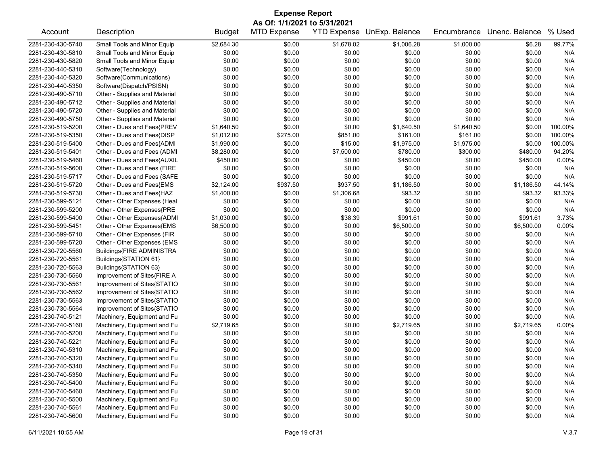| <b>Expense Report</b> |                               |               |                              |            |                            |             |                |         |
|-----------------------|-------------------------------|---------------|------------------------------|------------|----------------------------|-------------|----------------|---------|
|                       |                               |               | As Of: 1/1/2021 to 5/31/2021 |            |                            |             |                |         |
| Account               | Description                   | <b>Budget</b> | <b>MTD Expense</b>           |            | YTD Expense UnExp. Balance | Encumbrance | Unenc. Balance | % Used  |
| 2281-230-430-5740     | Small Tools and Minor Equip   | \$2,684.30    | \$0.00                       | \$1,678.02 | \$1,006.28                 | \$1,000.00  | \$6.28         | 99.77%  |
| 2281-230-430-5810     | Small Tools and Minor Equip   | \$0.00        | \$0.00                       | \$0.00     | \$0.00                     | \$0.00      | \$0.00         | N/A     |
| 2281-230-430-5820     | Small Tools and Minor Equip   | \$0.00        | \$0.00                       | \$0.00     | \$0.00                     | \$0.00      | \$0.00         | N/A     |
| 2281-230-440-5310     | Software(Technology)          | \$0.00        | \$0.00                       | \$0.00     | \$0.00                     | \$0.00      | \$0.00         | N/A     |
| 2281-230-440-5320     | Software(Communications)      | \$0.00        | \$0.00                       | \$0.00     | \$0.00                     | \$0.00      | \$0.00         | N/A     |
| 2281-230-440-5350     | Software(Dispatch/PSISN)      | \$0.00        | \$0.00                       | \$0.00     | \$0.00                     | \$0.00      | \$0.00         | N/A     |
| 2281-230-490-5710     | Other - Supplies and Material | \$0.00        | \$0.00                       | \$0.00     | \$0.00                     | \$0.00      | \$0.00         | N/A     |
| 2281-230-490-5712     | Other - Supplies and Material | \$0.00        | \$0.00                       | \$0.00     | \$0.00                     | \$0.00      | \$0.00         | N/A     |
| 2281-230-490-5720     | Other - Supplies and Material | \$0.00        | \$0.00                       | \$0.00     | \$0.00                     | \$0.00      | \$0.00         | N/A     |
| 2281-230-490-5750     | Other - Supplies and Material | \$0.00        | \$0.00                       | \$0.00     | \$0.00                     | \$0.00      | \$0.00         | N/A     |
| 2281-230-519-5200     | Other - Dues and Fees{PREV    | \$1,640.50    | \$0.00                       | \$0.00     | \$1,640.50                 | \$1,640.50  | \$0.00         | 100.00% |
| 2281-230-519-5350     | Other - Dues and Fees{DISP    | \$1,012.00    | \$275.00                     | \$851.00   | \$161.00                   | \$161.00    | \$0.00         | 100.00% |
| 2281-230-519-5400     | Other - Dues and Fees{ADMI    | \$1,990.00    | \$0.00                       | \$15.00    | \$1,975.00                 | \$1,975.00  | \$0.00         | 100.00% |
| 2281-230-519-5401     | Other - Dues and Fees (ADMI   | \$8,280.00    | \$0.00                       | \$7,500.00 | \$780.00                   | \$300.00    | \$480.00       | 94.20%  |
| 2281-230-519-5460     | Other - Dues and Fees{AUXIL   | \$450.00      | \$0.00                       | \$0.00     | \$450.00                   | \$0.00      | \$450.00       | 0.00%   |
| 2281-230-519-5600     | Other - Dues and Fees (FIRE   | \$0.00        | \$0.00                       | \$0.00     | \$0.00                     | \$0.00      | \$0.00         | N/A     |
| 2281-230-519-5717     | Other - Dues and Fees (SAFE   | \$0.00        | \$0.00                       | \$0.00     | \$0.00                     | \$0.00      | \$0.00         | N/A     |
| 2281-230-519-5720     | Other - Dues and Fees{EMS     | \$2,124.00    | \$937.50                     | \$937.50   | \$1,186.50                 | \$0.00      | \$1,186.50     | 44.14%  |
| 2281-230-519-5730     | Other - Dues and Fees{HAZ     | \$1,400.00    | \$0.00                       | \$1,306.68 | \$93.32                    | \$0.00      | \$93.32        | 93.33%  |
| 2281-230-599-5121     | Other - Other Expenses (Heal  | \$0.00        | \$0.00                       | \$0.00     | \$0.00                     | \$0.00      | \$0.00         | N/A     |
| 2281-230-599-5200     | Other - Other Expenses{PRE    | \$0.00        | \$0.00                       | \$0.00     | \$0.00                     | \$0.00      | \$0.00         | N/A     |
| 2281-230-599-5400     | Other - Other Expenses{ADMI   | \$1,030.00    | \$0.00                       | \$38.39    | \$991.61                   | \$0.00      | \$991.61       | 3.73%   |
| 2281-230-599-5451     | Other - Other Expenses{EMS    | \$6,500.00    | \$0.00                       | \$0.00     | \$6,500.00                 | \$0.00      | \$6,500.00     | 0.00%   |
| 2281-230-599-5710     | Other - Other Expenses (FIR   | \$0.00        | \$0.00                       | \$0.00     | \$0.00                     | \$0.00      | \$0.00         | N/A     |
| 2281-230-599-5720     | Other - Other Expenses (EMS   | \$0.00        | \$0.00                       | \$0.00     | \$0.00                     | \$0.00      | \$0.00         | N/A     |
| 2281-230-720-5560     | Buildings{FIRE ADMINISTRA     | \$0.00        | \$0.00                       | \$0.00     | \$0.00                     | \$0.00      | \$0.00         | N/A     |
| 2281-230-720-5561     | Buildings{STATION 61}         | \$0.00        | \$0.00                       | \$0.00     | \$0.00                     | \$0.00      | \$0.00         | N/A     |
| 2281-230-720-5563     | Buildings{STATION 63}         | \$0.00        | \$0.00                       | \$0.00     | \$0.00                     | \$0.00      | \$0.00         | N/A     |
| 2281-230-730-5560     | Improvement of Sites{FIRE A   | \$0.00        | \$0.00                       | \$0.00     | \$0.00                     | \$0.00      | \$0.00         | N/A     |
| 2281-230-730-5561     | Improvement of Sites{STATIO   | \$0.00        | \$0.00                       | \$0.00     | \$0.00                     | \$0.00      | \$0.00         | N/A     |
| 2281-230-730-5562     | Improvement of Sites{STATIO   | \$0.00        | \$0.00                       | \$0.00     | \$0.00                     | \$0.00      | \$0.00         | N/A     |
| 2281-230-730-5563     | Improvement of Sites{STATIO   | \$0.00        | \$0.00                       | \$0.00     | \$0.00                     | \$0.00      | \$0.00         | N/A     |
| 2281-230-730-5564     | Improvement of Sites{STATIO   | \$0.00        | \$0.00                       | \$0.00     | \$0.00                     | \$0.00      | \$0.00         | N/A     |
| 2281-230-740-5121     | Machinery, Equipment and Fu   | \$0.00        | \$0.00                       | \$0.00     | \$0.00                     | \$0.00      | \$0.00         | N/A     |
| 2281-230-740-5160     | Machinery, Equipment and Fu   | \$2,719.65    | \$0.00                       | \$0.00     | \$2,719.65                 | \$0.00      | \$2,719.65     | 0.00%   |
| 2281-230-740-5200     | Machinery, Equipment and Fu   | \$0.00        | \$0.00                       | \$0.00     | \$0.00                     | \$0.00      | \$0.00         | N/A     |
| 2281-230-740-5221     | Machinery, Equipment and Fu   | \$0.00        | \$0.00                       | \$0.00     | \$0.00                     | \$0.00      | \$0.00         | N/A     |
| 2281-230-740-5310     | Machinery, Equipment and Fu   | \$0.00        | \$0.00                       | \$0.00     | \$0.00                     | \$0.00      | \$0.00         | N/A     |
| 2281-230-740-5320     | Machinery, Equipment and Fu   | \$0.00        | \$0.00                       | \$0.00     | \$0.00                     | \$0.00      | \$0.00         | N/A     |
| 2281-230-740-5340     | Machinery, Equipment and Fu   | \$0.00        | \$0.00                       | \$0.00     | \$0.00                     | \$0.00      | \$0.00         | N/A     |
| 2281-230-740-5350     | Machinery, Equipment and Fu   | \$0.00        | \$0.00                       | \$0.00     | \$0.00                     | \$0.00      | \$0.00         | N/A     |
| 2281-230-740-5400     | Machinery, Equipment and Fu   | \$0.00        | \$0.00                       | \$0.00     | \$0.00                     | \$0.00      | \$0.00         | N/A     |
| 2281-230-740-5460     | Machinery, Equipment and Fu   | \$0.00        | \$0.00                       | \$0.00     | \$0.00                     | \$0.00      | \$0.00         | N/A     |
| 2281-230-740-5500     | Machinery, Equipment and Fu   | \$0.00        | \$0.00                       | \$0.00     | \$0.00                     | \$0.00      | \$0.00         | N/A     |
| 2281-230-740-5561     | Machinery, Equipment and Fu   | \$0.00        | \$0.00                       | \$0.00     | \$0.00                     | \$0.00      | \$0.00         | N/A     |
| 2281-230-740-5600     | Machinery, Equipment and Fu   | \$0.00        | \$0.00                       | \$0.00     | \$0.00                     | \$0.00      | \$0.00         | N/A     |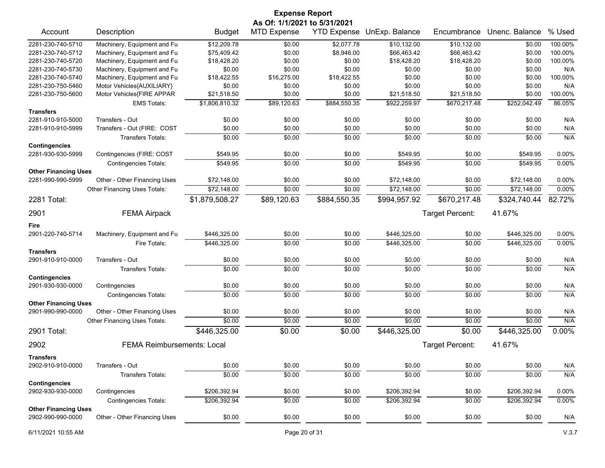|                                                  |                                   |                | <b>Expense Report</b><br>As Of: 1/1/2021 to 5/31/2021 |              |                                   |                 |                |          |
|--------------------------------------------------|-----------------------------------|----------------|-------------------------------------------------------|--------------|-----------------------------------|-----------------|----------------|----------|
| Account                                          | Description                       | <b>Budget</b>  | <b>MTD Expense</b>                                    |              | <b>YTD Expense UnExp. Balance</b> | Encumbrance     | Unenc. Balance | % Used   |
| 2281-230-740-5710                                | Machinery, Equipment and Fu       | \$12,209.78    | \$0.00                                                | \$2,077.78   | \$10,132.00                       | \$10,132.00     | \$0.00         | 100.00%  |
| 2281-230-740-5712                                | Machinery, Equipment and Fu       | \$75,409.42    | \$0.00                                                | \$8,946.00   | \$66,463.42                       | \$66,463.42     | \$0.00         | 100.00%  |
| 2281-230-740-5720                                | Machinery, Equipment and Fu       | \$18,428.20    | \$0.00                                                | \$0.00       | \$18,428.20                       | \$18,428.20     | \$0.00         | 100.00%  |
| 2281-230-740-5730                                | Machinery, Equipment and Fu       | \$0.00         | \$0.00                                                | \$0.00       | \$0.00                            | \$0.00          | \$0.00         | N/A      |
| 2281-230-740-5740                                | Machinery, Equipment and Fu       | \$18,422.55    | \$16,275.00                                           | \$18,422.55  | \$0.00                            | \$0.00          | \$0.00         | 100.00%  |
| 2281-230-750-5460                                | Motor Vehicles{AUXILIARY}         | \$0.00         | \$0.00                                                | \$0.00       | \$0.00                            | \$0.00          | \$0.00         | N/A      |
| 2281-230-750-5600                                | Motor Vehicles{FIRE APPAR         | \$21,518.50    | \$0.00                                                | \$0.00       | \$21,518.50                       | \$21,518.50     | \$0.00         | 100.00%  |
|                                                  | <b>EMS Totals:</b>                | \$1,806,810.32 | \$89,120.63                                           | \$884,550.35 | \$922,259.97                      | \$670,217.48    | \$252,042.49   | 86.05%   |
| <b>Transfers</b>                                 |                                   |                |                                                       |              |                                   |                 |                |          |
| 2281-910-910-5000                                | Transfers - Out                   | \$0.00         | \$0.00                                                | \$0.00       | \$0.00                            | \$0.00          | \$0.00         | N/A      |
| 2281-910-910-5999                                | Transfers - Out (FIRE: COST       | \$0.00         | \$0.00                                                | \$0.00       | \$0.00                            | \$0.00          | \$0.00         | N/A      |
| <b>Contingencies</b>                             | <b>Transfers Totals:</b>          | \$0.00         | \$0.00                                                | \$0.00       | \$0.00                            | \$0.00          | \$0.00         | N/A      |
| 2281-930-930-5999                                | Contingencies (FIRE: COST         | \$549.95       | \$0.00                                                | \$0.00       | \$549.95                          | \$0.00          | \$549.95       | 0.00%    |
|                                                  | <b>Contingencies Totals:</b>      | \$549.95       | \$0.00                                                | \$0.00       | \$549.95                          | \$0.00          | \$549.95       | 0.00%    |
| <b>Other Financing Uses</b>                      |                                   |                |                                                       |              |                                   |                 |                |          |
| 2281-990-990-5999                                | Other - Other Financing Uses      | \$72,148.00    | \$0.00                                                | \$0.00       | \$72,148.00                       | \$0.00          | \$72,148.00    | 0.00%    |
|                                                  | Other Financing Uses Totals:      | \$72,148.00    | \$0.00                                                | \$0.00       | \$72,148.00                       | \$0.00          | \$72,148.00    | 0.00%    |
| 2281 Total:                                      |                                   | \$1,879,508.27 | \$89,120.63                                           | \$884,550.35 | \$994,957.92                      | \$670,217.48    | \$324,740.44   | 82.72%   |
| 2901                                             | <b>FEMA Airpack</b>               |                |                                                       |              |                                   | Target Percent: | 41.67%         |          |
| Fire                                             |                                   |                |                                                       |              |                                   |                 |                |          |
| 2901-220-740-5714                                | Machinery, Equipment and Fu       | \$446,325.00   | \$0.00                                                | \$0.00       | \$446,325.00                      | \$0.00          | \$446,325.00   | $0.00\%$ |
|                                                  | Fire Totals:                      | \$446,325.00   | \$0.00                                                | \$0.00       | \$446,325.00                      | \$0.00          | \$446,325.00   | 0.00%    |
| <b>Transfers</b>                                 |                                   |                |                                                       |              |                                   |                 |                |          |
| 2901-910-910-0000                                | Transfers - Out                   | \$0.00         | \$0.00                                                | \$0.00       | \$0.00                            | \$0.00          | \$0.00         | N/A      |
|                                                  | Transfers Totals:                 | \$0.00         | \$0.00                                                | \$0.00       | \$0.00                            | \$0.00          | \$0.00         | N/A      |
| <b>Contingencies</b>                             |                                   |                |                                                       |              |                                   |                 |                |          |
| 2901-930-930-0000                                | Contingencies                     | \$0.00         | \$0.00                                                | \$0.00       | \$0.00                            | \$0.00          | \$0.00         | N/A      |
|                                                  | <b>Contingencies Totals:</b>      | \$0.00         | \$0.00                                                | \$0.00       | \$0.00                            | \$0.00          | \$0.00         | N/A      |
| <b>Other Financing Uses</b>                      |                                   |                |                                                       |              |                                   |                 |                |          |
| 2901-990-990-0000                                | Other - Other Financing Uses      | \$0.00         | \$0.00                                                | \$0.00       | \$0.00                            | \$0.00          | \$0.00         | N/A      |
|                                                  | Other Financing Uses Totals:      | \$0.00         | \$0.00                                                | \$0.00       | \$0.00                            | \$0.00          | \$0.00         | N/A      |
| 2901 Total:                                      |                                   | \$446,325.00   | \$0.00                                                | \$0.00       | \$446,325.00                      | \$0.00          | \$446,325.00   | $0.00\%$ |
| 2902                                             | <b>FEMA Reimbursements: Local</b> |                |                                                       |              |                                   | Target Percent: | 41.67%         |          |
| <b>Transfers</b>                                 |                                   |                |                                                       |              |                                   |                 |                |          |
| 2902-910-910-0000                                | Transfers - Out                   | \$0.00         | \$0.00                                                | \$0.00       | \$0.00                            | \$0.00          | \$0.00         | N/A      |
|                                                  | <b>Transfers Totals:</b>          | \$0.00         | \$0.00                                                | \$0.00       | \$0.00                            | \$0.00          | \$0.00         | N/A      |
| <b>Contingencies</b>                             |                                   |                |                                                       |              |                                   |                 |                |          |
| 2902-930-930-0000                                | Contingencies                     | \$206,392.94   | \$0.00                                                | \$0.00       | \$206,392.94                      | \$0.00          | \$206,392.94   | 0.00%    |
|                                                  | <b>Contingencies Totals:</b>      | \$206,392.94   | \$0.00                                                | \$0.00       | \$206,392.94                      | \$0.00          | \$206,392.94   | 0.00%    |
| <b>Other Financing Uses</b><br>2902-990-990-0000 | Other - Other Financing Uses      | \$0.00         | \$0.00                                                | \$0.00       | \$0.00                            | \$0.00          | \$0.00         | N/A      |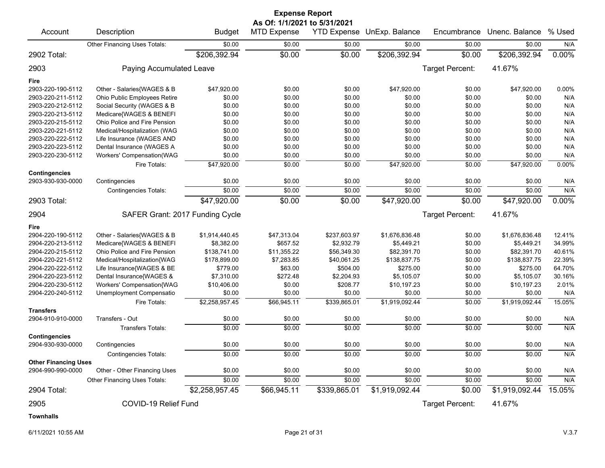|                                                  |                                 |                          | <b>Expense Report</b>                              |                    |                |                  |                          |               |
|--------------------------------------------------|---------------------------------|--------------------------|----------------------------------------------------|--------------------|----------------|------------------|--------------------------|---------------|
| Account                                          | Description                     | <b>Budget</b>            | As Of: 1/1/2021 to 5/31/2021<br><b>MTD Expense</b> | <b>YTD Expense</b> | UnExp. Balance | Encumbrance      | Unenc. Balance           | % Used        |
|                                                  | Other Financing Uses Totals:    | \$0.00                   | \$0.00                                             | \$0.00             | \$0.00         | \$0.00           | \$0.00                   | N/A           |
| 2902 Total:                                      |                                 | \$206,392.94             | \$0.00                                             | \$0.00             | \$206,392.94   | \$0.00           | \$206,392.94             | 0.00%         |
| 2903                                             | Paying Accumulated Leave        |                          |                                                    |                    |                | Target Percent:  | 41.67%                   |               |
| Fire                                             |                                 |                          |                                                    |                    |                |                  |                          |               |
| 2903-220-190-5112                                | Other - Salaries{WAGES & B      | \$47,920.00              | \$0.00                                             | \$0.00             | \$47,920.00    | \$0.00           | \$47,920.00              | 0.00%         |
| 2903-220-211-5112                                | Ohio Public Employees Retire    | \$0.00                   | \$0.00                                             | \$0.00             | \$0.00         | \$0.00           | \$0.00                   | N/A           |
| 2903-220-212-5112                                | Social Security (WAGES & B      | \$0.00                   | \$0.00                                             | \$0.00             | \$0.00         | \$0.00           | \$0.00                   | N/A           |
| 2903-220-213-5112                                | Medicare{WAGES & BENEFI         | \$0.00                   | \$0.00                                             | \$0.00             | \$0.00         | \$0.00           | \$0.00                   | N/A           |
| 2903-220-215-5112                                | Ohio Police and Fire Pension    | \$0.00                   | \$0.00                                             | \$0.00             | \$0.00         | \$0.00           | \$0.00                   | N/A           |
| 2903-220-221-5112                                | Medical/Hospitalization (WAG    | \$0.00                   | \$0.00                                             | \$0.00             | \$0.00         | \$0.00           | \$0.00                   | N/A           |
| 2903-220-222-5112                                | Life Insurance (WAGES AND       | \$0.00                   | \$0.00                                             | \$0.00             | \$0.00         | \$0.00           | \$0.00                   | N/A           |
| 2903-220-223-5112                                | Dental Insurance (WAGES A       | \$0.00                   | \$0.00                                             | \$0.00             | \$0.00         | \$0.00           | \$0.00                   | N/A           |
| 2903-220-230-5112                                | Workers' Compensation(WAG       | \$0.00                   | \$0.00                                             | \$0.00             | \$0.00         | \$0.00           | \$0.00                   | N/A           |
|                                                  | Fire Totals:                    | \$47,920.00              | \$0.00                                             | \$0.00             | \$47,920.00    | \$0.00           | \$47,920.00              | 0.00%         |
| <b>Contingencies</b>                             |                                 |                          |                                                    |                    |                |                  |                          |               |
| 2903-930-930-0000                                | Contingencies                   | \$0.00                   | \$0.00                                             | \$0.00             | \$0.00         | \$0.00           | \$0.00                   | N/A           |
|                                                  | <b>Contingencies Totals:</b>    | \$0.00                   | \$0.00                                             | \$0.00             | \$0.00         | \$0.00           | \$0.00                   | N/A           |
| 2903 Total:                                      |                                 | \$47,920.00              | \$0.00                                             | \$0.00             | \$47,920.00    | \$0.00           | \$47,920.00              | 0.00%         |
| 2904                                             | SAFER Grant: 2017 Funding Cycle |                          |                                                    |                    |                | Target Percent:  | 41.67%                   |               |
| Fire                                             |                                 |                          |                                                    |                    |                |                  |                          |               |
| 2904-220-190-5112                                | Other - Salaries{WAGES & B      | \$1,914,440.45           | \$47,313.04                                        | \$237,603.97       | \$1,676,836.48 | \$0.00           | \$1,676,836.48           | 12.41%        |
| 2904-220-213-5112                                | Medicare{WAGES & BENEFI         | \$8,382.00               | \$657.52                                           | \$2,932.79         | \$5,449.21     | \$0.00           | \$5,449.21               | 34.99%        |
| 2904-220-215-5112                                | Ohio Police and Fire Pension    | \$138,741.00             | \$11,355.22                                        | \$56,349.30        | \$82,391.70    | \$0.00           | \$82,391.70              | 40.61%        |
| 2904-220-221-5112                                | Medical/Hospitalization{WAG     | \$178,899.00             | \$7,283.85                                         | \$40,061.25        | \$138,837.75   | \$0.00           | \$138,837.75             | 22.39%        |
| 2904-220-222-5112                                | Life Insurance{WAGES & BE       | \$779.00                 | \$63.00                                            | \$504.00           | \$275.00       | \$0.00           | \$275.00                 | 64.70%        |
| 2904-220-223-5112                                | Dental Insurance{WAGES &        | \$7,310.00               | \$272.48                                           | \$2,204.93         | \$5,105.07     | \$0.00           | \$5,105.07               | 30.16%        |
| 2904-220-230-5112                                | Workers' Compensation{WAG       | \$10,406.00              | \$0.00                                             | \$208.77           | \$10,197.23    | \$0.00           | \$10,197.23              | 2.01%         |
| 2904-220-240-5112                                | Unemployment Compensatio        | \$0.00                   | \$0.00                                             | \$0.00             | \$0.00         | \$0.00           | \$0.00                   | N/A           |
|                                                  | Fire Totals:                    | \$2,258,957.45           | \$66,945.11                                        | \$339,865.01       | \$1,919,092.44 | \$0.00           | \$1,919,092.44           | 15.05%        |
| <b>Transfers</b>                                 |                                 |                          |                                                    |                    |                |                  |                          |               |
| 2904-910-910-0000                                | Transfers - Out                 | \$0.00                   | \$0.00                                             | \$0.00             | \$0.00         | \$0.00           | \$0.00                   | N/A           |
|                                                  | Transfers Totals:               | \$0.00                   | \$0.00                                             | \$0.00             | \$0.00         | \$0.00           | \$0.00                   | N/A           |
| <b>Contingencies</b>                             |                                 |                          |                                                    |                    |                |                  |                          |               |
| 2904-930-930-0000                                | Contingencies                   | \$0.00                   | \$0.00                                             | \$0.00             | \$0.00         | \$0.00           | \$0.00                   | N/A           |
|                                                  | <b>Contingencies Totals:</b>    | \$0.00                   | \$0.00                                             | \$0.00             | \$0.00         | \$0.00           | \$0.00                   | N/A           |
| <b>Other Financing Uses</b><br>2904-990-990-0000 | Other - Other Financing Uses    |                          | \$0.00                                             | \$0.00             | \$0.00         | \$0.00           |                          |               |
|                                                  |                                 | \$0.00                   |                                                    | \$0.00             | \$0.00         |                  | \$0.00                   | N/A           |
| 2904 Total:                                      | Other Financing Uses Totals:    | \$0.00<br>\$2,258,957.45 | \$0.00<br>\$66,945.11                              | \$339,865.01       | \$1,919,092.44 | \$0.00<br>\$0.00 | \$0.00<br>\$1,919,092.44 | N/A<br>15.05% |
|                                                  |                                 |                          |                                                    |                    |                |                  |                          |               |
| 2905                                             | COVID-19 Relief Fund            |                          |                                                    |                    |                | Target Percent:  | 41.67%                   |               |
| <b>Townhalls</b>                                 |                                 |                          |                                                    |                    |                |                  |                          |               |

6/11/2021 10:55 AM Page 21 of 31 V.3.7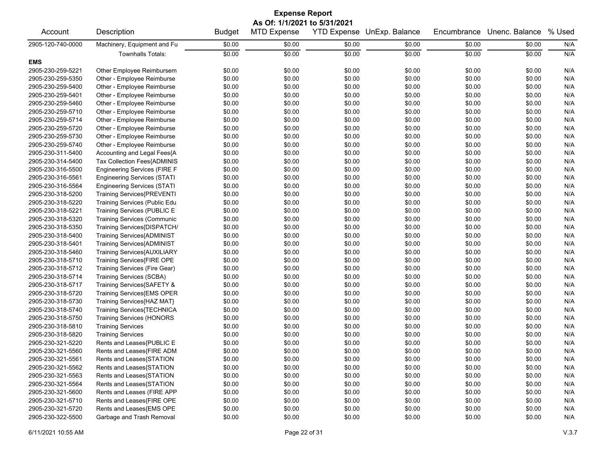|                   |                                        |               | <b>Expense Report</b> |                    |                |             |                |     |  |  |
|-------------------|----------------------------------------|---------------|-----------------------|--------------------|----------------|-------------|----------------|-----|--|--|
|                   | As Of: 1/1/2021 to 5/31/2021<br>% Used |               |                       |                    |                |             |                |     |  |  |
| Account           | Description                            | <b>Budget</b> | <b>MTD Expense</b>    | <b>YTD Expense</b> | UnExp. Balance | Encumbrance | Unenc. Balance |     |  |  |
| 2905-120-740-0000 | Machinery, Equipment and Fu            | \$0.00        | \$0.00                | \$0.00             | \$0.00         | \$0.00      | \$0.00         | N/A |  |  |
|                   | <b>Townhalls Totals:</b>               | \$0.00        | \$0.00                | \$0.00             | \$0.00         | \$0.00      | \$0.00         | N/A |  |  |
| <b>EMS</b>        |                                        |               |                       |                    |                |             |                |     |  |  |
| 2905-230-259-5221 | Other Employee Reimbursem              | \$0.00        | \$0.00                | \$0.00             | \$0.00         | \$0.00      | \$0.00         | N/A |  |  |
| 2905-230-259-5350 | Other - Employee Reimburse             | \$0.00        | \$0.00                | \$0.00             | \$0.00         | \$0.00      | \$0.00         | N/A |  |  |
| 2905-230-259-5400 | Other - Employee Reimburse             | \$0.00        | \$0.00                | \$0.00             | \$0.00         | \$0.00      | \$0.00         | N/A |  |  |
| 2905-230-259-5401 | Other - Employee Reimburse             | \$0.00        | \$0.00                | \$0.00             | \$0.00         | \$0.00      | \$0.00         | N/A |  |  |
| 2905-230-259-5460 | Other - Employee Reimburse             | \$0.00        | \$0.00                | \$0.00             | \$0.00         | \$0.00      | \$0.00         | N/A |  |  |
| 2905-230-259-5710 | Other - Employee Reimburse             | \$0.00        | \$0.00                | \$0.00             | \$0.00         | \$0.00      | \$0.00         | N/A |  |  |
| 2905-230-259-5714 | Other - Employee Reimburse             | \$0.00        | \$0.00                | \$0.00             | \$0.00         | \$0.00      | \$0.00         | N/A |  |  |
| 2905-230-259-5720 | Other - Employee Reimburse             | \$0.00        | \$0.00                | \$0.00             | \$0.00         | \$0.00      | \$0.00         | N/A |  |  |
| 2905-230-259-5730 | Other - Employee Reimburse             | \$0.00        | \$0.00                | \$0.00             | \$0.00         | \$0.00      | \$0.00         | N/A |  |  |
| 2905-230-259-5740 | Other - Employee Reimburse             | \$0.00        | \$0.00                | \$0.00             | \$0.00         | \$0.00      | \$0.00         | N/A |  |  |
| 2905-230-311-5400 | Accounting and Legal Fees{A            | \$0.00        | \$0.00                | \$0.00             | \$0.00         | \$0.00      | \$0.00         | N/A |  |  |
| 2905-230-314-5400 | Tax Collection Fees{ADMINIS            | \$0.00        | \$0.00                | \$0.00             | \$0.00         | \$0.00      | \$0.00         | N/A |  |  |
| 2905-230-316-5500 | <b>Engineering Services (FIRE F</b>    | \$0.00        | \$0.00                | \$0.00             | \$0.00         | \$0.00      | \$0.00         | N/A |  |  |
| 2905-230-316-5561 | <b>Engineering Services (STATI</b>     | \$0.00        | \$0.00                | \$0.00             | \$0.00         | \$0.00      | \$0.00         | N/A |  |  |
| 2905-230-316-5564 | <b>Engineering Services (STATI</b>     | \$0.00        | \$0.00                | \$0.00             | \$0.00         | \$0.00      | \$0.00         | N/A |  |  |
| 2905-230-318-5200 | Training Services{PREVENTI             | \$0.00        | \$0.00                | \$0.00             | \$0.00         | \$0.00      | \$0.00         | N/A |  |  |
| 2905-230-318-5220 | Training Services (Public Edu          | \$0.00        | \$0.00                | \$0.00             | \$0.00         | \$0.00      | \$0.00         | N/A |  |  |
| 2905-230-318-5221 | Training Services (PUBLIC E            | \$0.00        | \$0.00                | \$0.00             | \$0.00         | \$0.00      | \$0.00         | N/A |  |  |
| 2905-230-318-5320 | <b>Training Services (Communic</b>     | \$0.00        | \$0.00                | \$0.00             | \$0.00         | \$0.00      | \$0.00         | N/A |  |  |
| 2905-230-318-5350 | Training Services{DISPATCH/            | \$0.00        | \$0.00                | \$0.00             | \$0.00         | \$0.00      | \$0.00         | N/A |  |  |
| 2905-230-318-5400 | <b>Training Services{ADMINIST</b>      | \$0.00        | \$0.00                | \$0.00             | \$0.00         | \$0.00      | \$0.00         | N/A |  |  |
| 2905-230-318-5401 | Training Services{ADMINIST             | \$0.00        | \$0.00                | \$0.00             | \$0.00         | \$0.00      | \$0.00         | N/A |  |  |
| 2905-230-318-5460 | Training Services{AUXILIARY            | \$0.00        | \$0.00                | \$0.00             | \$0.00         | \$0.00      | \$0.00         | N/A |  |  |
| 2905-230-318-5710 | Training Services{FIRE OPE             | \$0.00        | \$0.00                | \$0.00             | \$0.00         | \$0.00      | \$0.00         | N/A |  |  |
| 2905-230-318-5712 | Training Services (Fire Gear)          | \$0.00        | \$0.00                | \$0.00             | \$0.00         | \$0.00      | \$0.00         | N/A |  |  |
| 2905-230-318-5714 | <b>Training Services (SCBA)</b>        | \$0.00        | \$0.00                | \$0.00             | \$0.00         | \$0.00      | \$0.00         | N/A |  |  |
| 2905-230-318-5717 | Training Services{SAFETY &             | \$0.00        | \$0.00                | \$0.00             | \$0.00         | \$0.00      | \$0.00         | N/A |  |  |
| 2905-230-318-5720 | Training Services{EMS OPER             | \$0.00        | \$0.00                | \$0.00             | \$0.00         | \$0.00      | \$0.00         | N/A |  |  |
| 2905-230-318-5730 | Training Services{HAZ MAT}             | \$0.00        | \$0.00                | \$0.00             | \$0.00         | \$0.00      | \$0.00         | N/A |  |  |
| 2905-230-318-5740 | Training Services{TECHNICA             | \$0.00        | \$0.00                | \$0.00             | \$0.00         | \$0.00      | \$0.00         | N/A |  |  |
| 2905-230-318-5750 | <b>Training Services (HONORS</b>       | \$0.00        | \$0.00                | \$0.00             | \$0.00         | \$0.00      | \$0.00         | N/A |  |  |
| 2905-230-318-5810 | <b>Training Services</b>               | \$0.00        | \$0.00                | \$0.00             | \$0.00         | \$0.00      | \$0.00         | N/A |  |  |
| 2905-230-318-5820 | <b>Training Services</b>               | \$0.00        | \$0.00                | \$0.00             | \$0.00         | \$0.00      | \$0.00         | N/A |  |  |
| 2905-230-321-5220 | Rents and Leases{PUBLIC E              | \$0.00        | \$0.00                | \$0.00             | \$0.00         | \$0.00      | \$0.00         | N/A |  |  |
| 2905-230-321-5560 | Rents and Leases{FIRE ADM              | \$0.00        | \$0.00                | \$0.00             | \$0.00         | \$0.00      | \$0.00         | N/A |  |  |
| 2905-230-321-5561 | Rents and Leases{STATION               | \$0.00        | \$0.00                | \$0.00             | \$0.00         | \$0.00      | \$0.00         | N/A |  |  |
| 2905-230-321-5562 | Rents and Leases{STATION               | \$0.00        | \$0.00                | \$0.00             | \$0.00         | \$0.00      | \$0.00         | N/A |  |  |
| 2905-230-321-5563 | Rents and Leases{STATION               | \$0.00        | \$0.00                | \$0.00             | \$0.00         | \$0.00      | \$0.00         | N/A |  |  |
| 2905-230-321-5564 | Rents and Leases{STATION               | \$0.00        | \$0.00                | \$0.00             | \$0.00         | \$0.00      | \$0.00         | N/A |  |  |
| 2905-230-321-5600 | Rents and Leases (FIRE APP             | \$0.00        | \$0.00                | \$0.00             | \$0.00         | \$0.00      | \$0.00         | N/A |  |  |
| 2905-230-321-5710 | Rents and Leases{FIRE OPE              | \$0.00        | \$0.00                | \$0.00             | \$0.00         | \$0.00      | \$0.00         | N/A |  |  |
| 2905-230-321-5720 | Rents and Leases{EMS OPE               | \$0.00        | \$0.00                | \$0.00             | \$0.00         | \$0.00      | \$0.00         | N/A |  |  |
| 2905-230-322-5500 | Garbage and Trash Removal              | \$0.00        | \$0.00                | \$0.00             | \$0.00         | \$0.00      | \$0.00         | N/A |  |  |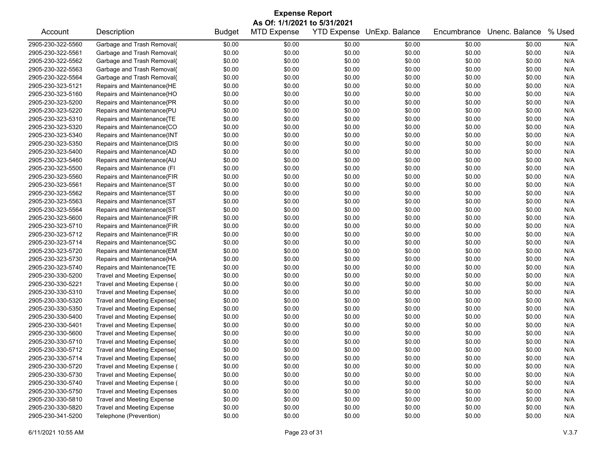| As Of: 1/1/2021 to 5/31/2021<br>Description<br><b>MTD Expense</b><br><b>YTD Expense</b><br>UnExp. Balance<br>Unenc. Balance<br>% Used<br>Account<br><b>Budget</b><br>Encumbrance<br>2905-230-322-5560<br>Garbage and Trash Removal{<br>\$0.00<br>\$0.00<br>\$0.00<br>\$0.00<br>N/A<br>\$0.00<br>\$0.00<br>\$0.00<br>\$0.00<br>\$0.00<br>\$0.00<br>\$0.00<br>2905-230-322-5561<br>Garbage and Trash Removal{<br>\$0.00<br>N/A<br>Garbage and Trash Removal{<br>\$0.00<br>\$0.00<br>\$0.00<br>\$0.00<br>N/A<br>2905-230-322-5562<br>\$0.00<br>\$0.00<br>2905-230-322-5563<br>Garbage and Trash Removal{<br>\$0.00<br>\$0.00<br>\$0.00<br>\$0.00<br>\$0.00<br>N/A<br>\$0.00<br>Garbage and Trash Removal{<br>\$0.00<br>\$0.00<br>\$0.00<br>N/A<br>2905-230-322-5564<br>\$0.00<br>\$0.00<br>\$0.00<br>\$0.00<br>\$0.00<br>\$0.00<br>N/A<br>2905-230-323-5121<br>Repairs and Maintenance{HE<br>\$0.00<br>\$0.00<br>\$0.00<br>N/A<br>2905-230-323-5160<br>Repairs and Maintenance{HO<br>\$0.00<br>\$0.00<br>\$0.00<br>\$0.00<br>\$0.00<br>\$0.00<br>\$0.00<br>\$0.00<br>N/A<br>2905-230-323-5200<br>Repairs and Maintenance{PR<br>\$0.00<br>\$0.00<br>\$0.00<br>\$0.00<br>2905-230-323-5220<br>Repairs and Maintenance{PU<br>\$0.00<br>\$0.00<br>\$0.00<br>\$0.00<br>N/A<br>\$0.00<br>\$0.00<br>Repairs and Maintenance{TE<br>\$0.00<br>\$0.00<br>N/A<br>2905-230-323-5310<br>\$0.00<br>\$0.00<br>\$0.00<br>\$0.00<br>\$0.00<br>\$0.00<br>\$0.00<br>N/A<br>2905-230-323-5320<br>Repairs and Maintenance{CO<br>\$0.00<br>\$0.00<br>\$0.00<br>\$0.00<br>N/A<br>2905-230-323-5340<br>Repairs and Maintenance{INT<br>\$0.00<br>\$0.00<br>\$0.00<br>\$0.00<br>\$0.00<br>2905-230-323-5350<br>Repairs and Maintenance{DIS<br>\$0.00<br>\$0.00<br>\$0.00<br>N/A<br>\$0.00<br>\$0.00<br>\$0.00<br>2905-230-323-5400<br>Repairs and Maintenance{AD<br>\$0.00<br>\$0.00<br>\$0.00<br>\$0.00<br>\$0.00<br>N/A<br>\$0.00<br>Repairs and Maintenance{AU<br>\$0.00<br>\$0.00<br>\$0.00<br>N/A<br>2905-230-323-5460<br>\$0.00<br>\$0.00<br>\$0.00<br>\$0.00<br>\$0.00<br>\$0.00<br>N/A<br>2905-230-323-5500<br>Repairs and Maintenance (FI<br>\$0.00<br>\$0.00<br>\$0.00<br>N/A<br>2905-230-323-5560<br>Repairs and Maintenance{FIR<br>\$0.00<br>\$0.00<br>\$0.00<br>\$0.00<br>\$0.00<br>\$0.00<br>Repairs and Maintenance{ST<br>\$0.00<br>\$0.00<br>N/A<br>2905-230-323-5561<br>\$0.00<br>\$0.00<br>\$0.00<br>\$0.00<br>2905-230-323-5562<br>Repairs and Maintenance{ST<br>\$0.00<br>\$0.00<br>\$0.00<br>N/A<br>\$0.00<br>\$0.00<br>\$0.00<br>Repairs and Maintenance{ST<br>\$0.00<br>\$0.00<br>N/A<br>2905-230-323-5563<br>\$0.00<br>\$0.00<br>\$0.00<br>\$0.00<br>\$0.00<br>\$0.00<br>\$0.00<br>N/A<br>2905-230-323-5564<br>Repairs and Maintenance{ST<br>\$0.00<br>\$0.00<br>\$0.00<br>\$0.00<br>N/A<br>2905-230-323-5600<br>Repairs and Maintenance{FIR<br>\$0.00<br>\$0.00<br>\$0.00<br>\$0.00<br>\$0.00<br>\$0.00<br>\$0.00<br>\$0.00<br>N/A<br>2905-230-323-5710<br>Repairs and Maintenance{FIR<br>\$0.00<br>\$0.00<br>\$0.00<br>2905-230-323-5712<br>Repairs and Maintenance{FIR<br>\$0.00<br>\$0.00<br>\$0.00<br>\$0.00<br>N/A<br>\$0.00<br>\$0.00<br>Repairs and Maintenance{SC<br>\$0.00<br>\$0.00<br>\$0.00<br>N/A<br>2905-230-323-5714<br>\$0.00<br>\$0.00<br>\$0.00<br>\$0.00<br>\$0.00<br>\$0.00<br>N/A<br>2905-230-323-5720<br>Repairs and Maintenance{EM<br>\$0.00<br>\$0.00<br>\$0.00<br>N/A<br>2905-230-323-5730<br>Repairs and Maintenance{HA<br>\$0.00<br>\$0.00<br>\$0.00<br>\$0.00<br>\$0.00<br>\$0.00<br>Repairs and Maintenance{TE<br>\$0.00<br>\$0.00<br>\$0.00<br>N/A<br>2905-230-323-5740<br>\$0.00<br>\$0.00<br>\$0.00<br>2905-230-330-5200<br>Travel and Meeting Expense{<br>\$0.00<br>\$0.00<br>\$0.00<br>\$0.00<br>N/A<br>\$0.00<br>\$0.00<br>Travel and Meeting Expense (<br>\$0.00<br>\$0.00<br>\$0.00<br>N/A<br>2905-230-330-5221<br>\$0.00<br>\$0.00<br>\$0.00<br>\$0.00<br>\$0.00<br>\$0.00<br>N/A<br>2905-230-330-5310<br>Travel and Meeting Expense{<br>\$0.00<br>\$0.00<br>\$0.00<br>\$0.00<br>2905-230-330-5320<br>Travel and Meeting Expense{<br>\$0.00<br>\$0.00<br>\$0.00<br>\$0.00<br>\$0.00<br>N/A<br>\$0.00<br>\$0.00<br>N/A<br>2905-230-330-5350<br>Travel and Meeting Expense{<br>\$0.00<br>\$0.00<br>\$0.00<br>\$0.00<br>2905-230-330-5400<br>Travel and Meeting Expense{<br>\$0.00<br>\$0.00<br>\$0.00<br>N/A<br>\$0.00<br>\$0.00<br>\$0.00<br>\$0.00<br>\$0.00<br>2905-230-330-5401<br>Travel and Meeting Expense{<br>\$0.00<br>\$0.00<br>\$0.00<br>\$0.00<br>N/A<br>\$0.00<br>\$0.00<br>\$0.00<br>N/A<br>2905-230-330-5600<br>Travel and Meeting Expense{<br>\$0.00<br>\$0.00<br>\$0.00<br>\$0.00<br>\$0.00<br>N/A<br>2905-230-330-5710<br>Travel and Meeting Expense{<br>\$0.00<br>\$0.00<br>\$0.00<br>\$0.00<br>\$0.00<br>2905-230-330-5712<br>\$0.00<br>\$0.00<br>\$0.00<br>\$0.00<br>\$0.00<br>N/A<br>Travel and Meeting Expense{<br>\$0.00<br>\$0.00<br>\$0.00<br>\$0.00<br>\$0.00<br>N/A<br>2905-230-330-5714<br>Travel and Meeting Expense{<br>\$0.00<br>Travel and Meeting Expense (<br>\$0.00<br>\$0.00<br>\$0.00<br>\$0.00<br>2905-230-330-5720<br>\$0.00<br>\$0.00<br>N/A<br>\$0.00<br>\$0.00<br>2905-230-330-5730<br>Travel and Meeting Expense{<br>\$0.00<br>\$0.00<br>\$0.00<br>\$0.00<br>N/A<br>2905-230-330-5740<br>Travel and Meeting Expense (<br>\$0.00<br>\$0.00<br>\$0.00<br>\$0.00<br>\$0.00<br>\$0.00<br>N/A<br><b>Travel and Meeting Expenses</b><br>\$0.00<br>\$0.00<br>2905-230-330-5750<br>\$0.00<br>\$0.00<br>\$0.00<br>\$0.00<br>N/A<br>2905-230-330-5810<br><b>Travel and Meeting Expense</b><br>\$0.00<br>\$0.00<br>\$0.00<br>\$0.00<br>\$0.00<br>\$0.00<br>N/A<br><b>Travel and Meeting Expense</b><br>2905-230-330-5820<br>\$0.00<br>\$0.00<br>\$0.00<br>\$0.00<br>\$0.00<br>\$0.00<br>N/A<br>\$0.00 |                   |                        |        | <b>Expense Report</b> |        |        |        |  |     |
|------------------------------------------------------------------------------------------------------------------------------------------------------------------------------------------------------------------------------------------------------------------------------------------------------------------------------------------------------------------------------------------------------------------------------------------------------------------------------------------------------------------------------------------------------------------------------------------------------------------------------------------------------------------------------------------------------------------------------------------------------------------------------------------------------------------------------------------------------------------------------------------------------------------------------------------------------------------------------------------------------------------------------------------------------------------------------------------------------------------------------------------------------------------------------------------------------------------------------------------------------------------------------------------------------------------------------------------------------------------------------------------------------------------------------------------------------------------------------------------------------------------------------------------------------------------------------------------------------------------------------------------------------------------------------------------------------------------------------------------------------------------------------------------------------------------------------------------------------------------------------------------------------------------------------------------------------------------------------------------------------------------------------------------------------------------------------------------------------------------------------------------------------------------------------------------------------------------------------------------------------------------------------------------------------------------------------------------------------------------------------------------------------------------------------------------------------------------------------------------------------------------------------------------------------------------------------------------------------------------------------------------------------------------------------------------------------------------------------------------------------------------------------------------------------------------------------------------------------------------------------------------------------------------------------------------------------------------------------------------------------------------------------------------------------------------------------------------------------------------------------------------------------------------------------------------------------------------------------------------------------------------------------------------------------------------------------------------------------------------------------------------------------------------------------------------------------------------------------------------------------------------------------------------------------------------------------------------------------------------------------------------------------------------------------------------------------------------------------------------------------------------------------------------------------------------------------------------------------------------------------------------------------------------------------------------------------------------------------------------------------------------------------------------------------------------------------------------------------------------------------------------------------------------------------------------------------------------------------------------------------------------------------------------------------------------------------------------------------------------------------------------------------------------------------------------------------------------------------------------------------------------------------------------------------------------------------------------------------------------------------------------------------------------------------------------------------------------------------------------------------------------------------------------------------------------------------------------------------------------------------------------------------------------------------------------------------------------------------------------------------------------------------------------------------------------------------------------------------------------------------------------------------------------------------------------------------------------------------------------------------------------------------------------------------------------------------------------------------------------------------------------------------------------------------------------------------------------------------------------------------------------------------------------------------------------------------------------------------------------------------------------------------------------------------------------------------------------------------------------------------------------------|-------------------|------------------------|--------|-----------------------|--------|--------|--------|--|-----|
|                                                                                                                                                                                                                                                                                                                                                                                                                                                                                                                                                                                                                                                                                                                                                                                                                                                                                                                                                                                                                                                                                                                                                                                                                                                                                                                                                                                                                                                                                                                                                                                                                                                                                                                                                                                                                                                                                                                                                                                                                                                                                                                                                                                                                                                                                                                                                                                                                                                                                                                                                                                                                                                                                                                                                                                                                                                                                                                                                                                                                                                                                                                                                                                                                                                                                                                                                                                                                                                                                                                                                                                                                                                                                                                                                                                                                                                                                                                                                                                                                                                                                                                                                                                                                                                                                                                                                                                                                                                                                                                                                                                                                                                                                                                                                                                                                                                                                                                                                                                                                                                                                                                                                                                                                                                                                                                                                                                                                                                                                                                                                                                                                                                                                                                                                                        |                   |                        |        |                       |        |        |        |  |     |
|                                                                                                                                                                                                                                                                                                                                                                                                                                                                                                                                                                                                                                                                                                                                                                                                                                                                                                                                                                                                                                                                                                                                                                                                                                                                                                                                                                                                                                                                                                                                                                                                                                                                                                                                                                                                                                                                                                                                                                                                                                                                                                                                                                                                                                                                                                                                                                                                                                                                                                                                                                                                                                                                                                                                                                                                                                                                                                                                                                                                                                                                                                                                                                                                                                                                                                                                                                                                                                                                                                                                                                                                                                                                                                                                                                                                                                                                                                                                                                                                                                                                                                                                                                                                                                                                                                                                                                                                                                                                                                                                                                                                                                                                                                                                                                                                                                                                                                                                                                                                                                                                                                                                                                                                                                                                                                                                                                                                                                                                                                                                                                                                                                                                                                                                                                        |                   |                        |        |                       |        |        |        |  |     |
|                                                                                                                                                                                                                                                                                                                                                                                                                                                                                                                                                                                                                                                                                                                                                                                                                                                                                                                                                                                                                                                                                                                                                                                                                                                                                                                                                                                                                                                                                                                                                                                                                                                                                                                                                                                                                                                                                                                                                                                                                                                                                                                                                                                                                                                                                                                                                                                                                                                                                                                                                                                                                                                                                                                                                                                                                                                                                                                                                                                                                                                                                                                                                                                                                                                                                                                                                                                                                                                                                                                                                                                                                                                                                                                                                                                                                                                                                                                                                                                                                                                                                                                                                                                                                                                                                                                                                                                                                                                                                                                                                                                                                                                                                                                                                                                                                                                                                                                                                                                                                                                                                                                                                                                                                                                                                                                                                                                                                                                                                                                                                                                                                                                                                                                                                                        |                   |                        |        |                       |        |        |        |  |     |
|                                                                                                                                                                                                                                                                                                                                                                                                                                                                                                                                                                                                                                                                                                                                                                                                                                                                                                                                                                                                                                                                                                                                                                                                                                                                                                                                                                                                                                                                                                                                                                                                                                                                                                                                                                                                                                                                                                                                                                                                                                                                                                                                                                                                                                                                                                                                                                                                                                                                                                                                                                                                                                                                                                                                                                                                                                                                                                                                                                                                                                                                                                                                                                                                                                                                                                                                                                                                                                                                                                                                                                                                                                                                                                                                                                                                                                                                                                                                                                                                                                                                                                                                                                                                                                                                                                                                                                                                                                                                                                                                                                                                                                                                                                                                                                                                                                                                                                                                                                                                                                                                                                                                                                                                                                                                                                                                                                                                                                                                                                                                                                                                                                                                                                                                                                        |                   |                        |        |                       |        |        |        |  |     |
|                                                                                                                                                                                                                                                                                                                                                                                                                                                                                                                                                                                                                                                                                                                                                                                                                                                                                                                                                                                                                                                                                                                                                                                                                                                                                                                                                                                                                                                                                                                                                                                                                                                                                                                                                                                                                                                                                                                                                                                                                                                                                                                                                                                                                                                                                                                                                                                                                                                                                                                                                                                                                                                                                                                                                                                                                                                                                                                                                                                                                                                                                                                                                                                                                                                                                                                                                                                                                                                                                                                                                                                                                                                                                                                                                                                                                                                                                                                                                                                                                                                                                                                                                                                                                                                                                                                                                                                                                                                                                                                                                                                                                                                                                                                                                                                                                                                                                                                                                                                                                                                                                                                                                                                                                                                                                                                                                                                                                                                                                                                                                                                                                                                                                                                                                                        |                   |                        |        |                       |        |        |        |  |     |
|                                                                                                                                                                                                                                                                                                                                                                                                                                                                                                                                                                                                                                                                                                                                                                                                                                                                                                                                                                                                                                                                                                                                                                                                                                                                                                                                                                                                                                                                                                                                                                                                                                                                                                                                                                                                                                                                                                                                                                                                                                                                                                                                                                                                                                                                                                                                                                                                                                                                                                                                                                                                                                                                                                                                                                                                                                                                                                                                                                                                                                                                                                                                                                                                                                                                                                                                                                                                                                                                                                                                                                                                                                                                                                                                                                                                                                                                                                                                                                                                                                                                                                                                                                                                                                                                                                                                                                                                                                                                                                                                                                                                                                                                                                                                                                                                                                                                                                                                                                                                                                                                                                                                                                                                                                                                                                                                                                                                                                                                                                                                                                                                                                                                                                                                                                        |                   |                        |        |                       |        |        |        |  |     |
|                                                                                                                                                                                                                                                                                                                                                                                                                                                                                                                                                                                                                                                                                                                                                                                                                                                                                                                                                                                                                                                                                                                                                                                                                                                                                                                                                                                                                                                                                                                                                                                                                                                                                                                                                                                                                                                                                                                                                                                                                                                                                                                                                                                                                                                                                                                                                                                                                                                                                                                                                                                                                                                                                                                                                                                                                                                                                                                                                                                                                                                                                                                                                                                                                                                                                                                                                                                                                                                                                                                                                                                                                                                                                                                                                                                                                                                                                                                                                                                                                                                                                                                                                                                                                                                                                                                                                                                                                                                                                                                                                                                                                                                                                                                                                                                                                                                                                                                                                                                                                                                                                                                                                                                                                                                                                                                                                                                                                                                                                                                                                                                                                                                                                                                                                                        |                   |                        |        |                       |        |        |        |  |     |
|                                                                                                                                                                                                                                                                                                                                                                                                                                                                                                                                                                                                                                                                                                                                                                                                                                                                                                                                                                                                                                                                                                                                                                                                                                                                                                                                                                                                                                                                                                                                                                                                                                                                                                                                                                                                                                                                                                                                                                                                                                                                                                                                                                                                                                                                                                                                                                                                                                                                                                                                                                                                                                                                                                                                                                                                                                                                                                                                                                                                                                                                                                                                                                                                                                                                                                                                                                                                                                                                                                                                                                                                                                                                                                                                                                                                                                                                                                                                                                                                                                                                                                                                                                                                                                                                                                                                                                                                                                                                                                                                                                                                                                                                                                                                                                                                                                                                                                                                                                                                                                                                                                                                                                                                                                                                                                                                                                                                                                                                                                                                                                                                                                                                                                                                                                        |                   |                        |        |                       |        |        |        |  |     |
|                                                                                                                                                                                                                                                                                                                                                                                                                                                                                                                                                                                                                                                                                                                                                                                                                                                                                                                                                                                                                                                                                                                                                                                                                                                                                                                                                                                                                                                                                                                                                                                                                                                                                                                                                                                                                                                                                                                                                                                                                                                                                                                                                                                                                                                                                                                                                                                                                                                                                                                                                                                                                                                                                                                                                                                                                                                                                                                                                                                                                                                                                                                                                                                                                                                                                                                                                                                                                                                                                                                                                                                                                                                                                                                                                                                                                                                                                                                                                                                                                                                                                                                                                                                                                                                                                                                                                                                                                                                                                                                                                                                                                                                                                                                                                                                                                                                                                                                                                                                                                                                                                                                                                                                                                                                                                                                                                                                                                                                                                                                                                                                                                                                                                                                                                                        |                   |                        |        |                       |        |        |        |  |     |
|                                                                                                                                                                                                                                                                                                                                                                                                                                                                                                                                                                                                                                                                                                                                                                                                                                                                                                                                                                                                                                                                                                                                                                                                                                                                                                                                                                                                                                                                                                                                                                                                                                                                                                                                                                                                                                                                                                                                                                                                                                                                                                                                                                                                                                                                                                                                                                                                                                                                                                                                                                                                                                                                                                                                                                                                                                                                                                                                                                                                                                                                                                                                                                                                                                                                                                                                                                                                                                                                                                                                                                                                                                                                                                                                                                                                                                                                                                                                                                                                                                                                                                                                                                                                                                                                                                                                                                                                                                                                                                                                                                                                                                                                                                                                                                                                                                                                                                                                                                                                                                                                                                                                                                                                                                                                                                                                                                                                                                                                                                                                                                                                                                                                                                                                                                        |                   |                        |        |                       |        |        |        |  |     |
|                                                                                                                                                                                                                                                                                                                                                                                                                                                                                                                                                                                                                                                                                                                                                                                                                                                                                                                                                                                                                                                                                                                                                                                                                                                                                                                                                                                                                                                                                                                                                                                                                                                                                                                                                                                                                                                                                                                                                                                                                                                                                                                                                                                                                                                                                                                                                                                                                                                                                                                                                                                                                                                                                                                                                                                                                                                                                                                                                                                                                                                                                                                                                                                                                                                                                                                                                                                                                                                                                                                                                                                                                                                                                                                                                                                                                                                                                                                                                                                                                                                                                                                                                                                                                                                                                                                                                                                                                                                                                                                                                                                                                                                                                                                                                                                                                                                                                                                                                                                                                                                                                                                                                                                                                                                                                                                                                                                                                                                                                                                                                                                                                                                                                                                                                                        |                   |                        |        |                       |        |        |        |  |     |
|                                                                                                                                                                                                                                                                                                                                                                                                                                                                                                                                                                                                                                                                                                                                                                                                                                                                                                                                                                                                                                                                                                                                                                                                                                                                                                                                                                                                                                                                                                                                                                                                                                                                                                                                                                                                                                                                                                                                                                                                                                                                                                                                                                                                                                                                                                                                                                                                                                                                                                                                                                                                                                                                                                                                                                                                                                                                                                                                                                                                                                                                                                                                                                                                                                                                                                                                                                                                                                                                                                                                                                                                                                                                                                                                                                                                                                                                                                                                                                                                                                                                                                                                                                                                                                                                                                                                                                                                                                                                                                                                                                                                                                                                                                                                                                                                                                                                                                                                                                                                                                                                                                                                                                                                                                                                                                                                                                                                                                                                                                                                                                                                                                                                                                                                                                        |                   |                        |        |                       |        |        |        |  |     |
|                                                                                                                                                                                                                                                                                                                                                                                                                                                                                                                                                                                                                                                                                                                                                                                                                                                                                                                                                                                                                                                                                                                                                                                                                                                                                                                                                                                                                                                                                                                                                                                                                                                                                                                                                                                                                                                                                                                                                                                                                                                                                                                                                                                                                                                                                                                                                                                                                                                                                                                                                                                                                                                                                                                                                                                                                                                                                                                                                                                                                                                                                                                                                                                                                                                                                                                                                                                                                                                                                                                                                                                                                                                                                                                                                                                                                                                                                                                                                                                                                                                                                                                                                                                                                                                                                                                                                                                                                                                                                                                                                                                                                                                                                                                                                                                                                                                                                                                                                                                                                                                                                                                                                                                                                                                                                                                                                                                                                                                                                                                                                                                                                                                                                                                                                                        |                   |                        |        |                       |        |        |        |  |     |
|                                                                                                                                                                                                                                                                                                                                                                                                                                                                                                                                                                                                                                                                                                                                                                                                                                                                                                                                                                                                                                                                                                                                                                                                                                                                                                                                                                                                                                                                                                                                                                                                                                                                                                                                                                                                                                                                                                                                                                                                                                                                                                                                                                                                                                                                                                                                                                                                                                                                                                                                                                                                                                                                                                                                                                                                                                                                                                                                                                                                                                                                                                                                                                                                                                                                                                                                                                                                                                                                                                                                                                                                                                                                                                                                                                                                                                                                                                                                                                                                                                                                                                                                                                                                                                                                                                                                                                                                                                                                                                                                                                                                                                                                                                                                                                                                                                                                                                                                                                                                                                                                                                                                                                                                                                                                                                                                                                                                                                                                                                                                                                                                                                                                                                                                                                        |                   |                        |        |                       |        |        |        |  |     |
|                                                                                                                                                                                                                                                                                                                                                                                                                                                                                                                                                                                                                                                                                                                                                                                                                                                                                                                                                                                                                                                                                                                                                                                                                                                                                                                                                                                                                                                                                                                                                                                                                                                                                                                                                                                                                                                                                                                                                                                                                                                                                                                                                                                                                                                                                                                                                                                                                                                                                                                                                                                                                                                                                                                                                                                                                                                                                                                                                                                                                                                                                                                                                                                                                                                                                                                                                                                                                                                                                                                                                                                                                                                                                                                                                                                                                                                                                                                                                                                                                                                                                                                                                                                                                                                                                                                                                                                                                                                                                                                                                                                                                                                                                                                                                                                                                                                                                                                                                                                                                                                                                                                                                                                                                                                                                                                                                                                                                                                                                                                                                                                                                                                                                                                                                                        |                   |                        |        |                       |        |        |        |  |     |
|                                                                                                                                                                                                                                                                                                                                                                                                                                                                                                                                                                                                                                                                                                                                                                                                                                                                                                                                                                                                                                                                                                                                                                                                                                                                                                                                                                                                                                                                                                                                                                                                                                                                                                                                                                                                                                                                                                                                                                                                                                                                                                                                                                                                                                                                                                                                                                                                                                                                                                                                                                                                                                                                                                                                                                                                                                                                                                                                                                                                                                                                                                                                                                                                                                                                                                                                                                                                                                                                                                                                                                                                                                                                                                                                                                                                                                                                                                                                                                                                                                                                                                                                                                                                                                                                                                                                                                                                                                                                                                                                                                                                                                                                                                                                                                                                                                                                                                                                                                                                                                                                                                                                                                                                                                                                                                                                                                                                                                                                                                                                                                                                                                                                                                                                                                        |                   |                        |        |                       |        |        |        |  |     |
|                                                                                                                                                                                                                                                                                                                                                                                                                                                                                                                                                                                                                                                                                                                                                                                                                                                                                                                                                                                                                                                                                                                                                                                                                                                                                                                                                                                                                                                                                                                                                                                                                                                                                                                                                                                                                                                                                                                                                                                                                                                                                                                                                                                                                                                                                                                                                                                                                                                                                                                                                                                                                                                                                                                                                                                                                                                                                                                                                                                                                                                                                                                                                                                                                                                                                                                                                                                                                                                                                                                                                                                                                                                                                                                                                                                                                                                                                                                                                                                                                                                                                                                                                                                                                                                                                                                                                                                                                                                                                                                                                                                                                                                                                                                                                                                                                                                                                                                                                                                                                                                                                                                                                                                                                                                                                                                                                                                                                                                                                                                                                                                                                                                                                                                                                                        |                   |                        |        |                       |        |        |        |  |     |
|                                                                                                                                                                                                                                                                                                                                                                                                                                                                                                                                                                                                                                                                                                                                                                                                                                                                                                                                                                                                                                                                                                                                                                                                                                                                                                                                                                                                                                                                                                                                                                                                                                                                                                                                                                                                                                                                                                                                                                                                                                                                                                                                                                                                                                                                                                                                                                                                                                                                                                                                                                                                                                                                                                                                                                                                                                                                                                                                                                                                                                                                                                                                                                                                                                                                                                                                                                                                                                                                                                                                                                                                                                                                                                                                                                                                                                                                                                                                                                                                                                                                                                                                                                                                                                                                                                                                                                                                                                                                                                                                                                                                                                                                                                                                                                                                                                                                                                                                                                                                                                                                                                                                                                                                                                                                                                                                                                                                                                                                                                                                                                                                                                                                                                                                                                        |                   |                        |        |                       |        |        |        |  |     |
|                                                                                                                                                                                                                                                                                                                                                                                                                                                                                                                                                                                                                                                                                                                                                                                                                                                                                                                                                                                                                                                                                                                                                                                                                                                                                                                                                                                                                                                                                                                                                                                                                                                                                                                                                                                                                                                                                                                                                                                                                                                                                                                                                                                                                                                                                                                                                                                                                                                                                                                                                                                                                                                                                                                                                                                                                                                                                                                                                                                                                                                                                                                                                                                                                                                                                                                                                                                                                                                                                                                                                                                                                                                                                                                                                                                                                                                                                                                                                                                                                                                                                                                                                                                                                                                                                                                                                                                                                                                                                                                                                                                                                                                                                                                                                                                                                                                                                                                                                                                                                                                                                                                                                                                                                                                                                                                                                                                                                                                                                                                                                                                                                                                                                                                                                                        |                   |                        |        |                       |        |        |        |  |     |
|                                                                                                                                                                                                                                                                                                                                                                                                                                                                                                                                                                                                                                                                                                                                                                                                                                                                                                                                                                                                                                                                                                                                                                                                                                                                                                                                                                                                                                                                                                                                                                                                                                                                                                                                                                                                                                                                                                                                                                                                                                                                                                                                                                                                                                                                                                                                                                                                                                                                                                                                                                                                                                                                                                                                                                                                                                                                                                                                                                                                                                                                                                                                                                                                                                                                                                                                                                                                                                                                                                                                                                                                                                                                                                                                                                                                                                                                                                                                                                                                                                                                                                                                                                                                                                                                                                                                                                                                                                                                                                                                                                                                                                                                                                                                                                                                                                                                                                                                                                                                                                                                                                                                                                                                                                                                                                                                                                                                                                                                                                                                                                                                                                                                                                                                                                        |                   |                        |        |                       |        |        |        |  |     |
|                                                                                                                                                                                                                                                                                                                                                                                                                                                                                                                                                                                                                                                                                                                                                                                                                                                                                                                                                                                                                                                                                                                                                                                                                                                                                                                                                                                                                                                                                                                                                                                                                                                                                                                                                                                                                                                                                                                                                                                                                                                                                                                                                                                                                                                                                                                                                                                                                                                                                                                                                                                                                                                                                                                                                                                                                                                                                                                                                                                                                                                                                                                                                                                                                                                                                                                                                                                                                                                                                                                                                                                                                                                                                                                                                                                                                                                                                                                                                                                                                                                                                                                                                                                                                                                                                                                                                                                                                                                                                                                                                                                                                                                                                                                                                                                                                                                                                                                                                                                                                                                                                                                                                                                                                                                                                                                                                                                                                                                                                                                                                                                                                                                                                                                                                                        |                   |                        |        |                       |        |        |        |  |     |
|                                                                                                                                                                                                                                                                                                                                                                                                                                                                                                                                                                                                                                                                                                                                                                                                                                                                                                                                                                                                                                                                                                                                                                                                                                                                                                                                                                                                                                                                                                                                                                                                                                                                                                                                                                                                                                                                                                                                                                                                                                                                                                                                                                                                                                                                                                                                                                                                                                                                                                                                                                                                                                                                                                                                                                                                                                                                                                                                                                                                                                                                                                                                                                                                                                                                                                                                                                                                                                                                                                                                                                                                                                                                                                                                                                                                                                                                                                                                                                                                                                                                                                                                                                                                                                                                                                                                                                                                                                                                                                                                                                                                                                                                                                                                                                                                                                                                                                                                                                                                                                                                                                                                                                                                                                                                                                                                                                                                                                                                                                                                                                                                                                                                                                                                                                        |                   |                        |        |                       |        |        |        |  |     |
|                                                                                                                                                                                                                                                                                                                                                                                                                                                                                                                                                                                                                                                                                                                                                                                                                                                                                                                                                                                                                                                                                                                                                                                                                                                                                                                                                                                                                                                                                                                                                                                                                                                                                                                                                                                                                                                                                                                                                                                                                                                                                                                                                                                                                                                                                                                                                                                                                                                                                                                                                                                                                                                                                                                                                                                                                                                                                                                                                                                                                                                                                                                                                                                                                                                                                                                                                                                                                                                                                                                                                                                                                                                                                                                                                                                                                                                                                                                                                                                                                                                                                                                                                                                                                                                                                                                                                                                                                                                                                                                                                                                                                                                                                                                                                                                                                                                                                                                                                                                                                                                                                                                                                                                                                                                                                                                                                                                                                                                                                                                                                                                                                                                                                                                                                                        |                   |                        |        |                       |        |        |        |  |     |
|                                                                                                                                                                                                                                                                                                                                                                                                                                                                                                                                                                                                                                                                                                                                                                                                                                                                                                                                                                                                                                                                                                                                                                                                                                                                                                                                                                                                                                                                                                                                                                                                                                                                                                                                                                                                                                                                                                                                                                                                                                                                                                                                                                                                                                                                                                                                                                                                                                                                                                                                                                                                                                                                                                                                                                                                                                                                                                                                                                                                                                                                                                                                                                                                                                                                                                                                                                                                                                                                                                                                                                                                                                                                                                                                                                                                                                                                                                                                                                                                                                                                                                                                                                                                                                                                                                                                                                                                                                                                                                                                                                                                                                                                                                                                                                                                                                                                                                                                                                                                                                                                                                                                                                                                                                                                                                                                                                                                                                                                                                                                                                                                                                                                                                                                                                        |                   |                        |        |                       |        |        |        |  |     |
|                                                                                                                                                                                                                                                                                                                                                                                                                                                                                                                                                                                                                                                                                                                                                                                                                                                                                                                                                                                                                                                                                                                                                                                                                                                                                                                                                                                                                                                                                                                                                                                                                                                                                                                                                                                                                                                                                                                                                                                                                                                                                                                                                                                                                                                                                                                                                                                                                                                                                                                                                                                                                                                                                                                                                                                                                                                                                                                                                                                                                                                                                                                                                                                                                                                                                                                                                                                                                                                                                                                                                                                                                                                                                                                                                                                                                                                                                                                                                                                                                                                                                                                                                                                                                                                                                                                                                                                                                                                                                                                                                                                                                                                                                                                                                                                                                                                                                                                                                                                                                                                                                                                                                                                                                                                                                                                                                                                                                                                                                                                                                                                                                                                                                                                                                                        |                   |                        |        |                       |        |        |        |  |     |
|                                                                                                                                                                                                                                                                                                                                                                                                                                                                                                                                                                                                                                                                                                                                                                                                                                                                                                                                                                                                                                                                                                                                                                                                                                                                                                                                                                                                                                                                                                                                                                                                                                                                                                                                                                                                                                                                                                                                                                                                                                                                                                                                                                                                                                                                                                                                                                                                                                                                                                                                                                                                                                                                                                                                                                                                                                                                                                                                                                                                                                                                                                                                                                                                                                                                                                                                                                                                                                                                                                                                                                                                                                                                                                                                                                                                                                                                                                                                                                                                                                                                                                                                                                                                                                                                                                                                                                                                                                                                                                                                                                                                                                                                                                                                                                                                                                                                                                                                                                                                                                                                                                                                                                                                                                                                                                                                                                                                                                                                                                                                                                                                                                                                                                                                                                        |                   |                        |        |                       |        |        |        |  |     |
|                                                                                                                                                                                                                                                                                                                                                                                                                                                                                                                                                                                                                                                                                                                                                                                                                                                                                                                                                                                                                                                                                                                                                                                                                                                                                                                                                                                                                                                                                                                                                                                                                                                                                                                                                                                                                                                                                                                                                                                                                                                                                                                                                                                                                                                                                                                                                                                                                                                                                                                                                                                                                                                                                                                                                                                                                                                                                                                                                                                                                                                                                                                                                                                                                                                                                                                                                                                                                                                                                                                                                                                                                                                                                                                                                                                                                                                                                                                                                                                                                                                                                                                                                                                                                                                                                                                                                                                                                                                                                                                                                                                                                                                                                                                                                                                                                                                                                                                                                                                                                                                                                                                                                                                                                                                                                                                                                                                                                                                                                                                                                                                                                                                                                                                                                                        |                   |                        |        |                       |        |        |        |  |     |
|                                                                                                                                                                                                                                                                                                                                                                                                                                                                                                                                                                                                                                                                                                                                                                                                                                                                                                                                                                                                                                                                                                                                                                                                                                                                                                                                                                                                                                                                                                                                                                                                                                                                                                                                                                                                                                                                                                                                                                                                                                                                                                                                                                                                                                                                                                                                                                                                                                                                                                                                                                                                                                                                                                                                                                                                                                                                                                                                                                                                                                                                                                                                                                                                                                                                                                                                                                                                                                                                                                                                                                                                                                                                                                                                                                                                                                                                                                                                                                                                                                                                                                                                                                                                                                                                                                                                                                                                                                                                                                                                                                                                                                                                                                                                                                                                                                                                                                                                                                                                                                                                                                                                                                                                                                                                                                                                                                                                                                                                                                                                                                                                                                                                                                                                                                        |                   |                        |        |                       |        |        |        |  |     |
|                                                                                                                                                                                                                                                                                                                                                                                                                                                                                                                                                                                                                                                                                                                                                                                                                                                                                                                                                                                                                                                                                                                                                                                                                                                                                                                                                                                                                                                                                                                                                                                                                                                                                                                                                                                                                                                                                                                                                                                                                                                                                                                                                                                                                                                                                                                                                                                                                                                                                                                                                                                                                                                                                                                                                                                                                                                                                                                                                                                                                                                                                                                                                                                                                                                                                                                                                                                                                                                                                                                                                                                                                                                                                                                                                                                                                                                                                                                                                                                                                                                                                                                                                                                                                                                                                                                                                                                                                                                                                                                                                                                                                                                                                                                                                                                                                                                                                                                                                                                                                                                                                                                                                                                                                                                                                                                                                                                                                                                                                                                                                                                                                                                                                                                                                                        |                   |                        |        |                       |        |        |        |  |     |
|                                                                                                                                                                                                                                                                                                                                                                                                                                                                                                                                                                                                                                                                                                                                                                                                                                                                                                                                                                                                                                                                                                                                                                                                                                                                                                                                                                                                                                                                                                                                                                                                                                                                                                                                                                                                                                                                                                                                                                                                                                                                                                                                                                                                                                                                                                                                                                                                                                                                                                                                                                                                                                                                                                                                                                                                                                                                                                                                                                                                                                                                                                                                                                                                                                                                                                                                                                                                                                                                                                                                                                                                                                                                                                                                                                                                                                                                                                                                                                                                                                                                                                                                                                                                                                                                                                                                                                                                                                                                                                                                                                                                                                                                                                                                                                                                                                                                                                                                                                                                                                                                                                                                                                                                                                                                                                                                                                                                                                                                                                                                                                                                                                                                                                                                                                        |                   |                        |        |                       |        |        |        |  |     |
|                                                                                                                                                                                                                                                                                                                                                                                                                                                                                                                                                                                                                                                                                                                                                                                                                                                                                                                                                                                                                                                                                                                                                                                                                                                                                                                                                                                                                                                                                                                                                                                                                                                                                                                                                                                                                                                                                                                                                                                                                                                                                                                                                                                                                                                                                                                                                                                                                                                                                                                                                                                                                                                                                                                                                                                                                                                                                                                                                                                                                                                                                                                                                                                                                                                                                                                                                                                                                                                                                                                                                                                                                                                                                                                                                                                                                                                                                                                                                                                                                                                                                                                                                                                                                                                                                                                                                                                                                                                                                                                                                                                                                                                                                                                                                                                                                                                                                                                                                                                                                                                                                                                                                                                                                                                                                                                                                                                                                                                                                                                                                                                                                                                                                                                                                                        |                   |                        |        |                       |        |        |        |  |     |
|                                                                                                                                                                                                                                                                                                                                                                                                                                                                                                                                                                                                                                                                                                                                                                                                                                                                                                                                                                                                                                                                                                                                                                                                                                                                                                                                                                                                                                                                                                                                                                                                                                                                                                                                                                                                                                                                                                                                                                                                                                                                                                                                                                                                                                                                                                                                                                                                                                                                                                                                                                                                                                                                                                                                                                                                                                                                                                                                                                                                                                                                                                                                                                                                                                                                                                                                                                                                                                                                                                                                                                                                                                                                                                                                                                                                                                                                                                                                                                                                                                                                                                                                                                                                                                                                                                                                                                                                                                                                                                                                                                                                                                                                                                                                                                                                                                                                                                                                                                                                                                                                                                                                                                                                                                                                                                                                                                                                                                                                                                                                                                                                                                                                                                                                                                        |                   |                        |        |                       |        |        |        |  |     |
|                                                                                                                                                                                                                                                                                                                                                                                                                                                                                                                                                                                                                                                                                                                                                                                                                                                                                                                                                                                                                                                                                                                                                                                                                                                                                                                                                                                                                                                                                                                                                                                                                                                                                                                                                                                                                                                                                                                                                                                                                                                                                                                                                                                                                                                                                                                                                                                                                                                                                                                                                                                                                                                                                                                                                                                                                                                                                                                                                                                                                                                                                                                                                                                                                                                                                                                                                                                                                                                                                                                                                                                                                                                                                                                                                                                                                                                                                                                                                                                                                                                                                                                                                                                                                                                                                                                                                                                                                                                                                                                                                                                                                                                                                                                                                                                                                                                                                                                                                                                                                                                                                                                                                                                                                                                                                                                                                                                                                                                                                                                                                                                                                                                                                                                                                                        |                   |                        |        |                       |        |        |        |  |     |
|                                                                                                                                                                                                                                                                                                                                                                                                                                                                                                                                                                                                                                                                                                                                                                                                                                                                                                                                                                                                                                                                                                                                                                                                                                                                                                                                                                                                                                                                                                                                                                                                                                                                                                                                                                                                                                                                                                                                                                                                                                                                                                                                                                                                                                                                                                                                                                                                                                                                                                                                                                                                                                                                                                                                                                                                                                                                                                                                                                                                                                                                                                                                                                                                                                                                                                                                                                                                                                                                                                                                                                                                                                                                                                                                                                                                                                                                                                                                                                                                                                                                                                                                                                                                                                                                                                                                                                                                                                                                                                                                                                                                                                                                                                                                                                                                                                                                                                                                                                                                                                                                                                                                                                                                                                                                                                                                                                                                                                                                                                                                                                                                                                                                                                                                                                        |                   |                        |        |                       |        |        |        |  |     |
|                                                                                                                                                                                                                                                                                                                                                                                                                                                                                                                                                                                                                                                                                                                                                                                                                                                                                                                                                                                                                                                                                                                                                                                                                                                                                                                                                                                                                                                                                                                                                                                                                                                                                                                                                                                                                                                                                                                                                                                                                                                                                                                                                                                                                                                                                                                                                                                                                                                                                                                                                                                                                                                                                                                                                                                                                                                                                                                                                                                                                                                                                                                                                                                                                                                                                                                                                                                                                                                                                                                                                                                                                                                                                                                                                                                                                                                                                                                                                                                                                                                                                                                                                                                                                                                                                                                                                                                                                                                                                                                                                                                                                                                                                                                                                                                                                                                                                                                                                                                                                                                                                                                                                                                                                                                                                                                                                                                                                                                                                                                                                                                                                                                                                                                                                                        |                   |                        |        |                       |        |        |        |  |     |
|                                                                                                                                                                                                                                                                                                                                                                                                                                                                                                                                                                                                                                                                                                                                                                                                                                                                                                                                                                                                                                                                                                                                                                                                                                                                                                                                                                                                                                                                                                                                                                                                                                                                                                                                                                                                                                                                                                                                                                                                                                                                                                                                                                                                                                                                                                                                                                                                                                                                                                                                                                                                                                                                                                                                                                                                                                                                                                                                                                                                                                                                                                                                                                                                                                                                                                                                                                                                                                                                                                                                                                                                                                                                                                                                                                                                                                                                                                                                                                                                                                                                                                                                                                                                                                                                                                                                                                                                                                                                                                                                                                                                                                                                                                                                                                                                                                                                                                                                                                                                                                                                                                                                                                                                                                                                                                                                                                                                                                                                                                                                                                                                                                                                                                                                                                        |                   |                        |        |                       |        |        |        |  |     |
|                                                                                                                                                                                                                                                                                                                                                                                                                                                                                                                                                                                                                                                                                                                                                                                                                                                                                                                                                                                                                                                                                                                                                                                                                                                                                                                                                                                                                                                                                                                                                                                                                                                                                                                                                                                                                                                                                                                                                                                                                                                                                                                                                                                                                                                                                                                                                                                                                                                                                                                                                                                                                                                                                                                                                                                                                                                                                                                                                                                                                                                                                                                                                                                                                                                                                                                                                                                                                                                                                                                                                                                                                                                                                                                                                                                                                                                                                                                                                                                                                                                                                                                                                                                                                                                                                                                                                                                                                                                                                                                                                                                                                                                                                                                                                                                                                                                                                                                                                                                                                                                                                                                                                                                                                                                                                                                                                                                                                                                                                                                                                                                                                                                                                                                                                                        |                   |                        |        |                       |        |        |        |  |     |
|                                                                                                                                                                                                                                                                                                                                                                                                                                                                                                                                                                                                                                                                                                                                                                                                                                                                                                                                                                                                                                                                                                                                                                                                                                                                                                                                                                                                                                                                                                                                                                                                                                                                                                                                                                                                                                                                                                                                                                                                                                                                                                                                                                                                                                                                                                                                                                                                                                                                                                                                                                                                                                                                                                                                                                                                                                                                                                                                                                                                                                                                                                                                                                                                                                                                                                                                                                                                                                                                                                                                                                                                                                                                                                                                                                                                                                                                                                                                                                                                                                                                                                                                                                                                                                                                                                                                                                                                                                                                                                                                                                                                                                                                                                                                                                                                                                                                                                                                                                                                                                                                                                                                                                                                                                                                                                                                                                                                                                                                                                                                                                                                                                                                                                                                                                        |                   |                        |        |                       |        |        |        |  |     |
|                                                                                                                                                                                                                                                                                                                                                                                                                                                                                                                                                                                                                                                                                                                                                                                                                                                                                                                                                                                                                                                                                                                                                                                                                                                                                                                                                                                                                                                                                                                                                                                                                                                                                                                                                                                                                                                                                                                                                                                                                                                                                                                                                                                                                                                                                                                                                                                                                                                                                                                                                                                                                                                                                                                                                                                                                                                                                                                                                                                                                                                                                                                                                                                                                                                                                                                                                                                                                                                                                                                                                                                                                                                                                                                                                                                                                                                                                                                                                                                                                                                                                                                                                                                                                                                                                                                                                                                                                                                                                                                                                                                                                                                                                                                                                                                                                                                                                                                                                                                                                                                                                                                                                                                                                                                                                                                                                                                                                                                                                                                                                                                                                                                                                                                                                                        |                   |                        |        |                       |        |        |        |  |     |
|                                                                                                                                                                                                                                                                                                                                                                                                                                                                                                                                                                                                                                                                                                                                                                                                                                                                                                                                                                                                                                                                                                                                                                                                                                                                                                                                                                                                                                                                                                                                                                                                                                                                                                                                                                                                                                                                                                                                                                                                                                                                                                                                                                                                                                                                                                                                                                                                                                                                                                                                                                                                                                                                                                                                                                                                                                                                                                                                                                                                                                                                                                                                                                                                                                                                                                                                                                                                                                                                                                                                                                                                                                                                                                                                                                                                                                                                                                                                                                                                                                                                                                                                                                                                                                                                                                                                                                                                                                                                                                                                                                                                                                                                                                                                                                                                                                                                                                                                                                                                                                                                                                                                                                                                                                                                                                                                                                                                                                                                                                                                                                                                                                                                                                                                                                        |                   |                        |        |                       |        |        |        |  |     |
|                                                                                                                                                                                                                                                                                                                                                                                                                                                                                                                                                                                                                                                                                                                                                                                                                                                                                                                                                                                                                                                                                                                                                                                                                                                                                                                                                                                                                                                                                                                                                                                                                                                                                                                                                                                                                                                                                                                                                                                                                                                                                                                                                                                                                                                                                                                                                                                                                                                                                                                                                                                                                                                                                                                                                                                                                                                                                                                                                                                                                                                                                                                                                                                                                                                                                                                                                                                                                                                                                                                                                                                                                                                                                                                                                                                                                                                                                                                                                                                                                                                                                                                                                                                                                                                                                                                                                                                                                                                                                                                                                                                                                                                                                                                                                                                                                                                                                                                                                                                                                                                                                                                                                                                                                                                                                                                                                                                                                                                                                                                                                                                                                                                                                                                                                                        |                   |                        |        |                       |        |        |        |  |     |
|                                                                                                                                                                                                                                                                                                                                                                                                                                                                                                                                                                                                                                                                                                                                                                                                                                                                                                                                                                                                                                                                                                                                                                                                                                                                                                                                                                                                                                                                                                                                                                                                                                                                                                                                                                                                                                                                                                                                                                                                                                                                                                                                                                                                                                                                                                                                                                                                                                                                                                                                                                                                                                                                                                                                                                                                                                                                                                                                                                                                                                                                                                                                                                                                                                                                                                                                                                                                                                                                                                                                                                                                                                                                                                                                                                                                                                                                                                                                                                                                                                                                                                                                                                                                                                                                                                                                                                                                                                                                                                                                                                                                                                                                                                                                                                                                                                                                                                                                                                                                                                                                                                                                                                                                                                                                                                                                                                                                                                                                                                                                                                                                                                                                                                                                                                        |                   |                        |        |                       |        |        |        |  |     |
|                                                                                                                                                                                                                                                                                                                                                                                                                                                                                                                                                                                                                                                                                                                                                                                                                                                                                                                                                                                                                                                                                                                                                                                                                                                                                                                                                                                                                                                                                                                                                                                                                                                                                                                                                                                                                                                                                                                                                                                                                                                                                                                                                                                                                                                                                                                                                                                                                                                                                                                                                                                                                                                                                                                                                                                                                                                                                                                                                                                                                                                                                                                                                                                                                                                                                                                                                                                                                                                                                                                                                                                                                                                                                                                                                                                                                                                                                                                                                                                                                                                                                                                                                                                                                                                                                                                                                                                                                                                                                                                                                                                                                                                                                                                                                                                                                                                                                                                                                                                                                                                                                                                                                                                                                                                                                                                                                                                                                                                                                                                                                                                                                                                                                                                                                                        |                   |                        |        |                       |        |        |        |  |     |
|                                                                                                                                                                                                                                                                                                                                                                                                                                                                                                                                                                                                                                                                                                                                                                                                                                                                                                                                                                                                                                                                                                                                                                                                                                                                                                                                                                                                                                                                                                                                                                                                                                                                                                                                                                                                                                                                                                                                                                                                                                                                                                                                                                                                                                                                                                                                                                                                                                                                                                                                                                                                                                                                                                                                                                                                                                                                                                                                                                                                                                                                                                                                                                                                                                                                                                                                                                                                                                                                                                                                                                                                                                                                                                                                                                                                                                                                                                                                                                                                                                                                                                                                                                                                                                                                                                                                                                                                                                                                                                                                                                                                                                                                                                                                                                                                                                                                                                                                                                                                                                                                                                                                                                                                                                                                                                                                                                                                                                                                                                                                                                                                                                                                                                                                                                        |                   |                        |        |                       |        |        |        |  |     |
|                                                                                                                                                                                                                                                                                                                                                                                                                                                                                                                                                                                                                                                                                                                                                                                                                                                                                                                                                                                                                                                                                                                                                                                                                                                                                                                                                                                                                                                                                                                                                                                                                                                                                                                                                                                                                                                                                                                                                                                                                                                                                                                                                                                                                                                                                                                                                                                                                                                                                                                                                                                                                                                                                                                                                                                                                                                                                                                                                                                                                                                                                                                                                                                                                                                                                                                                                                                                                                                                                                                                                                                                                                                                                                                                                                                                                                                                                                                                                                                                                                                                                                                                                                                                                                                                                                                                                                                                                                                                                                                                                                                                                                                                                                                                                                                                                                                                                                                                                                                                                                                                                                                                                                                                                                                                                                                                                                                                                                                                                                                                                                                                                                                                                                                                                                        |                   |                        |        |                       |        |        |        |  |     |
|                                                                                                                                                                                                                                                                                                                                                                                                                                                                                                                                                                                                                                                                                                                                                                                                                                                                                                                                                                                                                                                                                                                                                                                                                                                                                                                                                                                                                                                                                                                                                                                                                                                                                                                                                                                                                                                                                                                                                                                                                                                                                                                                                                                                                                                                                                                                                                                                                                                                                                                                                                                                                                                                                                                                                                                                                                                                                                                                                                                                                                                                                                                                                                                                                                                                                                                                                                                                                                                                                                                                                                                                                                                                                                                                                                                                                                                                                                                                                                                                                                                                                                                                                                                                                                                                                                                                                                                                                                                                                                                                                                                                                                                                                                                                                                                                                                                                                                                                                                                                                                                                                                                                                                                                                                                                                                                                                                                                                                                                                                                                                                                                                                                                                                                                                                        |                   |                        |        |                       |        |        |        |  |     |
|                                                                                                                                                                                                                                                                                                                                                                                                                                                                                                                                                                                                                                                                                                                                                                                                                                                                                                                                                                                                                                                                                                                                                                                                                                                                                                                                                                                                                                                                                                                                                                                                                                                                                                                                                                                                                                                                                                                                                                                                                                                                                                                                                                                                                                                                                                                                                                                                                                                                                                                                                                                                                                                                                                                                                                                                                                                                                                                                                                                                                                                                                                                                                                                                                                                                                                                                                                                                                                                                                                                                                                                                                                                                                                                                                                                                                                                                                                                                                                                                                                                                                                                                                                                                                                                                                                                                                                                                                                                                                                                                                                                                                                                                                                                                                                                                                                                                                                                                                                                                                                                                                                                                                                                                                                                                                                                                                                                                                                                                                                                                                                                                                                                                                                                                                                        |                   |                        |        |                       |        |        |        |  |     |
|                                                                                                                                                                                                                                                                                                                                                                                                                                                                                                                                                                                                                                                                                                                                                                                                                                                                                                                                                                                                                                                                                                                                                                                                                                                                                                                                                                                                                                                                                                                                                                                                                                                                                                                                                                                                                                                                                                                                                                                                                                                                                                                                                                                                                                                                                                                                                                                                                                                                                                                                                                                                                                                                                                                                                                                                                                                                                                                                                                                                                                                                                                                                                                                                                                                                                                                                                                                                                                                                                                                                                                                                                                                                                                                                                                                                                                                                                                                                                                                                                                                                                                                                                                                                                                                                                                                                                                                                                                                                                                                                                                                                                                                                                                                                                                                                                                                                                                                                                                                                                                                                                                                                                                                                                                                                                                                                                                                                                                                                                                                                                                                                                                                                                                                                                                        | 2905-230-341-5200 | Telephone (Prevention) | \$0.00 | \$0.00                | \$0.00 | \$0.00 | \$0.00 |  | N/A |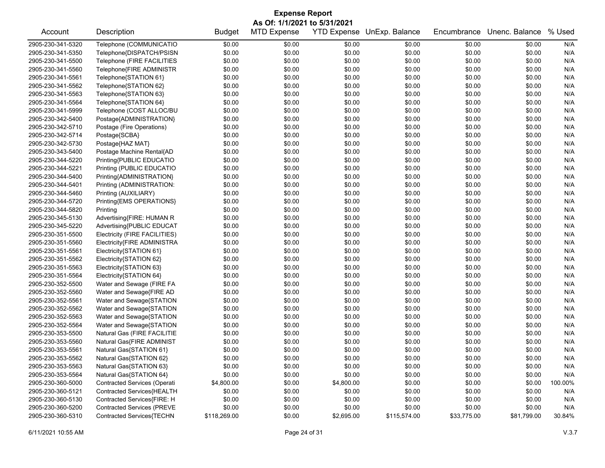| As Of: 1/1/2021 to 5/31/2021                                                                                                 |             |         |
|------------------------------------------------------------------------------------------------------------------------------|-------------|---------|
|                                                                                                                              |             |         |
| Description<br><b>MTD Expense</b><br>YTD Expense UnExp. Balance<br>Unenc. Balance<br>Account<br><b>Budget</b><br>Encumbrance | % Used      |         |
| 2905-230-341-5320<br>Telephone (COMMUNICATIO<br>\$0.00<br>\$0.00<br>\$0.00<br>\$0.00<br>\$0.00                               | \$0.00      | N/A     |
| \$0.00<br>\$0.00<br>\$0.00<br>\$0.00<br>2905-230-341-5350<br>Telephone{DISPATCH/PSISN<br>\$0.00                              | \$0.00      | N/A     |
| Telephone (FIRE FACILITIES<br>\$0.00<br>\$0.00<br>\$0.00<br>2905-230-341-5500<br>\$0.00<br>\$0.00                            | \$0.00      | N/A     |
| \$0.00<br>\$0.00<br>\$0.00<br>\$0.00<br>\$0.00<br>2905-230-341-5560<br>Telephone{FIRE ADMINISTR                              | \$0.00      | N/A     |
| 2905-230-341-5561<br>Telephone{STATION 61}<br>\$0.00<br>\$0.00<br>\$0.00<br>\$0.00<br>\$0.00                                 | \$0.00      | N/A     |
| \$0.00<br>Telephone{STATION 62}<br>\$0.00<br>\$0.00<br>\$0.00<br>\$0.00<br>2905-230-341-5562                                 | \$0.00      | N/A     |
| 2905-230-341-5563<br>Telephone{STATION 63}<br>\$0.00<br>\$0.00<br>\$0.00<br>\$0.00<br>\$0.00                                 | \$0.00      | N/A     |
| \$0.00<br>\$0.00<br>\$0.00<br>2905-230-341-5564<br>Telephone{STATION 64}<br>\$0.00<br>\$0.00                                 | \$0.00      | N/A     |
| \$0.00<br>\$0.00<br>\$0.00<br>\$0.00<br>\$0.00<br>2905-230-341-5999<br>Telephone (COST ALLOC/BU                              | \$0.00      | N/A     |
| 2905-230-342-5400<br>Postage{ADMINISTRATION}<br>\$0.00<br>\$0.00<br>\$0.00<br>\$0.00<br>\$0.00                               | \$0.00      | N/A     |
| Postage (Fire Operations)<br>\$0.00<br>\$0.00<br>\$0.00<br>\$0.00<br>\$0.00<br>2905-230-342-5710                             | \$0.00      | N/A     |
| 2905-230-342-5714<br>\$0.00<br>\$0.00<br>\$0.00<br>\$0.00<br>\$0.00<br>Postage{SCBA}                                         | \$0.00      | N/A     |
| \$0.00<br>\$0.00<br>\$0.00<br>2905-230-342-5730<br>Postage{HAZ MAT}<br>\$0.00<br>\$0.00                                      | \$0.00      | N/A     |
| \$0.00<br>\$0.00<br>\$0.00<br>\$0.00<br>\$0.00<br>2905-230-343-5400<br>Postage Machine Rental{AD                             | \$0.00      | N/A     |
| \$0.00<br>2905-230-344-5220<br>Printing{PUBLIC EDUCATIO<br>\$0.00<br>\$0.00<br>\$0.00<br>\$0.00                              | \$0.00      | N/A     |
| \$0.00<br>Printing (PUBLIC EDUCATIO<br>\$0.00<br>\$0.00<br>\$0.00<br>\$0.00<br>2905-230-344-5221                             | \$0.00      | N/A     |
| 2905-230-344-5400<br>Printing{ADMINISTRATION}<br>\$0.00<br>\$0.00<br>\$0.00<br>\$0.00<br>\$0.00                              | \$0.00      | N/A     |
| \$0.00<br>\$0.00<br>\$0.00<br>2905-230-344-5401<br>Printing (ADMINISTRATION:<br>\$0.00<br>\$0.00                             | \$0.00      | N/A     |
| \$0.00<br>\$0.00<br>\$0.00<br>\$0.00<br>\$0.00<br>2905-230-344-5460<br>Printing (AUXILIARY)                                  | \$0.00      | N/A     |
| 2905-230-344-5720<br>Printing{EMS OPERATIONS}<br>\$0.00<br>\$0.00<br>\$0.00<br>\$0.00<br>\$0.00                              | \$0.00      | N/A     |
| \$0.00<br>\$0.00<br>\$0.00<br>\$0.00<br>\$0.00<br>2905-230-344-5820<br>Printing                                              | \$0.00      | N/A     |
| 2905-230-345-5130<br>Advertising{FIRE: HUMAN R<br>\$0.00<br>\$0.00<br>\$0.00<br>\$0.00<br>\$0.00                             | \$0.00      | N/A     |
| \$0.00<br>\$0.00<br>2905-230-345-5220<br>Advertising{PUBLIC EDUCAT<br>\$0.00<br>\$0.00<br>\$0.00                             | \$0.00      | N/A     |
| Electricity (FIRE FACILITIES)<br>\$0.00<br>\$0.00<br>\$0.00<br>\$0.00<br>\$0.00<br>2905-230-351-5500                         | \$0.00      | N/A     |
| Electricity{FIRE ADMINISTRA<br>\$0.00<br>2905-230-351-5560<br>\$0.00<br>\$0.00<br>\$0.00<br>\$0.00                           | \$0.00      | N/A     |
| \$0.00<br>Electricity{STATION 61}<br>\$0.00<br>\$0.00<br>\$0.00<br>\$0.00<br>2905-230-351-5561                               | \$0.00      | N/A     |
| 2905-230-351-5562<br>Electricity{STATION 62}<br>\$0.00<br>\$0.00<br>\$0.00<br>\$0.00<br>\$0.00                               | \$0.00      | N/A     |
| \$0.00<br>2905-230-351-5563<br>Electricity{STATION 63}<br>\$0.00<br>\$0.00<br>\$0.00<br>\$0.00                               | \$0.00      | N/A     |
| Electricity{STATION 64}<br>\$0.00<br>\$0.00<br>\$0.00<br>\$0.00<br>\$0.00<br>2905-230-351-5564                               | \$0.00      | N/A     |
| 2905-230-352-5500<br>Water and Sewage (FIRE FA<br>\$0.00<br>\$0.00<br>\$0.00<br>\$0.00<br>\$0.00                             | \$0.00      | N/A     |
| Water and Sewage{FIRE AD<br>\$0.00<br>\$0.00<br>\$0.00<br>\$0.00<br>\$0.00<br>2905-230-352-5560                              | \$0.00      | N/A     |
| 2905-230-352-5561<br>Water and Sewage{STATION<br>\$0.00<br>\$0.00<br>\$0.00<br>\$0.00<br>\$0.00                              | \$0.00      | N/A     |
| Water and Sewage{STATION<br>\$0.00<br>2905-230-352-5562<br>\$0.00<br>\$0.00<br>\$0.00<br>\$0.00                              | \$0.00      | N/A     |
| 2905-230-352-5563<br>Water and Sewage{STATION<br>\$0.00<br>\$0.00<br>\$0.00<br>\$0.00<br>\$0.00                              | \$0.00      | N/A     |
| Water and Sewage{STATION<br>2905-230-352-5564<br>\$0.00<br>\$0.00<br>\$0.00<br>\$0.00<br>\$0.00                              | \$0.00      | N/A     |
| Natural Gas (FIRE FACILITIE<br>\$0.00<br>\$0.00<br>\$0.00<br>\$0.00<br>\$0.00<br>2905-230-353-5500                           | \$0.00      | N/A     |
| 2905-230-353-5560<br>Natural Gas{FIRE ADMINIST<br>\$0.00<br>\$0.00<br>\$0.00<br>\$0.00<br>\$0.00                             | \$0.00      | N/A     |
| 2905-230-353-5561<br>Natural Gas{STATION 61}<br>\$0.00<br>\$0.00<br>\$0.00<br>\$0.00<br>\$0.00                               | \$0.00      | N/A     |
| Natural Gas{STATION 62}<br>\$0.00<br>2905-230-353-5562<br>\$0.00<br>\$0.00<br>\$0.00<br>\$0.00                               | \$0.00      | N/A     |
| Natural Gas{STATION 63}<br>\$0.00<br>2905-230-353-5563<br>\$0.00<br>\$0.00<br>\$0.00<br>\$0.00                               | \$0.00      | N/A     |
| Natural Gas{STATION 64}<br>2905-230-353-5564<br>\$0.00<br>\$0.00<br>\$0.00<br>\$0.00<br>\$0.00                               | \$0.00      | N/A     |
| 2905-230-360-5000<br>Contracted Services (Operati<br>\$4,800.00<br>\$0.00<br>\$4,800.00<br>\$0.00<br>\$0.00                  | \$0.00      | 100.00% |
| Contracted Services{HEALTH<br>\$0.00<br>2905-230-360-5121<br>\$0.00<br>\$0.00<br>\$0.00<br>\$0.00                            | \$0.00      | N/A     |
| Contracted Services{FIRE: H<br>\$0.00<br>\$0.00<br>2905-230-360-5130<br>\$0.00<br>\$0.00<br>\$0.00                           | \$0.00      | N/A     |
| <b>Contracted Services (PREVE</b><br>2905-230-360-5200<br>\$0.00<br>\$0.00<br>\$0.00<br>\$0.00<br>\$0.00                     | \$0.00      | N/A     |
| Contracted Services{TECHN<br>\$0.00<br>2905-230-360-5310<br>\$118,269.00<br>\$2,695.00<br>\$115,574.00<br>\$33,775.00        | \$81,799.00 | 30.84%  |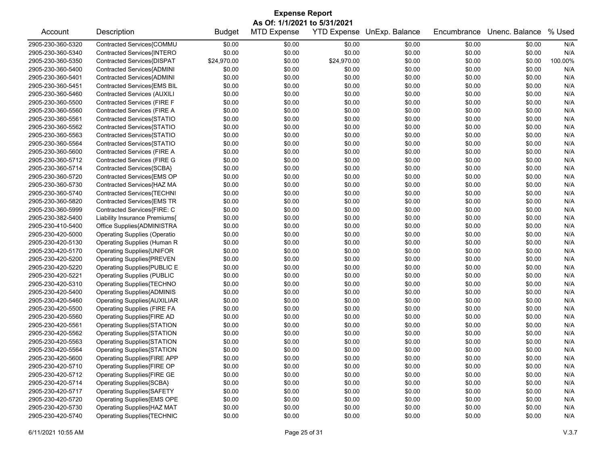|                              |                                     |               | <b>Expense Report</b> |                    |                |             |                |         |  |
|------------------------------|-------------------------------------|---------------|-----------------------|--------------------|----------------|-------------|----------------|---------|--|
| As Of: 1/1/2021 to 5/31/2021 |                                     |               |                       |                    |                |             |                |         |  |
| Account                      | Description                         | <b>Budget</b> | <b>MTD Expense</b>    | <b>YTD Expense</b> | UnExp. Balance | Encumbrance | Unenc. Balance | % Used  |  |
| 2905-230-360-5320            | Contracted Services{COMMU           | \$0.00        | \$0.00                | \$0.00             | \$0.00         | \$0.00      | \$0.00         | N/A     |  |
| 2905-230-360-5340            | Contracted Services{INTERO          | \$0.00        | \$0.00                | \$0.00             | \$0.00         | \$0.00      | \$0.00         | N/A     |  |
| 2905-230-360-5350            | Contracted Services{DISPAT          | \$24,970.00   | \$0.00                | \$24,970.00        | \$0.00         | \$0.00      | \$0.00         | 100.00% |  |
| 2905-230-360-5400            | Contracted Services{ADMINI          | \$0.00        | \$0.00                | \$0.00             | \$0.00         | \$0.00      | \$0.00         | N/A     |  |
| 2905-230-360-5401            | Contracted Services{ADMINI          | \$0.00        | \$0.00                | \$0.00             | \$0.00         | \$0.00      | \$0.00         | N/A     |  |
| 2905-230-360-5451            | Contracted Services{EMS BIL         | \$0.00        | \$0.00                | \$0.00             | \$0.00         | \$0.00      | \$0.00         | N/A     |  |
| 2905-230-360-5460            | <b>Contracted Services (AUXILI</b>  | \$0.00        | \$0.00                | \$0.00             | \$0.00         | \$0.00      | \$0.00         | N/A     |  |
| 2905-230-360-5500            | Contracted Services (FIRE F         | \$0.00        | \$0.00                | \$0.00             | \$0.00         | \$0.00      | \$0.00         | N/A     |  |
| 2905-230-360-5560            | Contracted Services (FIRE A         | \$0.00        | \$0.00                | \$0.00             | \$0.00         | \$0.00      | \$0.00         | N/A     |  |
| 2905-230-360-5561            | Contracted Services{STATIO          | \$0.00        | \$0.00                | \$0.00             | \$0.00         | \$0.00      | \$0.00         | N/A     |  |
| 2905-230-360-5562            | Contracted Services{STATIO          | \$0.00        | \$0.00                | \$0.00             | \$0.00         | \$0.00      | \$0.00         | N/A     |  |
| 2905-230-360-5563            | Contracted Services{STATIO          | \$0.00        | \$0.00                | \$0.00             | \$0.00         | \$0.00      | \$0.00         | N/A     |  |
| 2905-230-360-5564            | Contracted Services{STATIO          | \$0.00        | \$0.00                | \$0.00             | \$0.00         | \$0.00      | \$0.00         | N/A     |  |
| 2905-230-360-5600            | Contracted Services (FIRE A         | \$0.00        | \$0.00                | \$0.00             | \$0.00         | \$0.00      | \$0.00         | N/A     |  |
| 2905-230-360-5712            | Contracted Services (FIRE G         | \$0.00        | \$0.00                | \$0.00             | \$0.00         | \$0.00      | \$0.00         | N/A     |  |
| 2905-230-360-5714            | Contracted Services{SCBA}           | \$0.00        | \$0.00                | \$0.00             | \$0.00         | \$0.00      | \$0.00         | N/A     |  |
| 2905-230-360-5720            | Contracted Services{EMS OP          | \$0.00        | \$0.00                | \$0.00             | \$0.00         | \$0.00      | \$0.00         | N/A     |  |
| 2905-230-360-5730            | Contracted Services{HAZ MA          | \$0.00        | \$0.00                | \$0.00             | \$0.00         | \$0.00      | \$0.00         | N/A     |  |
| 2905-230-360-5740            | Contracted Services{TECHNI          | \$0.00        | \$0.00                | \$0.00             | \$0.00         | \$0.00      | \$0.00         | N/A     |  |
| 2905-230-360-5820            | Contracted Services{EMS TR          | \$0.00        | \$0.00                | \$0.00             | \$0.00         | \$0.00      | \$0.00         | N/A     |  |
| 2905-230-360-5999            | Contracted Services{FIRE: C         | \$0.00        | \$0.00                | \$0.00             | \$0.00         | \$0.00      | \$0.00         | N/A     |  |
| 2905-230-382-5400            | Liability Insurance Premiums{       | \$0.00        | \$0.00                | \$0.00             | \$0.00         | \$0.00      | \$0.00         | N/A     |  |
| 2905-230-410-5400            | Office Supplies{ADMINISTRA          | \$0.00        | \$0.00                | \$0.00             | \$0.00         | \$0.00      | \$0.00         | N/A     |  |
| 2905-230-420-5000            | <b>Operating Supplies (Operatio</b> | \$0.00        | \$0.00                | \$0.00             | \$0.00         | \$0.00      | \$0.00         | N/A     |  |
| 2905-230-420-5130            | Operating Supplies (Human R         | \$0.00        | \$0.00                | \$0.00             | \$0.00         | \$0.00      | \$0.00         | N/A     |  |
| 2905-230-420-5170            | Operating Supplies{UNIFOR           | \$0.00        | \$0.00                | \$0.00             | \$0.00         | \$0.00      | \$0.00         | N/A     |  |
| 2905-230-420-5200            | <b>Operating Supplies{PREVEN</b>    | \$0.00        | \$0.00                | \$0.00             | \$0.00         | \$0.00      | \$0.00         | N/A     |  |
| 2905-230-420-5220            | Operating Supplies{PUBLIC E         | \$0.00        | \$0.00                | \$0.00             | \$0.00         | \$0.00      | \$0.00         | N/A     |  |
| 2905-230-420-5221            | <b>Operating Supplies (PUBLIC</b>   | \$0.00        | \$0.00                | \$0.00             | \$0.00         | \$0.00      | \$0.00         | N/A     |  |
| 2905-230-420-5310            | Operating Supplies{TECHNO           | \$0.00        | \$0.00                | \$0.00             | \$0.00         | \$0.00      | \$0.00         | N/A     |  |
| 2905-230-420-5400            | <b>Operating Supplies{ADMINIS</b>   | \$0.00        | \$0.00                | \$0.00             | \$0.00         | \$0.00      | \$0.00         | N/A     |  |
| 2905-230-420-5460            | <b>Operating Supplies{AUXILIAR</b>  | \$0.00        | \$0.00                | \$0.00             | \$0.00         | \$0.00      | \$0.00         | N/A     |  |
| 2905-230-420-5500            | <b>Operating Supplies (FIRE FA</b>  | \$0.00        | \$0.00                | \$0.00             | \$0.00         | \$0.00      | \$0.00         | N/A     |  |
| 2905-230-420-5560            | Operating Supplies{FIRE AD          | \$0.00        | \$0.00                | \$0.00             | \$0.00         | \$0.00      | \$0.00         | N/A     |  |
| 2905-230-420-5561            | Operating Supplies{STATION          | \$0.00        | \$0.00                | \$0.00             | \$0.00         | \$0.00      | \$0.00         | N/A     |  |
| 2905-230-420-5562            | Operating Supplies{STATION          | \$0.00        | \$0.00                | \$0.00             | \$0.00         | \$0.00      | \$0.00         | N/A     |  |
| 2905-230-420-5563            | Operating Supplies{STATION          | \$0.00        | \$0.00                | \$0.00             | \$0.00         | \$0.00      | \$0.00         | N/A     |  |
| 2905-230-420-5564            | Operating Supplies{STATION          | \$0.00        | \$0.00                | \$0.00             | \$0.00         | \$0.00      | \$0.00         | N/A     |  |
| 2905-230-420-5600            | <b>Operating Supplies{FIRE APP</b>  | \$0.00        | \$0.00                | \$0.00             | \$0.00         | \$0.00      | \$0.00         | N/A     |  |
| 2905-230-420-5710            | Operating Supplies{FIRE OP          | \$0.00        | \$0.00                | \$0.00             | \$0.00         | \$0.00      | \$0.00         | N/A     |  |
| 2905-230-420-5712            | Operating Supplies{FIRE GE          | \$0.00        | \$0.00                | \$0.00             | \$0.00         | \$0.00      | \$0.00         | N/A     |  |
| 2905-230-420-5714            | <b>Operating Supplies{SCBA}</b>     | \$0.00        | \$0.00                | \$0.00             | \$0.00         | \$0.00      | \$0.00         | N/A     |  |
| 2905-230-420-5717            | Operating Supplies{SAFETY           | \$0.00        | \$0.00                | \$0.00             | \$0.00         | \$0.00      | \$0.00         | N/A     |  |
| 2905-230-420-5720            | Operating Supplies{EMS OPE          | \$0.00        | \$0.00                | \$0.00             | \$0.00         | \$0.00      | \$0.00         | N/A     |  |
| 2905-230-420-5730            | Operating Supplies{HAZ MAT          | \$0.00        | \$0.00                | \$0.00             | \$0.00         | \$0.00      | \$0.00         | N/A     |  |
| 2905-230-420-5740            | <b>Operating Supplies{TECHNIC</b>   | \$0.00        | \$0.00                | \$0.00             | \$0.00         | \$0.00      | \$0.00         | N/A     |  |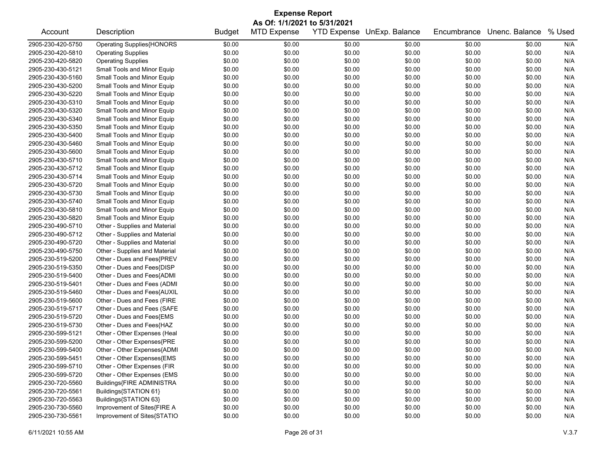| <b>Expense Report</b> |                                  |               |                    |                    |                |             |                |        |  |  |  |
|-----------------------|----------------------------------|---------------|--------------------|--------------------|----------------|-------------|----------------|--------|--|--|--|
|                       | As Of: 1/1/2021 to 5/31/2021     |               |                    |                    |                |             |                |        |  |  |  |
| Account               | Description                      | <b>Budget</b> | <b>MTD Expense</b> | <b>YTD Expense</b> | UnExp. Balance | Encumbrance | Unenc. Balance | % Used |  |  |  |
| 2905-230-420-5750     | <b>Operating Supplies{HONORS</b> | \$0.00        | \$0.00             | \$0.00             | \$0.00         | \$0.00      | \$0.00         | N/A    |  |  |  |
| 2905-230-420-5810     | <b>Operating Supplies</b>        | \$0.00        | \$0.00             | \$0.00             | \$0.00         | \$0.00      | \$0.00         | N/A    |  |  |  |
| 2905-230-420-5820     | <b>Operating Supplies</b>        | \$0.00        | \$0.00             | \$0.00             | \$0.00         | \$0.00      | \$0.00         | N/A    |  |  |  |
| 2905-230-430-5121     | Small Tools and Minor Equip      | \$0.00        | \$0.00             | \$0.00             | \$0.00         | \$0.00      | \$0.00         | N/A    |  |  |  |
| 2905-230-430-5160     | Small Tools and Minor Equip      | \$0.00        | \$0.00             | \$0.00             | \$0.00         | \$0.00      | \$0.00         | N/A    |  |  |  |
| 2905-230-430-5200     | Small Tools and Minor Equip      | \$0.00        | \$0.00             | \$0.00             | \$0.00         | \$0.00      | \$0.00         | N/A    |  |  |  |
| 2905-230-430-5220     | Small Tools and Minor Equip      | \$0.00        | \$0.00             | \$0.00             | \$0.00         | \$0.00      | \$0.00         | N/A    |  |  |  |
| 2905-230-430-5310     | Small Tools and Minor Equip      | \$0.00        | \$0.00             | \$0.00             | \$0.00         | \$0.00      | \$0.00         | N/A    |  |  |  |
| 2905-230-430-5320     | Small Tools and Minor Equip      | \$0.00        | \$0.00             | \$0.00             | \$0.00         | \$0.00      | \$0.00         | N/A    |  |  |  |
| 2905-230-430-5340     | Small Tools and Minor Equip      | \$0.00        | \$0.00             | \$0.00             | \$0.00         | \$0.00      | \$0.00         | N/A    |  |  |  |
| 2905-230-430-5350     | Small Tools and Minor Equip      | \$0.00        | \$0.00             | \$0.00             | \$0.00         | \$0.00      | \$0.00         | N/A    |  |  |  |
| 2905-230-430-5400     | Small Tools and Minor Equip      | \$0.00        | \$0.00             | \$0.00             | \$0.00         | \$0.00      | \$0.00         | N/A    |  |  |  |
| 2905-230-430-5460     | Small Tools and Minor Equip      | \$0.00        | \$0.00             | \$0.00             | \$0.00         | \$0.00      | \$0.00         | N/A    |  |  |  |
| 2905-230-430-5600     | Small Tools and Minor Equip      | \$0.00        | \$0.00             | \$0.00             | \$0.00         | \$0.00      | \$0.00         | N/A    |  |  |  |
| 2905-230-430-5710     | Small Tools and Minor Equip      | \$0.00        | \$0.00             | \$0.00             | \$0.00         | \$0.00      | \$0.00         | N/A    |  |  |  |
| 2905-230-430-5712     | Small Tools and Minor Equip      | \$0.00        | \$0.00             | \$0.00             | \$0.00         | \$0.00      | \$0.00         | N/A    |  |  |  |
| 2905-230-430-5714     | Small Tools and Minor Equip      | \$0.00        | \$0.00             | \$0.00             | \$0.00         | \$0.00      | \$0.00         | N/A    |  |  |  |
| 2905-230-430-5720     | Small Tools and Minor Equip      | \$0.00        | \$0.00             | \$0.00             | \$0.00         | \$0.00      | \$0.00         | N/A    |  |  |  |
| 2905-230-430-5730     | Small Tools and Minor Equip      | \$0.00        | \$0.00             | \$0.00             | \$0.00         | \$0.00      | \$0.00         | N/A    |  |  |  |
| 2905-230-430-5740     | Small Tools and Minor Equip      | \$0.00        | \$0.00             | \$0.00             | \$0.00         | \$0.00      | \$0.00         | N/A    |  |  |  |
| 2905-230-430-5810     | Small Tools and Minor Equip      | \$0.00        | \$0.00             | \$0.00             | \$0.00         | \$0.00      | \$0.00         | N/A    |  |  |  |
| 2905-230-430-5820     | Small Tools and Minor Equip      | \$0.00        | \$0.00             | \$0.00             | \$0.00         | \$0.00      | \$0.00         | N/A    |  |  |  |
| 2905-230-490-5710     | Other - Supplies and Material    | \$0.00        | \$0.00             | \$0.00             | \$0.00         | \$0.00      | \$0.00         | N/A    |  |  |  |
| 2905-230-490-5712     | Other - Supplies and Material    | \$0.00        | \$0.00             | \$0.00             | \$0.00         | \$0.00      | \$0.00         | N/A    |  |  |  |
| 2905-230-490-5720     | Other - Supplies and Material    | \$0.00        | \$0.00             | \$0.00             | \$0.00         | \$0.00      | \$0.00         | N/A    |  |  |  |
| 2905-230-490-5750     | Other - Supplies and Material    | \$0.00        | \$0.00             | \$0.00             | \$0.00         | \$0.00      | \$0.00         | N/A    |  |  |  |
| 2905-230-519-5200     | Other - Dues and Fees{PREV       | \$0.00        | \$0.00             | \$0.00             | \$0.00         | \$0.00      | \$0.00         | N/A    |  |  |  |
| 2905-230-519-5350     | Other - Dues and Fees{DISP       | \$0.00        | \$0.00             | \$0.00             | \$0.00         | \$0.00      | \$0.00         | N/A    |  |  |  |
| 2905-230-519-5400     | Other - Dues and Fees{ADMI       | \$0.00        | \$0.00             | \$0.00             | \$0.00         | \$0.00      | \$0.00         | N/A    |  |  |  |
| 2905-230-519-5401     | Other - Dues and Fees (ADMI      | \$0.00        | \$0.00             | \$0.00             | \$0.00         | \$0.00      | \$0.00         | N/A    |  |  |  |
| 2905-230-519-5460     | Other - Dues and Fees{AUXIL      | \$0.00        | \$0.00             | \$0.00             | \$0.00         | \$0.00      | \$0.00         | N/A    |  |  |  |
| 2905-230-519-5600     | Other - Dues and Fees (FIRE      | \$0.00        | \$0.00             | \$0.00             | \$0.00         | \$0.00      | \$0.00         | N/A    |  |  |  |
| 2905-230-519-5717     | Other - Dues and Fees (SAFE      | \$0.00        | \$0.00             | \$0.00             | \$0.00         | \$0.00      | \$0.00         | N/A    |  |  |  |
| 2905-230-519-5720     | Other - Dues and Fees{EMS        | \$0.00        | \$0.00             | \$0.00             | \$0.00         | \$0.00      | \$0.00         | N/A    |  |  |  |
| 2905-230-519-5730     | Other - Dues and Fees{HAZ        | \$0.00        | \$0.00             | \$0.00             | \$0.00         | \$0.00      | \$0.00         | N/A    |  |  |  |
| 2905-230-599-5121     | Other - Other Expenses (Heal     | \$0.00        | \$0.00             | \$0.00             | \$0.00         | \$0.00      | \$0.00         | N/A    |  |  |  |
| 2905-230-599-5200     | Other - Other Expenses{PRE       | \$0.00        | \$0.00             | \$0.00             | \$0.00         | \$0.00      | \$0.00         | N/A    |  |  |  |
| 2905-230-599-5400     | Other - Other Expenses{ADMI      | \$0.00        | \$0.00             | \$0.00             | \$0.00         | \$0.00      | \$0.00         | N/A    |  |  |  |
| 2905-230-599-5451     | Other - Other Expenses{EMS       | \$0.00        | \$0.00             | \$0.00             | \$0.00         | \$0.00      | \$0.00         | N/A    |  |  |  |
| 2905-230-599-5710     | Other - Other Expenses (FIR      | \$0.00        | \$0.00             | \$0.00             | \$0.00         | \$0.00      | \$0.00         | N/A    |  |  |  |
| 2905-230-599-5720     | Other - Other Expenses (EMS      | \$0.00        | \$0.00             | \$0.00             | \$0.00         | \$0.00      | \$0.00         | N/A    |  |  |  |
| 2905-230-720-5560     | Buildings{FIRE ADMINISTRA        | \$0.00        | \$0.00             | \$0.00             | \$0.00         | \$0.00      | \$0.00         | N/A    |  |  |  |
| 2905-230-720-5561     | Buildings{STATION 61}            | \$0.00        | \$0.00             | \$0.00             | \$0.00         | \$0.00      | \$0.00         | N/A    |  |  |  |
| 2905-230-720-5563     | Buildings{STATION 63}            | \$0.00        | \$0.00             | \$0.00             | \$0.00         | \$0.00      | \$0.00         | N/A    |  |  |  |
| 2905-230-730-5560     | Improvement of Sites{FIRE A      | \$0.00        | \$0.00             | \$0.00             | \$0.00         | \$0.00      | \$0.00         | N/A    |  |  |  |
| 2905-230-730-5561     | Improvement of Sites{STATIO      | \$0.00        | \$0.00             | \$0.00             | \$0.00         | \$0.00      | \$0.00         | N/A    |  |  |  |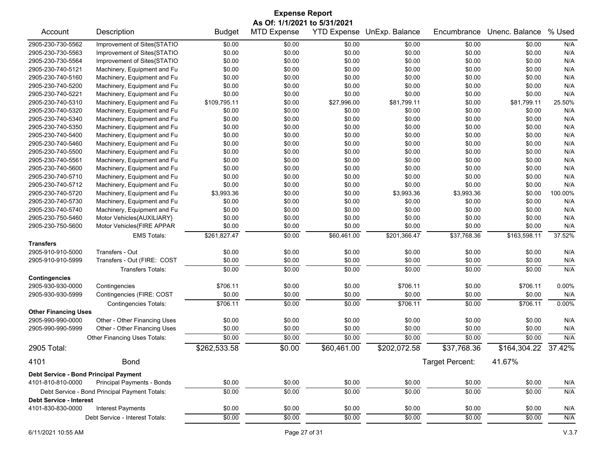| <b>Expense Report</b>                 |                                               |               |                              |                    |                |                 |                |         |
|---------------------------------------|-----------------------------------------------|---------------|------------------------------|--------------------|----------------|-----------------|----------------|---------|
|                                       |                                               |               | As Of: 1/1/2021 to 5/31/2021 |                    |                |                 |                |         |
| Account                               | Description                                   | <b>Budget</b> | <b>MTD Expense</b>           | <b>YTD Expense</b> | UnExp. Balance | Encumbrance     | Unenc. Balance | % Used  |
| 2905-230-730-5562                     | Improvement of Sites{STATIO                   | \$0.00        | \$0.00                       | \$0.00             | \$0.00         | \$0.00          | \$0.00         | N/A     |
| 2905-230-730-5563                     | Improvement of Sites{STATIO                   | \$0.00        | \$0.00                       | \$0.00             | \$0.00         | \$0.00          | \$0.00         | N/A     |
| 2905-230-730-5564                     | Improvement of Sites{STATIO                   | \$0.00        | \$0.00                       | \$0.00             | \$0.00         | \$0.00          | \$0.00         | N/A     |
| 2905-230-740-5121                     | Machinery, Equipment and Fu                   | \$0.00        | \$0.00                       | \$0.00             | \$0.00         | \$0.00          | \$0.00         | N/A     |
| 2905-230-740-5160                     | Machinery, Equipment and Fu                   | \$0.00        | \$0.00                       | \$0.00             | \$0.00         | \$0.00          | \$0.00         | N/A     |
| 2905-230-740-5200                     | Machinery, Equipment and Fu                   | \$0.00        | \$0.00                       | \$0.00             | \$0.00         | \$0.00          | \$0.00         | N/A     |
| 2905-230-740-5221                     | Machinery, Equipment and Fu                   | \$0.00        | \$0.00                       | \$0.00             | \$0.00         | \$0.00          | \$0.00         | N/A     |
| 2905-230-740-5310                     | Machinery, Equipment and Fu                   | \$109,795.11  | \$0.00                       | \$27,996.00        | \$81,799.11    | \$0.00          | \$81,799.11    | 25.50%  |
| 2905-230-740-5320                     | Machinery, Equipment and Fu                   | \$0.00        | \$0.00                       | \$0.00             | \$0.00         | \$0.00          | \$0.00         | N/A     |
| 2905-230-740-5340                     | Machinery, Equipment and Fu                   | \$0.00        | \$0.00                       | \$0.00             | \$0.00         | \$0.00          | \$0.00         | N/A     |
| 2905-230-740-5350                     | Machinery, Equipment and Fu                   | \$0.00        | \$0.00                       | \$0.00             | \$0.00         | \$0.00          | \$0.00         | N/A     |
| 2905-230-740-5400                     | Machinery, Equipment and Fu                   | \$0.00        | \$0.00                       | \$0.00             | \$0.00         | \$0.00          | \$0.00         | N/A     |
| 2905-230-740-5460                     | Machinery, Equipment and Fu                   | \$0.00        | \$0.00                       | \$0.00             | \$0.00         | \$0.00          | \$0.00         | N/A     |
| 2905-230-740-5500                     | Machinery, Equipment and Fu                   | \$0.00        | \$0.00                       | \$0.00             | \$0.00         | \$0.00          | \$0.00         | N/A     |
| 2905-230-740-5561                     | Machinery, Equipment and Fu                   | \$0.00        | \$0.00                       | \$0.00             | \$0.00         | \$0.00          | \$0.00         | N/A     |
| 2905-230-740-5600                     | Machinery, Equipment and Fu                   | \$0.00        | \$0.00                       | \$0.00             | \$0.00         | \$0.00          | \$0.00         | N/A     |
| 2905-230-740-5710                     | Machinery, Equipment and Fu                   | \$0.00        | \$0.00                       | \$0.00             | \$0.00         | \$0.00          | \$0.00         | N/A     |
| 2905-230-740-5712                     | Machinery, Equipment and Fu                   | \$0.00        | \$0.00                       | \$0.00             | \$0.00         | \$0.00          | \$0.00         | N/A     |
| 2905-230-740-5720                     | Machinery, Equipment and Fu                   | \$3,993.36    | \$0.00                       | \$0.00             | \$3,993.36     | \$3,993.36      | \$0.00         | 100.00% |
| 2905-230-740-5730                     | Machinery, Equipment and Fu                   | \$0.00        | \$0.00                       | \$0.00             | \$0.00         | \$0.00          | \$0.00         | N/A     |
| 2905-230-740-5740                     | Machinery, Equipment and Fu                   | \$0.00        | \$0.00                       | \$0.00             | \$0.00         | \$0.00          | \$0.00         | N/A     |
| 2905-230-750-5460                     | Motor Vehicles{AUXILIARY}                     | \$0.00        | \$0.00                       | \$0.00             | \$0.00         | \$0.00          | \$0.00         | N/A     |
| 2905-230-750-5600                     | Motor Vehicles{FIRE APPAR                     | \$0.00        | \$0.00                       | \$0.00             | \$0.00         | \$0.00          | \$0.00         | N/A     |
|                                       | <b>EMS Totals:</b>                            | \$261,827.47  | \$0.00                       | \$60,461.00        | \$201,366.47   | \$37,768.36     | \$163,598.11   | 37.52%  |
| <b>Transfers</b>                      |                                               |               |                              |                    |                |                 |                |         |
| 2905-910-910-5000                     | Transfers - Out                               | \$0.00        | \$0.00                       | \$0.00             | \$0.00         | \$0.00          | \$0.00         | N/A     |
| 2905-910-910-5999                     | Transfers - Out (FIRE: COST                   | \$0.00        | \$0.00                       | \$0.00             | \$0.00         | \$0.00          | \$0.00         | N/A     |
|                                       | <b>Transfers Totals:</b>                      | \$0.00        | \$0.00                       | \$0.00             | \$0.00         | \$0.00          | \$0.00         | N/A     |
| <b>Contingencies</b>                  |                                               |               |                              |                    |                |                 |                |         |
| 2905-930-930-0000                     | Contingencies                                 | \$706.11      | \$0.00                       | \$0.00             | \$706.11       | \$0.00          | \$706.11       | 0.00%   |
| 2905-930-930-5999                     | Contingencies (FIRE: COST                     | \$0.00        | \$0.00                       | \$0.00             | \$0.00         | \$0.00          | \$0.00         | N/A     |
|                                       | <b>Contingencies Totals:</b>                  | \$706.11      | \$0.00                       | \$0.00             | \$706.11       | \$0.00          | \$706.11       | 0.00%   |
| <b>Other Financing Uses</b>           |                                               |               |                              |                    |                |                 |                |         |
| 2905-990-990-0000                     | Other - Other Financing Uses                  | \$0.00        | \$0.00                       | \$0.00             | \$0.00         | \$0.00          | \$0.00         | N/A     |
| 2905-990-990-5999                     | Other - Other Financing Uses                  | \$0.00        | \$0.00                       | \$0.00             | \$0.00         | \$0.00          | \$0.00         | N/A     |
|                                       | Other Financing Uses Totals:                  | \$0.00        | \$0.00                       | \$0.00             | \$0.00         | \$0.00          | \$0.00         | N/A     |
| 2905 Total:                           |                                               | \$262,533.58  | \$0.00                       | \$60,461.00        | \$202,072.58   | \$37,768.36     | \$164,304.22   | 37.42%  |
| 4101                                  | <b>Bond</b>                                   |               |                              |                    |                | Target Percent: | 41.67%         |         |
| Debt Service - Bond Principal Payment |                                               |               |                              |                    |                |                 |                |         |
| 4101-810-810-0000                     | Principal Payments - Bonds                    | \$0.00        | \$0.00                       | \$0.00             | \$0.00         | \$0.00          | \$0.00         | N/A     |
|                                       | Debt Service - Bond Principal Payment Totals: | \$0.00        | \$0.00                       | \$0.00             | \$0.00         | \$0.00          | \$0.00         | N/A     |
| <b>Debt Service - Interest</b>        |                                               |               |                              |                    |                |                 |                |         |
| 4101-830-830-0000                     | Interest Payments                             | \$0.00        | \$0.00                       | \$0.00             | \$0.00         | \$0.00          | \$0.00         | N/A     |
|                                       | Debt Service - Interest Totals:               | \$0.00        | \$0.00                       | \$0.00             | \$0.00         | \$0.00          | \$0.00         | N/A     |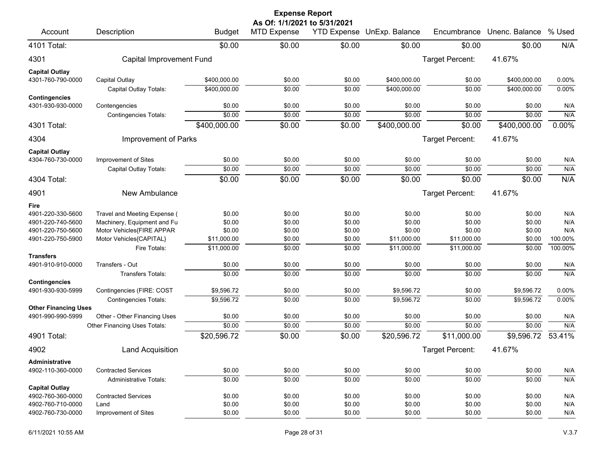| <b>Expense Report</b>                     |                                    |                  |                                                    |                  |                            |                  |                  |            |  |
|-------------------------------------------|------------------------------------|------------------|----------------------------------------------------|------------------|----------------------------|------------------|------------------|------------|--|
| Account                                   | Description                        | <b>Budget</b>    | As Of: 1/1/2021 to 5/31/2021<br><b>MTD Expense</b> |                  | YTD Expense UnExp. Balance | Encumbrance      | Unenc. Balance   | % Used     |  |
| 4101 Total:                               |                                    | \$0.00           | \$0.00                                             | \$0.00           | \$0.00                     | \$0.00           | \$0.00           | N/A        |  |
| 4301                                      | Capital Improvement Fund           |                  |                                                    |                  |                            | Target Percent:  | 41.67%           |            |  |
| <b>Capital Outlay</b>                     |                                    |                  |                                                    |                  |                            |                  |                  |            |  |
| 4301-760-790-0000                         | Capital Outlay                     | \$400,000.00     | \$0.00                                             | \$0.00           | \$400,000.00               | \$0.00           | \$400,000.00     | 0.00%      |  |
|                                           | Capital Outlay Totals:             | \$400,000.00     | \$0.00                                             | \$0.00           | \$400,000.00               | \$0.00           | \$400,000.00     | 0.00%      |  |
| <b>Contingencies</b><br>4301-930-930-0000 | Contengencies                      | \$0.00           | \$0.00                                             | \$0.00           | \$0.00                     | \$0.00           | \$0.00           | N/A        |  |
|                                           | <b>Contingencies Totals:</b>       | \$0.00           | \$0.00                                             | \$0.00           | \$0.00                     | \$0.00           | \$0.00           | N/A        |  |
| 4301 Total:                               |                                    | \$400,000.00     | \$0.00                                             | \$0.00           | \$400,000.00               | \$0.00           | \$400,000.00     | 0.00%      |  |
|                                           |                                    |                  |                                                    |                  |                            |                  |                  |            |  |
| 4304                                      | Improvement of Parks               |                  |                                                    |                  |                            | Target Percent:  | 41.67%           |            |  |
| <b>Capital Outlay</b>                     |                                    |                  |                                                    |                  |                            |                  |                  |            |  |
| 4304-760-730-0000                         | Improvement of Sites               | \$0.00           | \$0.00                                             | \$0.00           | \$0.00                     | \$0.00           | \$0.00           | N/A        |  |
|                                           | Capital Outlay Totals:             | \$0.00           | \$0.00                                             | \$0.00           | \$0.00                     | \$0.00           | \$0.00           | N/A        |  |
| 4304 Total:                               |                                    | \$0.00           | \$0.00                                             | \$0.00           | \$0.00                     | \$0.00           | \$0.00           | N/A        |  |
| 4901                                      | New Ambulance                      |                  |                                                    |                  |                            | Target Percent:  | 41.67%           |            |  |
| Fire                                      |                                    |                  |                                                    |                  |                            |                  |                  |            |  |
| 4901-220-330-5600                         | Travel and Meeting Expense (       | \$0.00           | \$0.00                                             | \$0.00           | \$0.00                     | \$0.00           | \$0.00           | N/A        |  |
| 4901-220-740-5600                         | Machinery, Equipment and Fu        | \$0.00           | \$0.00                                             | \$0.00           | \$0.00                     | \$0.00           | \$0.00           | N/A        |  |
| 4901-220-750-5600                         | Motor Vehicles{FIRE APPAR          | \$0.00           | \$0.00                                             | \$0.00           | \$0.00                     | \$0.00           | \$0.00           | N/A        |  |
| 4901-220-750-5900                         | Motor Vehicles{CAPITAL}            | \$11,000.00      | \$0.00                                             | \$0.00           | \$11,000.00                | \$11,000.00      | \$0.00           | 100.00%    |  |
|                                           | Fire Totals:                       | \$11,000.00      | \$0.00                                             | \$0.00           | \$11,000.00                | \$11,000.00      | \$0.00           | 100.00%    |  |
| <b>Transfers</b>                          |                                    |                  |                                                    |                  |                            |                  |                  |            |  |
| 4901-910-910-0000                         | Transfers - Out                    | \$0.00           | \$0.00                                             | \$0.00           | \$0.00                     | \$0.00           | \$0.00           | N/A        |  |
| <b>Contingencies</b>                      | <b>Transfers Totals:</b>           | \$0.00           | \$0.00                                             | \$0.00           | \$0.00                     | \$0.00           | \$0.00           | N/A        |  |
| 4901-930-930-5999                         | Contingencies (FIRE: COST          | \$9,596.72       | \$0.00                                             | \$0.00           | \$9,596.72                 | \$0.00           | \$9,596.72       | $0.00\%$   |  |
|                                           | <b>Contingencies Totals:</b>       | \$9,596.72       | \$0.00                                             | \$0.00           | \$9,596.72                 | \$0.00           | \$9,596.72       | 0.00%      |  |
| <b>Other Financing Uses</b>               |                                    |                  |                                                    |                  |                            |                  |                  |            |  |
| 4901-990-990-5999                         | Other - Other Financing Uses       | \$0.00           | \$0.00                                             | \$0.00           | \$0.00                     | \$0.00           | \$0.00           | N/A        |  |
|                                           | Other Financing Uses Totals:       | \$0.00           | \$0.00                                             | \$0.00           | \$0.00                     | \$0.00           | \$0.00           | N/A        |  |
| 4901 Total:                               |                                    | \$20,596.72      | \$0.00                                             | \$0.00           | \$20,596.72                | \$11,000.00      | \$9,596.72       | 53.41%     |  |
| 4902                                      | Land Acquisition                   |                  |                                                    |                  |                            | Target Percent:  | 41.67%           |            |  |
| <b>Administrative</b>                     |                                    |                  |                                                    |                  |                            |                  |                  |            |  |
| 4902-110-360-0000                         | <b>Contracted Services</b>         | \$0.00           | \$0.00                                             | \$0.00           | \$0.00                     | \$0.00           | \$0.00           | N/A        |  |
|                                           | <b>Administrative Totals:</b>      | \$0.00           | \$0.00                                             | \$0.00           | \$0.00                     | \$0.00           | \$0.00           | N/A        |  |
| <b>Capital Outlay</b>                     |                                    |                  |                                                    |                  |                            |                  |                  |            |  |
| 4902-760-360-0000<br>4902-760-710-0000    | <b>Contracted Services</b><br>Land | \$0.00<br>\$0.00 | \$0.00<br>\$0.00                                   | \$0.00<br>\$0.00 | \$0.00<br>\$0.00           | \$0.00<br>\$0.00 | \$0.00<br>\$0.00 | N/A<br>N/A |  |
| 4902-760-730-0000                         | Improvement of Sites               | \$0.00           | \$0.00                                             | \$0.00           | \$0.00                     | \$0.00           | \$0.00           | N/A        |  |
|                                           |                                    |                  |                                                    |                  |                            |                  |                  |            |  |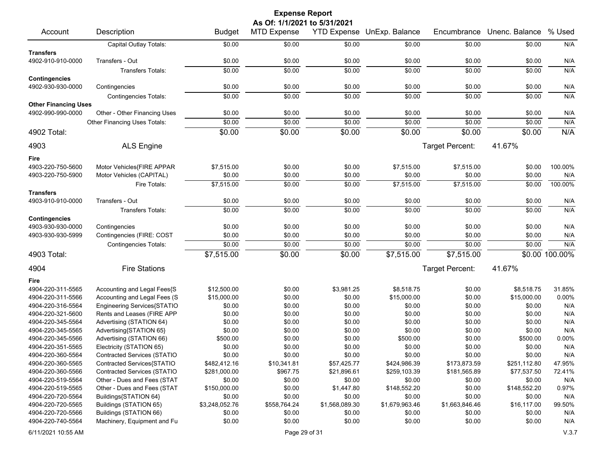|                                           |                                    |                | <b>Expense Report</b>        |                    |                |                 |                |                |
|-------------------------------------------|------------------------------------|----------------|------------------------------|--------------------|----------------|-----------------|----------------|----------------|
|                                           |                                    |                | As Of: 1/1/2021 to 5/31/2021 |                    |                |                 |                |                |
| Account                                   | Description                        | <b>Budget</b>  | MTD Expense                  | <b>YTD Expense</b> | UnExp. Balance | Encumbrance     | Unenc. Balance | % Used         |
|                                           | Capital Outlay Totals:             | \$0.00         | \$0.00                       | \$0.00             | \$0.00         | \$0.00          | \$0.00         | N/A            |
| <b>Transfers</b>                          |                                    |                |                              |                    |                |                 |                |                |
| 4902-910-910-0000                         | Transfers - Out                    | \$0.00         | \$0.00                       | \$0.00             | \$0.00         | \$0.00          | \$0.00         | N/A            |
|                                           | <b>Transfers Totals:</b>           | \$0.00         | \$0.00                       | \$0.00             | \$0.00         | \$0.00          | \$0.00         | N/A            |
| <b>Contingencies</b><br>4902-930-930-0000 | Contingencies                      | \$0.00         | \$0.00                       | \$0.00             | \$0.00         | \$0.00          | \$0.00         | N/A            |
|                                           | <b>Contingencies Totals:</b>       | \$0.00         | \$0.00                       | \$0.00             | \$0.00         | \$0.00          | \$0.00         | N/A            |
| <b>Other Financing Uses</b>               |                                    |                |                              |                    |                |                 |                |                |
| 4902-990-990-0000                         | Other - Other Financing Uses       | \$0.00         | \$0.00                       | \$0.00             | \$0.00         | \$0.00          | \$0.00         | N/A            |
|                                           | Other Financing Uses Totals:       | \$0.00         | \$0.00                       | \$0.00             | \$0.00         | \$0.00          | \$0.00         | N/A            |
| 4902 Total:                               |                                    | \$0.00         | \$0.00                       | \$0.00             | \$0.00         | \$0.00          | \$0.00         | N/A            |
|                                           |                                    |                |                              |                    |                |                 |                |                |
| 4903                                      | <b>ALS Engine</b>                  |                |                              |                    |                | Target Percent: | 41.67%         |                |
| Fire                                      |                                    |                |                              |                    |                |                 |                |                |
| 4903-220-750-5600                         | Motor Vehicles{FIRE APPAR          | \$7,515.00     | \$0.00                       | \$0.00             | \$7,515.00     | \$7,515.00      | \$0.00         | 100.00%        |
| 4903-220-750-5900                         | Motor Vehicles (CAPITAL)           | \$0.00         | \$0.00                       | \$0.00             | \$0.00         | \$0.00          | \$0.00         | N/A            |
|                                           | Fire Totals:                       | \$7,515.00     | \$0.00                       | \$0.00             | \$7,515.00     | \$7,515.00      | \$0.00         | 100.00%        |
| <b>Transfers</b>                          |                                    |                |                              |                    |                |                 |                |                |
| 4903-910-910-0000                         | Transfers - Out                    | \$0.00         | \$0.00                       | \$0.00             | \$0.00         | \$0.00          | \$0.00         | N/A            |
|                                           | Transfers Totals:                  | \$0.00         | \$0.00                       | \$0.00             | \$0.00         | \$0.00          | \$0.00         | N/A            |
| <b>Contingencies</b>                      |                                    |                |                              |                    |                |                 |                |                |
| 4903-930-930-0000                         | Contingencies                      | \$0.00         | \$0.00                       | \$0.00             | \$0.00         | \$0.00          | \$0.00         | N/A            |
| 4903-930-930-5999                         | Contingencies (FIRE: COST          | \$0.00         | \$0.00                       | \$0.00             | \$0.00         | \$0.00          | \$0.00         | N/A            |
|                                           | <b>Contingencies Totals:</b>       | \$0.00         | \$0.00                       | \$0.00             | \$0.00         | \$0.00          | \$0.00         | N/A            |
| 4903 Total:                               |                                    | \$7,515.00     | \$0.00                       | \$0.00             | \$7,515.00     | \$7,515.00      |                | \$0.00 100.00% |
| 4904                                      | <b>Fire Stations</b>               |                |                              |                    |                | Target Percent: | 41.67%         |                |
| Fire                                      |                                    |                |                              |                    |                |                 |                |                |
| 4904-220-311-5565                         | Accounting and Legal Fees{S        | \$12,500.00    | \$0.00                       | \$3,981.25         | \$8,518.75     | \$0.00          | \$8,518.75     | 31.85%         |
| 4904-220-311-5566                         | Accounting and Legal Fees (S       | \$15,000.00    | \$0.00                       | \$0.00             | \$15,000.00    | \$0.00          | \$15,000.00    | 0.00%          |
| 4904-220-316-5564                         | Engineering Services{STATIO        | \$0.00         | \$0.00                       | \$0.00             | \$0.00         | \$0.00          | \$0.00         | N/A            |
| 4904-220-321-5600                         | Rents and Leases (FIRE APP         | \$0.00         | \$0.00                       | \$0.00             | \$0.00         | \$0.00          | \$0.00         | N/A            |
| 4904-220-345-5564                         | Advertising (STATION 64)           | \$0.00         | \$0.00                       | \$0.00             | \$0.00         | \$0.00          | \$0.00         | N/A            |
| 4904-220-345-5565                         | Advertising{STATION 65}            | \$0.00         | \$0.00                       | \$0.00             | \$0.00         | \$0.00          | \$0.00         | N/A            |
| 4904-220-345-5566                         | Advertising (STATION 66)           | \$500.00       | \$0.00                       | \$0.00             | \$500.00       | \$0.00          | \$500.00       | 0.00%          |
| 4904-220-351-5565                         | Electricity (STATION 65)           | \$0.00         | \$0.00                       | \$0.00             | \$0.00         | \$0.00          | \$0.00         | N/A            |
| 4904-220-360-5564                         | <b>Contracted Services (STATIO</b> | \$0.00         | \$0.00                       | \$0.00             | \$0.00         | \$0.00          | \$0.00         | N/A            |
| 4904-220-360-5565                         | Contracted Services{STATIO         | \$482,412.16   | \$10,341.81                  | \$57,425.77        | \$424,986.39   | \$173,873.59    | \$251,112.80   | 47.95%         |
| 4904-220-360-5566                         | <b>Contracted Services (STATIO</b> | \$281,000.00   | \$967.75                     | \$21,896.61        | \$259,103.39   | \$181,565.89    | \$77,537.50    | 72.41%         |
| 4904-220-519-5564                         | Other - Dues and Fees (STAT        | \$0.00         | \$0.00                       | \$0.00             | \$0.00         | \$0.00          | \$0.00         | N/A            |
| 4904-220-519-5565                         | Other - Dues and Fees (STAT        | \$150,000.00   | \$0.00                       | \$1,447.80         | \$148,552.20   | \$0.00          | \$148,552.20   | 0.97%          |
| 4904-220-720-5564                         | Buildings{STATION 64}              | \$0.00         | \$0.00                       | \$0.00             | \$0.00         | \$0.00          | \$0.00         | N/A            |
| 4904-220-720-5565                         | Buildings (STATION 65)             | \$3,248,052.76 | \$558,764.24                 | \$1,568,089.30     | \$1,679,963.46 | \$1,663,846.46  | \$16,117.00    | 99.50%         |
| 4904-220-720-5566                         | Buildings (STATION 66)             | \$0.00         | \$0.00                       | \$0.00             | \$0.00         | \$0.00          | \$0.00         | N/A            |
| 4904-220-740-5564                         | Machinery, Equipment and Fu        | \$0.00         | \$0.00                       | \$0.00             | \$0.00         | \$0.00          | \$0.00         | N/A            |
| 6/11/2021 10:55 AM                        |                                    |                | Page 29 of 31                |                    |                |                 |                | V.3.7          |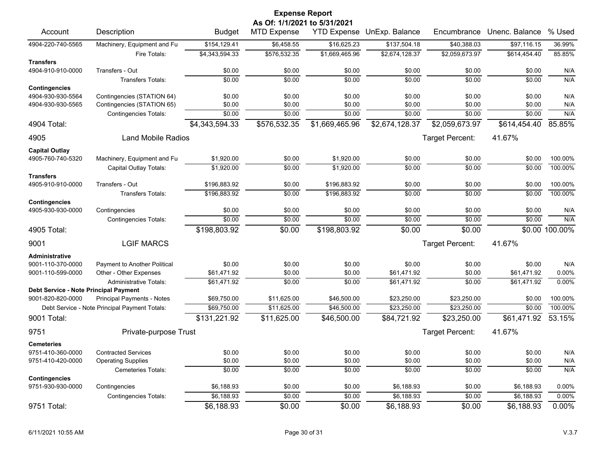|                                              |                                               |                  | <b>Expense Report</b>        |                  |                            |                  |                  |                    |
|----------------------------------------------|-----------------------------------------------|------------------|------------------------------|------------------|----------------------------|------------------|------------------|--------------------|
|                                              |                                               |                  | As Of: 1/1/2021 to 5/31/2021 |                  |                            |                  |                  |                    |
| Account                                      | Description                                   | <b>Budget</b>    | <b>MTD Expense</b>           |                  | YTD Expense UnExp. Balance | Encumbrance      | Unenc. Balance   | % Used             |
| 4904-220-740-5565                            | Machinery, Equipment and Fu                   | \$154,129.41     | \$6,458.55                   | \$16,625.23      | \$137,504.18               | \$40,388.03      | \$97,116.15      | 36.99%             |
|                                              | Fire Totals:                                  | \$4,343,594.33   | \$576,532.35                 | \$1,669,465.96   | \$2,674,128.37             | \$2,059,673.97   | \$614,454.40     | 85.85%             |
| <b>Transfers</b><br>4904-910-910-0000        | Transfers - Out                               |                  |                              |                  |                            |                  |                  |                    |
|                                              | Transfers Totals:                             | \$0.00<br>\$0.00 | \$0.00<br>\$0.00             | \$0.00<br>\$0.00 | \$0.00<br>\$0.00           | \$0.00<br>\$0.00 | \$0.00<br>\$0.00 | N/A<br>N/A         |
| <b>Contingencies</b>                         |                                               |                  |                              |                  |                            |                  |                  |                    |
| 4904-930-930-5564                            | Contingencies (STATION 64)                    | \$0.00           | \$0.00                       | \$0.00           | \$0.00                     | \$0.00           | \$0.00           | N/A                |
| 4904-930-930-5565                            | Contingencies (STATION 65)                    | \$0.00           | \$0.00                       | \$0.00           | \$0.00                     | \$0.00           | \$0.00           | N/A                |
|                                              | <b>Contingencies Totals:</b>                  | \$0.00           | \$0.00                       | \$0.00           | \$0.00                     | \$0.00           | \$0.00           | N/A                |
| 4904 Total:                                  |                                               | \$4,343,594.33   | \$576,532.35                 | \$1,669,465.96   | \$2,674,128.37             | \$2,059,673.97   | \$614,454.40     | $85.85\%$          |
| 4905                                         | <b>Land Mobile Radios</b>                     |                  |                              |                  |                            | Target Percent:  | 41.67%           |                    |
| <b>Capital Outlay</b>                        |                                               |                  |                              |                  |                            |                  |                  |                    |
| 4905-760-740-5320                            | Machinery, Equipment and Fu                   | \$1,920.00       | \$0.00                       | \$1,920.00       | \$0.00                     | \$0.00           | \$0.00           | 100.00%            |
|                                              | Capital Outlay Totals:                        | \$1.920.00       | \$0.00                       | \$1.920.00       | \$0.00                     | \$0.00           | \$0.00           | 100.00%            |
| <b>Transfers</b>                             |                                               |                  |                              |                  |                            |                  |                  |                    |
| 4905-910-910-0000                            | Transfers - Out                               | \$196,883.92     | \$0.00                       | \$196,883.92     | \$0.00                     | \$0.00           | \$0.00           | 100.00%<br>100.00% |
| <b>Contingencies</b>                         | <b>Transfers Totals:</b>                      | \$196,883.92     | \$0.00                       | \$196,883.92     | \$0.00                     | \$0.00           | \$0.00           |                    |
| 4905-930-930-0000                            | Contingencies                                 | \$0.00           | \$0.00                       | \$0.00           | \$0.00                     | \$0.00           | \$0.00           | N/A                |
|                                              | <b>Contingencies Totals:</b>                  | \$0.00           | \$0.00                       | \$0.00           | \$0.00                     | \$0.00           | \$0.00           | N/A                |
| 4905 Total:                                  |                                               | \$198,803.92     | \$0.00                       | \$198,803.92     | \$0.00                     | \$0.00           |                  | \$0.00 100.00%     |
| 9001                                         | <b>LGIF MARCS</b>                             |                  |                              |                  |                            | Target Percent:  | 41.67%           |                    |
| <b>Administrative</b>                        |                                               |                  |                              |                  |                            |                  |                  |                    |
| 9001-110-370-0000                            | Payment to Another Political                  | \$0.00           | \$0.00                       | \$0.00           | \$0.00                     | \$0.00           | \$0.00           | N/A                |
| 9001-110-599-0000                            | Other - Other Expenses                        | \$61,471.92      | \$0.00                       | \$0.00           | \$61,471.92                | \$0.00           | \$61,471.92      | 0.00%              |
|                                              | <b>Administrative Totals:</b>                 | \$61,471.92      | \$0.00                       | \$0.00           | \$61,471.92                | \$0.00           | \$61,471.92      | 0.00%              |
| <b>Debt Service - Note Principal Payment</b> |                                               |                  |                              |                  |                            |                  |                  |                    |
| 9001-820-820-0000                            | Principal Payments - Notes                    | \$69,750.00      | \$11,625.00                  | \$46,500.00      | \$23,250.00                | \$23,250.00      | \$0.00           | 100.00%            |
|                                              | Debt Service - Note Principal Payment Totals: | \$69,750.00      | \$11,625.00                  | \$46,500.00      | \$23,250.00                | \$23,250.00      | \$0.00           | 100.00%            |
| 9001 Total:                                  |                                               | \$131,221.92     | \$11,625.00                  | \$46,500.00      | \$84,721.92                | \$23,250.00      | \$61,471.92      | 53.15%             |
| 9751                                         | Private-purpose Trust                         |                  |                              |                  |                            | Target Percent:  | 41.67%           |                    |
| <b>Cemeteries</b>                            |                                               |                  |                              |                  |                            |                  |                  |                    |
| 9751-410-360-0000                            | <b>Contracted Services</b>                    | \$0.00           | \$0.00                       | \$0.00           | \$0.00                     | \$0.00           | \$0.00           | N/A                |
| 9751-410-420-0000                            | <b>Operating Supplies</b>                     | \$0.00           | \$0.00                       | \$0.00           | \$0.00                     | \$0.00           | \$0.00           | N/A                |
| <b>Contingencies</b>                         | <b>Cemeteries Totals:</b>                     | \$0.00           | \$0.00                       | \$0.00           | \$0.00                     | \$0.00           | \$0.00           | N/A                |
| 9751-930-930-0000                            | Contingencies                                 | \$6,188.93       | \$0.00                       | \$0.00           | \$6,188.93                 | \$0.00           | \$6,188.93       | 0.00%              |
|                                              | <b>Contingencies Totals:</b>                  | \$6,188.93       | \$0.00                       | \$0.00           | \$6,188.93                 | \$0.00           | \$6,188.93       | 0.00%              |
| 9751 Total:                                  |                                               | \$6,188.93       | \$0.00                       | \$0.00           | \$6,188.93                 | \$0.00           | \$6,188.93       | 0.00%              |